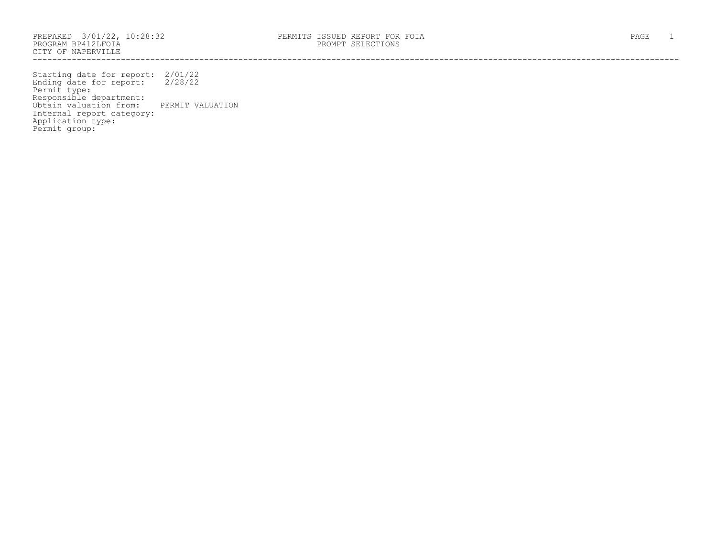CITY OF NAPERVILLE ------------------------------------------------------------------------------------------------------------------------------------

Starting date for report: 2/01/22 Ending date for report: 2/28/22 Permit type: Responsible department: Obtain valuation from: PERMIT VALUATION Internal report category: Application type: Permit group: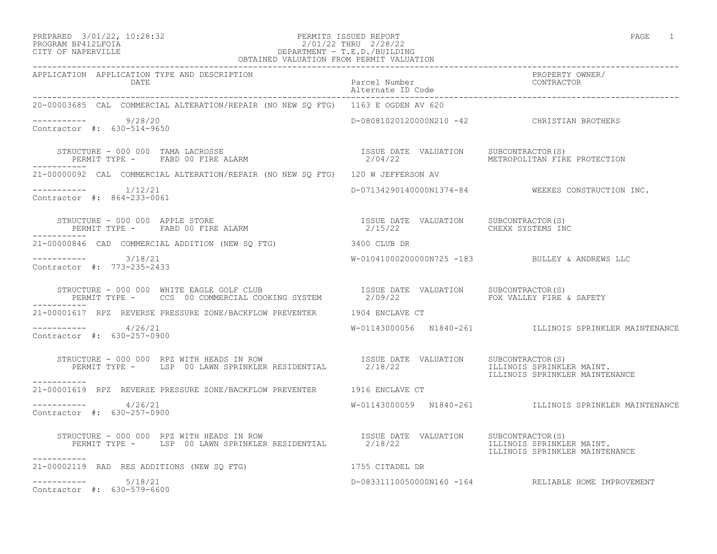### PREPARED 3/01/22, 10:28:32 PERMITS ISSUED REPORT<br>PROGRAM BP412LFOIA PAGE 1 PROGRAM BP412LFOIA 2/01/22 THRU 2/28/22 CITY OF NAPERVILLE DEPARTMENT - T.E.D./BUILDING

| OBTAINED VALUATION FROM PERMIT VALUATION                                                                                                                                                                                                   |  |                                                             |
|--------------------------------------------------------------------------------------------------------------------------------------------------------------------------------------------------------------------------------------------|--|-------------------------------------------------------------|
| APPLICATION APPLICATION TYPE AND DESCRIPTION                                                                                                                                                                                               |  | PROPERTY OWNER/                                             |
| 20-00003685 CAL COMMERCIAL ALTERATION/REPAIR (NO NEW SQ FTG) 1163 E OGDEN AV 620                                                                                                                                                           |  |                                                             |
| $--------- 9/28/20$<br>Contractor #: 630-514-9650                                                                                                                                                                                          |  | D-08081020120000N210 -42 CHRISTIAN BROTHERS                 |
|                                                                                                                                                                                                                                            |  |                                                             |
| 21-00000092 CAL COMMERCIAL ALTERATION/REPAIR (NO NEW SQ FTG) 120 W JEFFERSON AV                                                                                                                                                            |  |                                                             |
| $--------- 1/12/21$<br>Contractor #: 864-233-0061                                                                                                                                                                                          |  | D-07134290140000N1374-84 WEEKES CONSTRUCTION INC.           |
|                                                                                                                                                                                                                                            |  |                                                             |
| 21-00000846 CAD COMMERCIAL ADDITION (NEW SQ FTG) 3400 CLUB DR                                                                                                                                                                              |  |                                                             |
| $--------- 3/18/21$<br>Contractor #: 773-235-2433                                                                                                                                                                                          |  | W-01041000200000N725 -183 BULLEY & ANDREWS LLC              |
| ___________                                                                                                                                                                                                                                |  |                                                             |
| 21-00001617 RPZ REVERSE PRESSURE ZONE/BACKFLOW PREVENTER 1904 ENCLAVE CT                                                                                                                                                                   |  |                                                             |
| $--------- 4/26/21$<br>Contractor #: 630-257-0900                                                                                                                                                                                          |  | W-01143000056 N1840-261 ILLINOIS SPRINKLER MAINTENANCE      |
| STRUCTURE - 000 000 RPZ WITH HEADS IN ROW                          ISSUE DATE VALUATION     SUBCONTRACTOR(S)<br>PERMIT TYPE -      LSP 00 LAWN SPRINKLER RESIDENTIAL         2/18/22                     ILLINOIS SPRINKLER<br>___________ |  | ILLINOIS SPRINKLER MAINT.<br>ILLINOIS SPRINKLER MAINTENANCE |
| 21-00001619 RPZ REVERSE PRESSURE ZONE/BACKFLOW PREVENTER 1916 ENCLAVE CT                                                                                                                                                                   |  |                                                             |
| $--------- 4/26/21$<br>Contractor #: 630-257-0900                                                                                                                                                                                          |  | W-01143000059 N1840-261 ILLINOIS SPRINKLER MAINTENANCE      |
| STRUCTURE - 000 000 RPZ WITH HEADS IN ROW TSSUE DATE VALUATION SUBCONTRACTOR(S)<br>PERMIT TYPE - LSP 00 LAWN SPRINKLER RESIDENTIAL 2/18/22 ILLINOIS SPRINKLER MAINT.<br>ILLINOIS SPRINKLER MAINTENANCE<br>-----------                      |  |                                                             |
| 21-00002119 RAD RES ADDITIONS (NEW SQ FTG) 1755 CITADEL DR                                                                                                                                                                                 |  |                                                             |
| $--------- 5/18/21$<br>Contractor #: 630-579-6600                                                                                                                                                                                          |  | D-08331110050000N160 -164 RELIABLE HOME IMPROVEMENT         |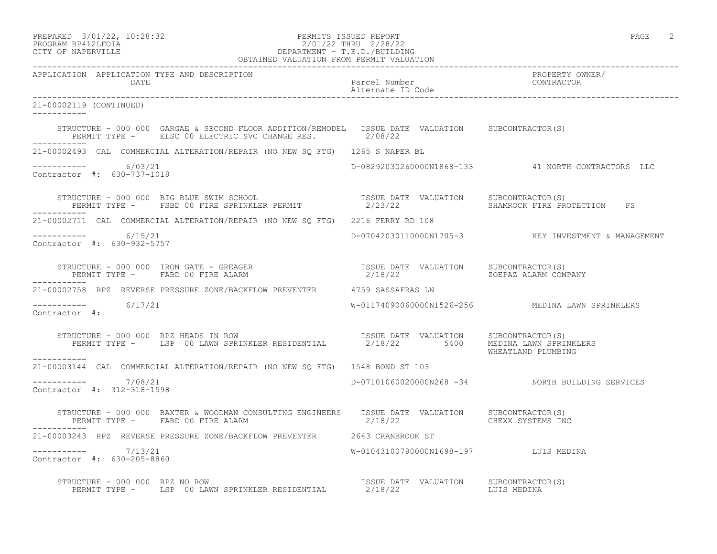| PREPARED            | 3/01/22, 10:28:32 |
|---------------------|-------------------|
| DDACDAM RDA19T FATA |                   |

## PERMITS ISSUED REPORT **PERMITS** ISSUED REPORT PROGRAM BP412LFOIA 2/01/22 THRU 2/28/22<br>CITY OF NAPERVILLE DEPARTMENT - T.E.D./BUILDIN CITY OF NAPERVILLE DEPARTMENT - T.E.D./BUILDING

|                                                      | OBTAINED VALUATION FROM PERMIT VALUATION                                                                                                                                                                                          |                                    |                                                     |
|------------------------------------------------------|-----------------------------------------------------------------------------------------------------------------------------------------------------------------------------------------------------------------------------------|------------------------------------|-----------------------------------------------------|
| APPLICATION APPLICATION TYPE AND DESCRIPTION<br>DATE |                                                                                                                                                                                                                                   | Parcel Number<br>Alternate ID Code | PROPERTY OWNER/<br>CONTRACTOR                       |
| 21-00002119 (CONTINUED)<br>___________               |                                                                                                                                                                                                                                   |                                    |                                                     |
|                                                      | STRUCTURE - 000 000 GARGAE & SECOND FLOOR ADDITION/REMODEL ISSUE DATE VALUATION SUBCONTRACTOR(S)<br>PERMIT TYPE - ELSC 00 ELECTRIC SVC CHANGE RES. 2/08/22                                                                        |                                    |                                                     |
|                                                      | 21-00002493 CAL COMMERCIAL ALTERATION/REPAIR (NO NEW SQ FTG) 1265 S NAPER BL                                                                                                                                                      |                                    |                                                     |
| $--------- 6/03/21$<br>Contractor #: 630-737-1018    |                                                                                                                                                                                                                                   |                                    | D-08292030260000N1868-133  41 NORTH CONTRACTORS LLC |
| ____________                                         |                                                                                                                                                                                                                                   |                                    |                                                     |
|                                                      | 21-00002711 CAL COMMERCIAL ALTERATION/REPAIR (NO NEW SO FTG) 2216 FERRY RD 108                                                                                                                                                    |                                    |                                                     |
| $--------- 6/15/21$<br>Contractor #: 630-932-5757    |                                                                                                                                                                                                                                   |                                    | D-07042030110000N1705-3 KEY INVESTMENT & MANAGEMENT |
| ------------                                         | STRUCTURE – 000 000 IRON GATE – GREAGER                             ISSUE DATE VALUATION    SUBCONTRACTOR(S)<br>PERMIT TYPE –     FABD 00 FIRE ALARM                                 2/18/22                 ZOEPAZ ALARM COMPANY |                                    |                                                     |
|                                                      | 21-00002758 RPZ REVERSE PRESSURE ZONE/BACKFLOW PREVENTER 4759 SASSAFRAS LN                                                                                                                                                        |                                    |                                                     |
| $--------- 6/17/21$<br>Contractor #:                 |                                                                                                                                                                                                                                   |                                    |                                                     |
| ___________                                          | STRUCTURE - 000 000 RPZ HEADS IN ROW<br>PERMIT TYPE - LSP 00 LAWN SPRINKLER RESIDENTIAL 2/18/22 5400 MEDINA LAWN SPRINKLERS                                                                                                       |                                    | WHEATLAND PLUMBING                                  |
|                                                      | 21-00003144 CAL COMMERCIAL ALTERATION/REPAIR (NO NEW SO FTG) 1548 BOND ST 103                                                                                                                                                     |                                    |                                                     |
| $--------- 7/08/21$<br>Contractor #: 312-318-1598    |                                                                                                                                                                                                                                   |                                    | D-07101060020000N268 -34 NORTH BUILDING SERVICES    |
| PERMIT TYPE - FABD 00 FIRE ALARM                     | STRUCTURE - 000 000 BAXTER & WOODMAN CONSULTING ENGINEERS ISSUE DATE VALUATION SUBCONTRACTOR(S)<br>$2/18/22$ CHEXX SYSTEMS INC                                                                                                    |                                    |                                                     |
|                                                      | 21-00003243 RPZ REVERSE PRESSURE ZONE/BACKFLOW PREVENTER 2643 CRANBROOK ST                                                                                                                                                        |                                    |                                                     |
| ----------- 7/13/21<br>Contractor #: 630-205-8860    | W-01043100780000N1698-197 LUIS MEDINA                                                                                                                                                                                             |                                    |                                                     |
|                                                      | STRUCTURE - 000 000 RPZ NO ROW                                                                                                                                                                                                    |                                    |                                                     |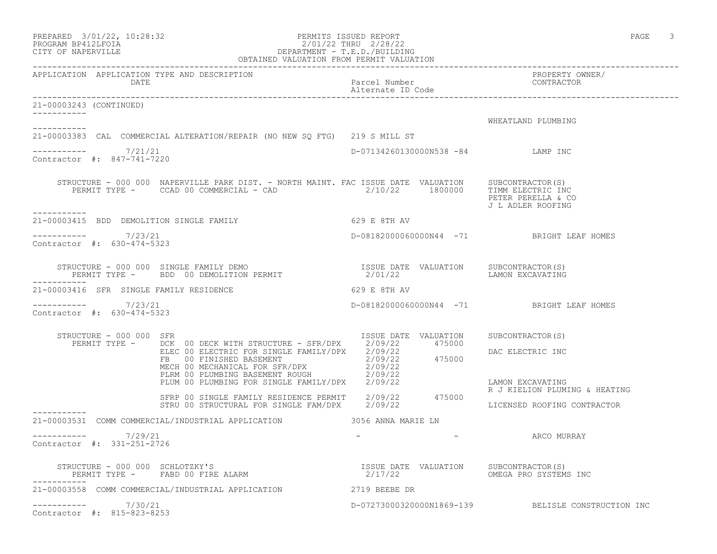| PREPARED 3/01/22, 10:28:32<br>PROGRAM BP412LFOIA<br>CITY OF NAPERVILLE<br>CITY OF NAPERVILLE<br>CITY OF NAPERVILLE<br>CITY OF NAPERVILLE<br>CITY OF NAPERVILLE<br>CITY OF NAPERVILLE                                                    |                                                  | PAGE 3                                             |
|-----------------------------------------------------------------------------------------------------------------------------------------------------------------------------------------------------------------------------------------|--------------------------------------------------|----------------------------------------------------|
| DATE                                                                                                                                                                                                                                    |                                                  |                                                    |
| 21-00003243 (CONTINUED)                                                                                                                                                                                                                 |                                                  |                                                    |
|                                                                                                                                                                                                                                         |                                                  | WHEATLAND PLUMBING                                 |
| 21-00003383 CAL COMMERCIAL ALTERATION/REPAIR (NO NEW SQ FTG) 219 S MILL ST                                                                                                                                                              |                                                  |                                                    |
| $--------- 7/21/21$<br>Contractor #: 847-741-7220                                                                                                                                                                                       | D-07134260130000N538 -84 LAMP INC                |                                                    |
| STRUCTURE - 000 000 NAPERVILLE PARK DIST. - NORTH MAINT. FAC ISSUE DATE VALUATION SUBCONTRACTOR(S)<br>PERMIT TYPE - CCAD 00 COMMERCIAL - CAD $2/10/22$ 1800000 TIMM ELECTRIC INC                                                        |                                                  | PETER PERELLA & CO<br>J L ADLER ROOFING            |
| 21-00003415 BDD DEMOLITION SINGLE FAMILY 629 E 8TH AV                                                                                                                                                                                   |                                                  |                                                    |
| $--------- 7/23/21$<br>Contractor #: 630-474-5323                                                                                                                                                                                       | D-08182000060000N44 -71 BRIGHT LEAF HOMES        |                                                    |
| -----------                                                                                                                                                                                                                             |                                                  | LAMON EXCAVATING                                   |
| 21-00003416 SFR SINGLE FAMILY RESIDENCE                                                                                                                                                                                                 | 629 E 8TH AV                                     |                                                    |
| ----------- 7/23/21<br>Contractor #: 630-474-5323                                                                                                                                                                                       | D-08182000060000N44 -71 BRIGHT LEAF HOMES        |                                                    |
| RUCTURE - 000 000 SFR<br>PERMIT TYPE - DCK 00 DECK WITH STRUCTURE - SFR/DPX 2/09/22 475000<br>STRUCTURE - 000 000 SFR                                                                                                                   |                                                  | SUBCONTRACTOR(S)                                   |
| DCK 00 DECK WITH STRUCTURE - SERVER 2/09/22<br>ELEC 00 ELECTRIC FOR SINGLE FAMILY/DPX 2/09/22<br>FB 00 FINISHED BASEMENT 2/09/22<br>MECH 00 MECHANICAL FOR SFR/DPX 2/09/22<br>PLUM 00 PLUMBING FOR SINGLE FAMILY/DPX 2/09/22<br>PLUM 00 |                                                  | DAC ELECTRIC INC                                   |
|                                                                                                                                                                                                                                         |                                                  | LAMON EXCAVATING<br>R J KIELION PLUMING & HEATING  |
| SFRP 00 SINGLE FAMILY RESIDENCE PERMIT 2/09/22 475000<br>STRU 00 STRUCTURAL FOR SINGLE FAM/DPX 2/09/22                                                                                                                                  |                                                  | LICENSED ROOFING CONTRACTOR                        |
| 21-00003531 COMM COMMERCIAL/INDUSTRIAL APPLICATION 3056 ANNA MARIE LN                                                                                                                                                                   |                                                  |                                                    |
| 7/29/21<br>------------<br>Contractor #: 331-251-2726                                                                                                                                                                                   |                                                  | ARCO MURRAY                                        |
| STRUCTURE - 000 000 SCHLOTZKY'S<br>PERMIT TYPE - FABD 00 FIRE ALARM                                                                                                                                                                     | ISSUE DATE VALUATION SUBCONTRACTOR(S)<br>2/17/22 | OMEGA PRO SYSTEMS INC                              |
| 21-00003558 COMM COMMERCIAL/INDUSTRIAL APPLICATION                                                                                                                                                                                      | 2719 BEEBE DR                                    |                                                    |
| $--------- 7/30/21$<br>Contractor #: 815-823-8253                                                                                                                                                                                       |                                                  | D-07273000320000N1869-139 BELISLE CONSTRUCTION INC |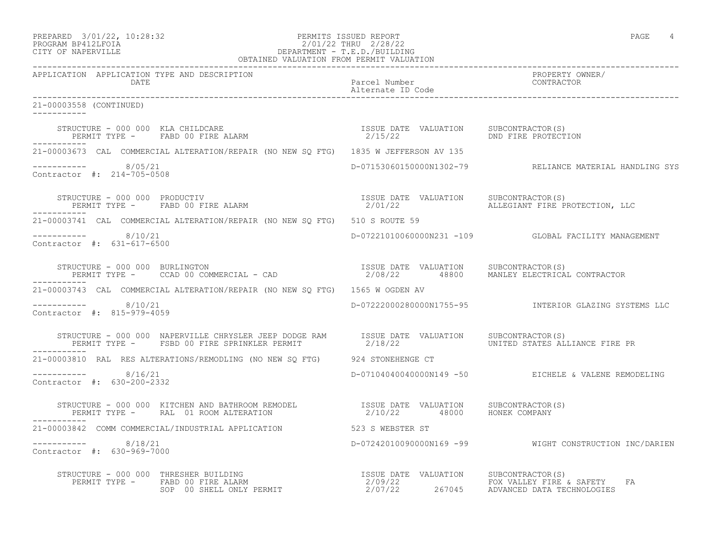| PREPARED            | $3/01/22$ , $10:28:32$ |  |
|---------------------|------------------------|--|
| DDACDAM RDA19T FATA |                        |  |

# PREPARED 3/01/22, 10:28:32 PERMITS ISSUED REPORT<br>PROGRAM BP412LFOIA PAGE 4 PROGRAM BP412LFOIA<br>
2/01/22 THRU 2/28/22<br>
CITY OF NAPERVILLE<br>
CITY OF NAPERVILLE DEPARTMENT - T.E.D./BUILDING

| OBTAINED VALUATION FROM PERMIT VALUATION                                                                                                                                                                                |                                               |                                                                    |  |
|-------------------------------------------------------------------------------------------------------------------------------------------------------------------------------------------------------------------------|-----------------------------------------------|--------------------------------------------------------------------|--|
| APPLICATION APPLICATION TYPE AND DESCRIPTION<br>DATE                                                                                                                                                                    | Parcel Number<br>Alternate ID Code CONTRACTOR | PROPERTY OWNER/                                                    |  |
| 21-00003558 (CONTINUED)                                                                                                                                                                                                 |                                               |                                                                    |  |
| ___________                                                                                                                                                                                                             |                                               |                                                                    |  |
| 21-00003673 CAL COMMERCIAL ALTERATION/REPAIR (NO NEW SO FTG) 1835 W JEFFERSON AV 135                                                                                                                                    |                                               |                                                                    |  |
| $--------$ 8/05/21<br>Contractor #: 214-705-0508                                                                                                                                                                        |                                               | D-07153060150000N1302-79 RELIANCE MATERIAL HANDLING SYS            |  |
| ------------                                                                                                                                                                                                            |                                               |                                                                    |  |
| 21-00003741 CAL COMMERCIAL ALTERATION/REPAIR (NO NEW SO FTG) 510 S ROUTE 59                                                                                                                                             |                                               |                                                                    |  |
| $--------$ 8/10/21<br>Contractor #: 631-617-6500                                                                                                                                                                        |                                               | D-07221010060000N231 -109 GLOBAL FACILITY MANAGEMENT               |  |
| ------------                                                                                                                                                                                                            |                                               |                                                                    |  |
| 21-00003743 CAL COMMERCIAL ALTERATION/REPAIR (NO NEW SO FTG) 1565 W OGDEN AV                                                                                                                                            |                                               |                                                                    |  |
| $--------- 8/10/21$<br>Contractor #: 815-979-4059                                                                                                                                                                       |                                               | D-07222000280000N1755-95              INTERIOR GLAZING SYSTEMS LLC |  |
| STRUCTURE - 000 000 NAPERVILLE CHRYSLER JEEP DODGE RAM ISSUE DATE VALUATION SUBCONTRACTOR(S)<br>PERMIT TYPE - FSBD 00 FIRE SPRINKLER PERMIT 2/18/22 THE MONITED STATES ALLIANCE FIRE PR<br>------------                 |                                               |                                                                    |  |
| 21-00003810 RAL RES ALTERATIONS/REMODLING (NO NEW SQ FTG) 924 STONEHENGE CT                                                                                                                                             |                                               |                                                                    |  |
| $--------- 8/16/21$<br>Contractor #: 630-200-2332                                                                                                                                                                       |                                               | D-07104040040000N149 -50 EICHELE & VALENE REMODELING               |  |
| STRUCTURE – 000 000 KITCHEN AND BATHROOM REMODEL                ISSUE DATE VALUATION     SUBCONTRACTOR(S)<br>PERMIT TYPE –      RAL  01 ROOM ALTERATION                           2/10/22       48000     HONEK COMPANY |                                               |                                                                    |  |
| 21-00003842 COMM COMMERCIAL/INDUSTRIAL APPLICATION 523 S WEBSTER ST                                                                                                                                                     |                                               |                                                                    |  |
| $     8/18/21$<br>Contractor #: 630-969-7000                                                                                                                                                                            |                                               | D-07242010090000N169 -99 WIGHT CONSTRUCTION INC/DARIEN             |  |
|                                                                                                                                                                                                                         |                                               | FA                                                                 |  |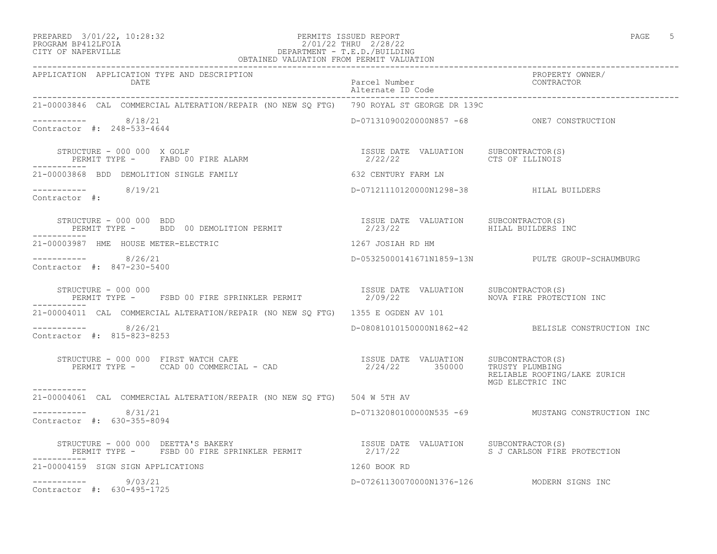#### PREPARED 3/01/22, 10:28:32 PERMITS ISSUED REPORT PAGE 5 PROGRAM BP412LFOIA 2/01/22 THRU 2/28/22 CITY OF NAPERVILLE DEPARTMENT - T.E.D./BUILDING OBTAINED VALUATION FROM PERMIT VALUATION

| 21-00003846 CAL COMMERCIAL ALTERATION/REPAIR (NO NEW SQ FTG) 790 ROYAL ST GEORGE DR 139C                                                                                                                                                         |                                                  |                                                   |
|--------------------------------------------------------------------------------------------------------------------------------------------------------------------------------------------------------------------------------------------------|--------------------------------------------------|---------------------------------------------------|
| $--------- 8/18/21$<br>Contractor #: 248-533-4644                                                                                                                                                                                                | D-07131090020000N857 -68 ONE7 CONSTRUCTION       |                                                   |
| STRUCTURE - 000 000 X GOLF<br>$\begin{tabular}{lllllll} \bf STRUCTURE & - & UUU & UUU & A & GULE \\ \bf PERMIT & TYPE & - & FABD & 00 & FIRE & ALARM \\ \end{tabular}$<br>-----------                                                            | ISSUE DATE VALUATION SUBCONTRACTOR(S)<br>2/22/22 | CTS OF ILLINOIS                                   |
| 21-00003868 BDD DEMOLITION SINGLE FAMILY                                                                                                                                                                                                         | 632 CENTURY FARM LN                              |                                                   |
| $--------$ 8/19/21<br>Contractor #:                                                                                                                                                                                                              | D-07121110120000N1298-38 HILAL BUILDERS          |                                                   |
| STRUCTURE - 000 000 BDD<br>PERMIT TYPE -     BDD 00 DEMOLITION PERMIT<br>___________                                                                                                                                                             |                                                  | HILAL BUILDERS INC                                |
| 21-00003987 HME HOUSE METER-ELECTRIC CONTROL CONTROLLER 1267 JOSIAH RD HM                                                                                                                                                                        |                                                  |                                                   |
| $--------- 8/26/21$<br>Contractor #: 847-230-5400                                                                                                                                                                                                |                                                  | D-05325000141671N1859-13N PULTE GROUP-SCHAUMBURG  |
| STRUCTURE - 000 000<br>PERMIT TYPE -    FSBD 00 FIRE SPRINKLER PERMIT                         2/09/22<br>PERMIT TYPE -     FSBD 00 FIRE SPRINKLER PERMIT                       2/09/22<br>___________                                            |                                                  | NOVA FIRE PROTECTION INC                          |
| 21-00004011 CAL COMMERCIAL ALTERATION/REPAIR (NO NEW SQ FTG) 1355 E OGDEN AV 101                                                                                                                                                                 |                                                  |                                                   |
| $--------- 8/26/21$<br>Contractor #: 815-823-8253                                                                                                                                                                                                |                                                  | D-08081010150000N1862-42 BELISLE CONSTRUCTION INC |
|                                                                                                                                                                                                                                                  |                                                  | RELIABLE ROOFING/LAKE ZURICH<br>MGD ELECTRIC INC  |
| 21-00004061 CAL COMMERCIAL ALTERATION/REPAIR (NO NEW SQ FTG) 504 W 5TH AV                                                                                                                                                                        |                                                  |                                                   |
| $--------- 8/31/21$<br>Contractor #: 630-355-8094                                                                                                                                                                                                |                                                  | D-07132080100000N535 -69 MUSTANG CONSTRUCTION INC |
| STRUCTURE – 000 000 DEETTA'S BAKERY                                    ISSUE DATE VALUATION     SUBCONTRACTOR(S)<br>PERMIT TYPE –     FSBD 00 FIRE SPRINKLER PERMIT                   2/17/22                       S J CARLSON F<br>----------- |                                                  | S J CARLSON FIRE PROTECTION                       |
| 21-00004159 SIGN SIGN APPLICATIONS                                                                                                                                                                                                               | 1260 BOOK RD                                     |                                                   |
| $--------- 9/03/21$<br>Contractor #: 630-495-1725                                                                                                                                                                                                | D-07261130070000N1376-126 MODERN SIGNS INC       |                                                   |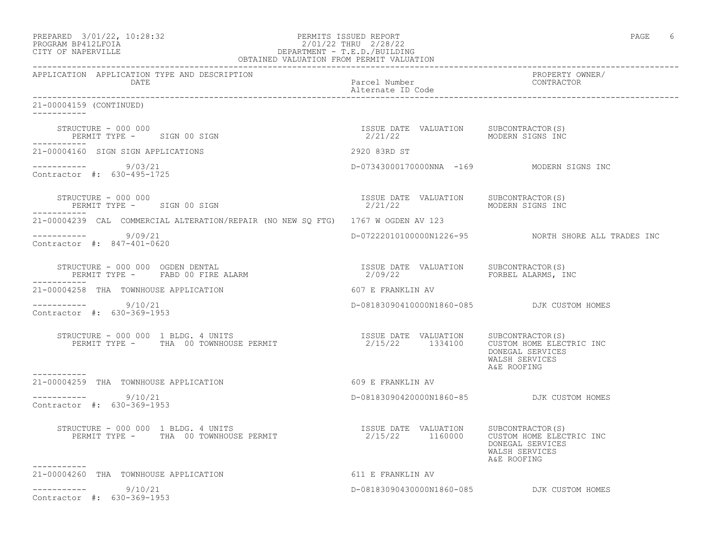| PREPARED 3/01/22, 10:28:32<br>PROGRAM BP412LFOIA<br>CITY OF NAPERVILLE                      | PERMITS ISSUED REPORT                                    | PAGE<br>6                                                                                         |
|---------------------------------------------------------------------------------------------|----------------------------------------------------------|---------------------------------------------------------------------------------------------------|
| APPLICATION APPLICATION TYPE AND DESCRIPTION<br>DATE                                        | Parcel Number<br>Alternate ID Code                       | PROPERTY OWNER/<br>CONTRACTOR                                                                     |
| 21-00004159 (CONTINUED)                                                                     |                                                          |                                                                                                   |
| STRUCTURE - 000 000<br>PERMIT TYPE - SIGN 00 SIGN                                           | ISSUE DATE VALUATION<br>2/21/22                          | SUBCONTRACTOR(S)<br>MODERN SIGNS INC                                                              |
| 21-00004160 SIGN SIGN APPLICATIONS                                                          | 2920 83RD ST                                             |                                                                                                   |
| 9/03/21<br>Contractor #: 630-495-1725                                                       | D-07343000170000NNA -169 MODERN SIGNS INC                |                                                                                                   |
| STRUCTURE - 000 000<br>PERMIT TYPE - SIGN 00 SIGN<br>___________                            | ISSUE DATE VALUATION SUBCONTRACTOR(S)<br>2/21/22         | MODERN SIGNS INC                                                                                  |
| 21-00004239 CAL COMMERCIAL ALTERATION/REPAIR (NO NEW SQ FTG) 1767 W OGDEN AV 123            |                                                          |                                                                                                   |
| $--------- 9/09/21$<br>Contractor #: 847-401-0620                                           |                                                          | D-0722201010000001226-95 NORTH SHORE ALL TRADES INC                                               |
| STRUCTURE - 000 000 OGDEN DENTAL<br>PERMIT TYPE - FABD 00 FIRE ALARM                        | ISSUE DATE VALUATION<br>2/09/22                          | SUBCONTRACTOR(S)<br>FORBEL ALARMS, INC                                                            |
| 21-00004258 THA TOWNHOUSE APPLICATION                                                       | 607 E FRANKLIN AV                                        |                                                                                                   |
| $--------- 9/10/21$<br>Contractor #: 630-369-1953                                           | D-08183090410000N1860-085 DJK CUSTOM HOMES               |                                                                                                   |
| STRUCTURE - 000 000 1 BLDG. 4 UNITS<br>PERMIT TYPE - THA 00 TOWNHOUSE PERMIT<br>----------- | ISSUE DATE VALUATION SUBCONTRACTOR(S)<br>2/15/22 1334100 | CUSTOM HOME ELECTRIC INC<br>DONEGAL SERVICES<br>WALSH SERVICES<br>A&E ROOFING                     |
| 21-00004259 THA TOWNHOUSE APPLICATION                                                       | 609 E FRANKLIN AV                                        |                                                                                                   |
| -----------    9/10/21<br>Contractor #: 630-369-1953                                        | D-08183090420000N1860-85 DJK CUSTOM HOMES                |                                                                                                   |
| STRUCTURE - 000 000 1 BLDG. 4 UNITS<br>PERMIT TYPE - THA 00 TOWNHOUSE PERMIT                | ISSUE DATE VALUATION<br>2/15/22 1160000                  | SUBCONTRACTOR(S)<br>CUSTOM HOME ELECTRIC INC<br>DONEGAL SERVICES<br>WALSH SERVICES<br>A&E ROOFING |
| 21-00004260 THA TOWNHOUSE APPLICATION                                                       | 611 E FRANKLIN AV                                        |                                                                                                   |
| 9/10/21<br>-----------<br>Contractor #: 630-369-1953                                        |                                                          | D-08183090430000N1860-085 DJK CUSTOM HOMES                                                        |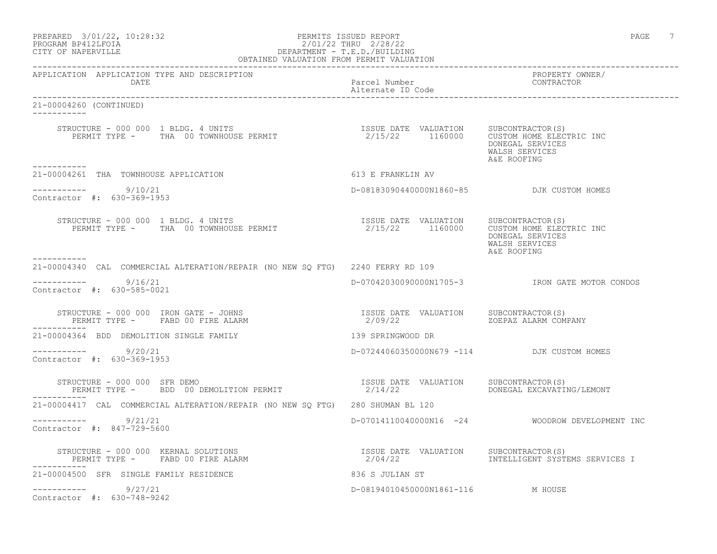|                    | PREPARED 3/01/22, 10:28:32 | PERMITS ISSUED REPORT      | PAGE |  |
|--------------------|----------------------------|----------------------------|------|--|
| PROGRAM RP412LFOTA |                            | 101122<br>2/28/22<br>THRIL |      |  |

#### PROGRAM BP412LFOIA 2/01/22 THRU 2/28/22 CITY OF NAPERVILLE DEPARTMENT - T.E.D./BUILDING OBTAINED VALUATION FROM PERMIT VALUATION

------------------------------------------------------------------------------------------------------------------------------------

APPLICATION APPLICATION TYPE AND DESCRIPTION PROPERTY OWNER/ Parcel Number Alternate ID Code ------------------------------------------------------------------------------------------------------------------------------------ 21-00004260 (CONTINUED) ----------- STRUCTURE - 000 000 1 BLDG. 4 UNITS ISSUE DATE VALUATION SUBCONTRACTOR(S) PERMIT TYPE - THA 00 TOWNHOUSE PERMIT 2/15/22 1160000 CUSTOM HOME ELECTRIC INC DONEGAL SERVICES WALSH SERVICES<br>A&E ROOFING A&E ROOFING ----------- 21-00004261 THA TOWNHOUSE APPLICATION 613 E FRANKLIN AV \_\_\_\_\_\_\_\_\_\_\_ ----------- 9/10/21 D-08183090440000N1860-85 DJK CUSTOM HOMES Contractor #: 630-369-1953 STRUCTURE - 000 000 1 BLDG. 4 UNITS ISSUE DATE VALUATION SUBCONTRACTOR(S) PERMIT TYPE - THA 00 TOWNHOUSE PERMIT 2/15/22 1160000 CUSTOM HOME ELECTRIC INC DONEGAL SERVICES WALSH SERVICES<br>A&E ROOFING A&E ROOFING ----------- 21-00004340 CAL COMMERCIAL ALTERATION/REPAIR (NO NEW SQ FTG) 2240 FERRY RD 109 ----------- 9/16/21 D-07042030090000N1705-3 IRON GATE MOTOR CONDOS Contractor #: 630-585-0021 STRUCTURE - 000 000 IRON GATE - JOHNS ISSUE DATE VALUATION SUBCONTRACTOR(S) PERMIT TYPE - FABD 00 FIRE ALARM  $2/09/22$  2008 20EPAZ ALARM COMPANY ----------- 21-00004364 BDD DEMOLITION SINGLE FAMILY 139 SPRINGWOOD DR ----------- 9/20/21 D-07244060350000N679 -114 DJK CUSTOM HOMES Contractor #: 630-369-1953 STRUCTURE - 000 000 SFR DEMO ISSUE DATE VALUATION SUBCONTRACTOR(S) PERMIT TYPE - BDD 00 DEMOLITION PERMIT 2/14/22 DONEGAL EXCAVATING/LEMONT ----------- 21-00004417 CAL COMMERCIAL ALTERATION/REPAIR (NO NEW SQ FTG) 280 SHUMAN BL 120 ----------- 9/21/21 D-07014110040000N16 -24 WOODROW DEVELOPMENT INC Contractor #: 847-729-5600 STRUCTURE - 000 000 KERNAL SOLUTIONS ISSUE DATE VALUATION SUBCONTRACTOR(S) PERMIT TYPE - FABD 00 FIRE ALARM ----------- 21-00004500 SFR SINGLE FAMILY RESIDENCE 836 S JULIAN ST ----------- 9/27/21 D-08194010450000N1861-116 M HOUSE Contractor #: 630-748-9242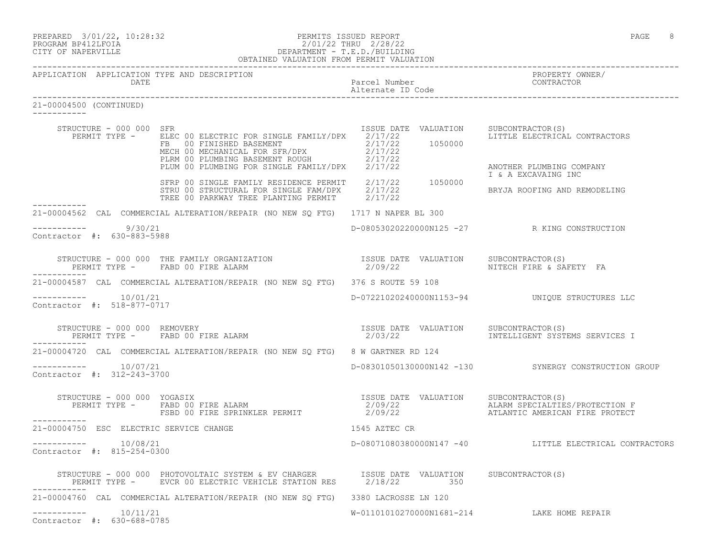|                               | PREPARED 3/01/22, 10:28:32 | PERMITS ISSUED REPORT       | PAGE | 8 |
|-------------------------------|----------------------------|-----------------------------|------|---|
| ___ ___ _ _ _ _ _ _ _ _ _ _ _ |                            | a ia ia an-s-s-a ia ia ia a |      |   |

21-00004500 (CONTINUED)

#### PROGRAM BP412LFOIA 2/01/22 THRU 2/28/22 CITY OF NAPERVILLE DEPARTMENT - T.E.D./BUILDING OBTAINED VALUATION FROM PERMIT VALUATION

Alternate ID Code

------------------------------------------------------------------------------------------------------------------------------------ APPLICATION APPLICATION TYPE AND DESCRIPTION<br>DATE DATE DATE DATE ON AFFILICATION ITED AND DESCRIPTION<br>DATE DATE DATE COMPANY PRESENTED DATE ------------------------------------------------------------------------------------------------------------------------------------

| STRUCTURE - 000 000 SFR                               | PERMIT TYPE - ELEC 00 ELECTRIC FOR SINGLE FAMILY/DPX 2/17/22<br>FR 00 FINISHED BASEMENT<br>MECH 00 MECHANICAL FOR SFR/DPX 2/17/22<br>PLRM 00 PLUMBING BASEMENT ROUGH 2/17/22<br>PLUM 00 PLUMBING FOR SINGLE FAMILY/DPX 2/17/22 | ISSUE DATE VALUATION SUBCONTRACTOR(S)<br>1050000 | LITTLE ELECTRICAL CONTRACTORS<br>ANOTHER PLUMBING COMPANY |
|-------------------------------------------------------|--------------------------------------------------------------------------------------------------------------------------------------------------------------------------------------------------------------------------------|--------------------------------------------------|-----------------------------------------------------------|
| -----------                                           | SFRP 00 SINGLE FAMILY RESIDENCE PERMIT 2/17/22 1050000<br>STRU 00 STRUCTURAL FOR SINGLE FAM/DPX 2/17/22<br>TREE 00 PARKWAY TREE PLANTING PERMIT 2/17/22                                                                        |                                                  | I & A EXCAVAING INC<br>BRYJA ROOFING AND REMODELING       |
|                                                       | 21-00004562 CAL COMMERCIAL ALTERATION/REPAIR (NO NEW SQ FTG) 1717 N NAPER BL 300                                                                                                                                               |                                                  |                                                           |
| $--------- 9/30/21$<br>Contractor #: 630-883-5988     |                                                                                                                                                                                                                                |                                                  | D-08053020220000N125 -27 R KING CONSTRUCTION              |
|                                                       | STRUCTURE - 000 000 THE FAMILY ORGANIZATION                      ISSUE DATE VALUATION    SUBCONTRACTOR(S)<br>PERMIT TYPE -     FABD 00 FIRE ALARM                                 2/09/22                                      |                                                  |                                                           |
|                                                       | 21-00004587 CAL COMMERCIAL ALTERATION/REPAIR (NO NEW SQ FTG) 376 S ROUTE 59 108                                                                                                                                                |                                                  |                                                           |
| -----------    10/01/21<br>Contractor #: 518-877-0717 |                                                                                                                                                                                                                                |                                                  | D-07221020240000N1153-94 UNIQUE STRUCTURES LLC            |
| -----------                                           |                                                                                                                                                                                                                                |                                                  | 2/03/22 INTELLIGENT SYSTEMS SERVICES I                    |
|                                                       | 21-00004720 CAL COMMERCIAL ALTERATION/REPAIR (NO NEW SO FTG) 8 W GARTNER RD 124                                                                                                                                                |                                                  |                                                           |
| $--------- 10/07/21$<br>Contractor #: 312-243-3700    |                                                                                                                                                                                                                                |                                                  | D-08301050130000N142 -130 SYNERGY CONSTRUCTION GROUP      |
| ------------                                          |                                                                                                                                                                                                                                |                                                  |                                                           |
| 21-00004750 ESC ELECTRIC SERVICE CHANGE               |                                                                                                                                                                                                                                | 1545 AZTEC CR                                    |                                                           |
| $--------- 10/08/21$<br>Contractor #: 815-254-0300    |                                                                                                                                                                                                                                |                                                  | D-08071080380000N147 -40 LITTLE ELECTRICAL CONTRACTORS    |
|                                                       | STRUCTURE – 000 000 PHOTOVOLTAIC SYSTEM & EV CHARGER ISSUE DATE VALUATION SUBCONTRACTOR(S)<br>PERMIT TYPE – EVCR 00 ELECTRIC VEHICLE STATION RES 2/18/22 350                                                                   |                                                  |                                                           |
|                                                       | 21-00004760 CAL COMMERCIAL ALTERATION/REPAIR (NO NEW SO FTG) 3380 LACROSSE LN 120                                                                                                                                              |                                                  |                                                           |
| $--------- 10/11/21$<br>Contractor #: 630-688-0785    |                                                                                                                                                                                                                                |                                                  | W-01101010270000N1681-214 LAKE HOME REPAIR                |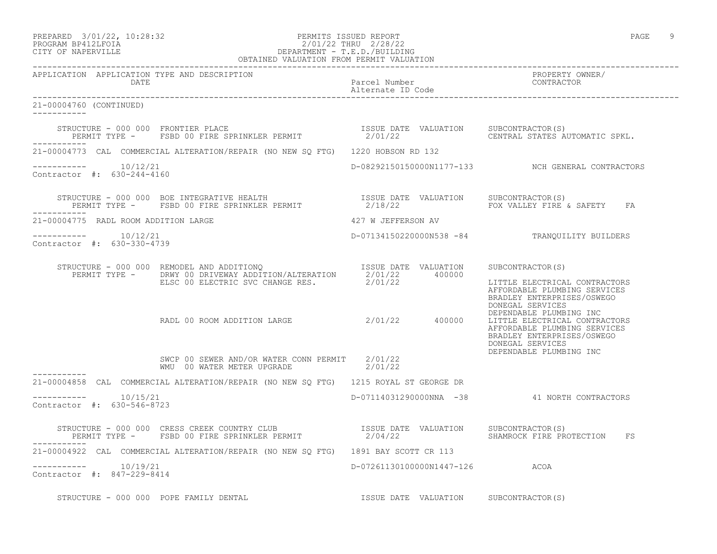#### PREPARED 3/01/22, 10:28:32 PERMITS ISSUED REPORT PAGE 9 PROGRAM BP412LFOIA 2/01/22 THRU 2/28/22 CITY OF NAPERVILLE DEPARTMENT - T.E.D./BUILDING OBTAINED VALUATION FROM PERMIT VALUATION

| APPLICATION APPLICATION TYPE AND DESCRIPTION<br>DATE |                                                                                                                                                                                    |                                       |                                                                                                                                            |
|------------------------------------------------------|------------------------------------------------------------------------------------------------------------------------------------------------------------------------------------|---------------------------------------|--------------------------------------------------------------------------------------------------------------------------------------------|
| 21-00004760 (CONTINUED)<br>___________               |                                                                                                                                                                                    |                                       |                                                                                                                                            |
|                                                      | STRUCTURE - 000 000 FRONTIER PLACE<br>PERMIT TYPE - FSBD 00 FIRE SPRINKLER PERMIT - 2/01/22 CENTRAL STATES AUTOMATIC SPKL.                                                         |                                       |                                                                                                                                            |
|                                                      | 21-00004773 CAL COMMERCIAL ALTERATION/REPAIR (NO NEW SQ FTG) 1220 HOBSON RD 132                                                                                                    |                                       |                                                                                                                                            |
| $--------- 10/12/21$<br>Contractor #: 630-244-4160   |                                                                                                                                                                                    |                                       | D-08292150150000N1177-133 NCH GENERAL CONTRACTORS                                                                                          |
| ___________                                          |                                                                                                                                                                                    |                                       |                                                                                                                                            |
| 21-00004775 RADL ROOM ADDITION LARGE                 |                                                                                                                                                                                    | 427 W JEFFERSON AV                    |                                                                                                                                            |
| $--------- 10/12/21$<br>Contractor #: 630-330-4739   |                                                                                                                                                                                    |                                       | D-07134150220000N538 -84 TRANQUILITY BUILDERS                                                                                              |
|                                                      | STRUCTURE - 000 000 REMODEL AND ADDITIONQ<br>PERMIT TYPE - DRWY 00 DRIVEWAY ADDITION/ALTERATION 2/01/22 400000<br>ELSC 00 ELECTRIC SVC CHANGE RES. 2/01/22 400000 LITTLE ELECTRICA |                                       | LITTLE ELECTRICAL CONTRACTORS<br>AFFORDABLE PLUMBING SERVICES<br>BRADLEY ENTERPRISES/OSWEGO<br>DONEGAL SERVICES                            |
|                                                      | RADL 00 ROOM ADDITION LARGE 2/01/22 400000                                                                                                                                         |                                       | DEPENDABLE PLUMBING INC<br>LITTLE ELECTRICAL CONTRACTORS<br>AFFORDABLE PLUMBING SERVICES<br>BRADLEY ENTERPRISES/OSWEGO<br>DONEGAL SERVICES |
|                                                      | SWCP 00 SEWER AND/OR WATER CONN PERMIT 2/01/22<br>WMU 00 WATER METER UPGRADE 2/01/22                                                                                               |                                       | DEPENDABLE PLUMBING INC                                                                                                                    |
| -----------                                          | 21-00004858 CAL COMMERCIAL ALTERATION/REPAIR (NO NEW SQ FTG) 1215 ROYAL ST GEORGE DR                                                                                               |                                       |                                                                                                                                            |
| $--------- 10/15/21$<br>Contractor #: 630-546-8723   |                                                                                                                                                                                    |                                       | D-07114031290000NNA -38 41 NORTH CONTRACTORS                                                                                               |
|                                                      |                                                                                                                                                                                    |                                       | SHAMROCK FIRE PROTECTION FS                                                                                                                |
|                                                      | 21-00004922 CAL COMMERCIAL ALTERATION/REPAIR (NO NEW SQ FTG) 1891 BAY SCOTT CR 113                                                                                                 |                                       |                                                                                                                                            |
| $--------- 10/19/21$<br>Contractor #: 847-229-8414   |                                                                                                                                                                                    | D-07261130100000N1447-126 ACOA        |                                                                                                                                            |
| STRUCTURE - 000 000 POPE FAMILY DENTAL               |                                                                                                                                                                                    | ISSUE DATE VALUATION SUBCONTRACTOR(S) |                                                                                                                                            |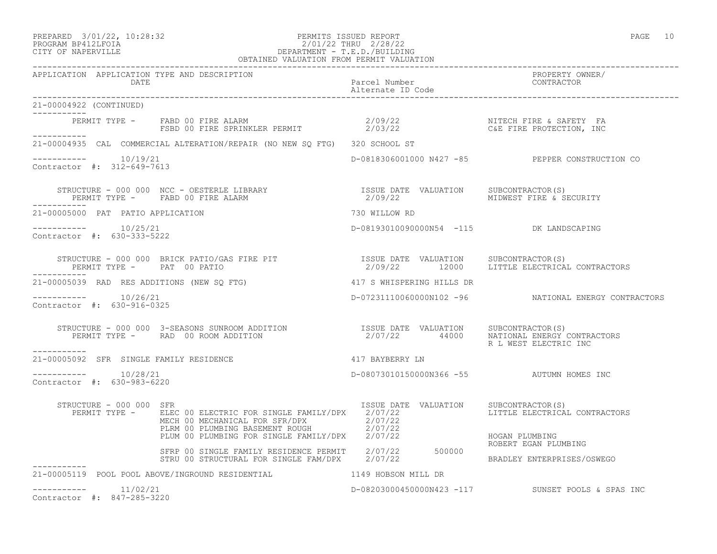#### PREPARED 3/01/22, 10:28:32 PERMITS ISSUED REPORT PAGE 10 PROGRAM BP412LFOIA 2/01/22 THRU 2/28/22 CITY OF NAPERVILLE DEPARTMENT - T.E.D./BUILDING OBTAINED VALUATION FROM PERMIT VALUATION

| APPLICATION APPLICATION TYPE AND DESCRIPTION       |                                                                                                                                                                                                                                                                                                                                                                                                                                              |                                           |                                                      |
|----------------------------------------------------|----------------------------------------------------------------------------------------------------------------------------------------------------------------------------------------------------------------------------------------------------------------------------------------------------------------------------------------------------------------------------------------------------------------------------------------------|-------------------------------------------|------------------------------------------------------|
| 21-00004922 (CONTINUED)<br>------------            |                                                                                                                                                                                                                                                                                                                                                                                                                                              |                                           |                                                      |
| ___________                                        |                                                                                                                                                                                                                                                                                                                                                                                                                                              |                                           |                                                      |
|                                                    | 21-00004935 CAL COMMERCIAL ALTERATION/REPAIR (NO NEW SQ FTG) 320 SCHOOL ST                                                                                                                                                                                                                                                                                                                                                                   |                                           |                                                      |
| $--------- 10/19/21$<br>Contractor #: 312-649-7613 |                                                                                                                                                                                                                                                                                                                                                                                                                                              |                                           | D-0818306001000 N427 -85 PEPPER CONSTRUCTION CO      |
|                                                    | STRUCTURE – 000 000 NCC – OESTERLE LIBRARY                        ISSUE DATE VALUATION    SUBCONTRACTOR(S)<br>PERMIT TYPE –     FABD 00 FIRE ALARM                                 2/09/22                 MIDWEST FIRE & SECURIT                                                                                                                                                                                                            |                                           |                                                      |
| -----------<br>21-00005000 PAT PATIO APPLICATION   |                                                                                                                                                                                                                                                                                                                                                                                                                                              | 730 WILLOW RD                             |                                                      |
| $--------- 10/25/21$<br>Contractor #: 630-333-5222 |                                                                                                                                                                                                                                                                                                                                                                                                                                              | D-08193010090000N54 -115 DK LANDSCAPING   |                                                      |
| -----------                                        | $\begin{array}{cccccc} \texttt{STRUCTURE} & - & 000 & 000 & \texttt{BRICK} & \texttt{PATH} & \texttt{RTT} & \texttt{RSTR} & \texttt{RSTR} & \texttt{RSTR} & \texttt{RSTR} & \texttt{NALUATION} & \texttt{SUBCONTRACTOR(S)} \\ \texttt{PERMIT TYPE} & - & \texttt{PAT} & 00 & \texttt{PATHIO} & \texttt{RSTR} & \texttt{RSTR} & \texttt{RSTR} & \texttt{RSTR} & \texttt{RSTR} & \texttt{RSTR} & \texttt{RSTR} & \texttt{RSTR} & \texttt{RSTR$ |                                           |                                                      |
| 21-00005039 RAD RES ADDITIONS (NEW SO FTG)         |                                                                                                                                                                                                                                                                                                                                                                                                                                              | 417 S WHISPERING HILLS DR                 |                                                      |
| $--------- 10/26/21$<br>Contractor #: 630-916-0325 |                                                                                                                                                                                                                                                                                                                                                                                                                                              |                                           | D-07231110060000N102 -96 NATIONAL ENERGY CONTRACTORS |
| ----------                                         | $\begin{array}{cccc} \texttt{STRUCTURE} & - & 000 & 000 & 3-SEASONS & \texttt{SUNROM ADDITION} & \texttt{ISSUE} & \texttt{DATE} & \texttt{VALUATION} & \texttt{SUBCONTRACTOR(S)}\\ \texttt{PERMIT TYPE} & - & \texttt{RAD} & 00\texttt{ ROOTION} & \texttt{ADDITION} & 2/07/22 & 44000 & \texttt{NATIONAL ENERGY CONTRACTORS} \end{array}$                                                                                                   |                                           | R L WEST ELECTRIC INC                                |
| 21-00005092 SFR SINGLE FAMILY RESIDENCE            | 417 BAYBERRY LN                                                                                                                                                                                                                                                                                                                                                                                                                              |                                           |                                                      |
| Contractor #: 630-983-6220                         |                                                                                                                                                                                                                                                                                                                                                                                                                                              | D-08073010150000N366 -55 AUTUMN HOMES INC |                                                      |
| STRUCTURE - 000 000 SFR                            | PERMIT TYPE - ELEC 00 ELECTRIC FOR SINGLE FAMILY/DPX 2/07/22<br>MECH 00 MECHANICAL FOR SFR/DPX 2/07/22<br>PLRM 00 PLUMBING BASEMENT ROUGH 2/07/22                                                                                                                                                                                                                                                                                            | ISSUE DATE VALUATION SUBCONTRACTOR(S)     | LITTLE ELECTRICAL CONTRACTORS                        |
|                                                    | PLUM 00 PLUMBING FOR SINGLE FAMILY/DPX 2/07/22<br>PLUM 00 PLUMBING FOR SINGLE FAMILY/DPX 2/07/22<br>SFRP 00 SINGLE FAMILY RESIDENCE PERMIT 2/07/22 500000                                                                                                                                                                                                                                                                                    |                                           | HOGAN PLUMBING<br>ROBERT EGAN PLUMBING               |
|                                                    | STRU 00 STRUCTURAL FOR SINGLE FAM/DPX 2/07/22                                                                                                                                                                                                                                                                                                                                                                                                |                                           | BRADLEY ENTERPRISES/OSWEGO                           |
|                                                    | 21-00005119 POOL POOL ABOVE/INGROUND RESIDENTIAL THE REAL REAGER ON MILL DR                                                                                                                                                                                                                                                                                                                                                                  |                                           |                                                      |
| 11/02/21<br>------------                           |                                                                                                                                                                                                                                                                                                                                                                                                                                              |                                           | D-08203000450000N423 -117 SUNSET POOLS & SPAS INC    |

Contractor #: 847-285-3220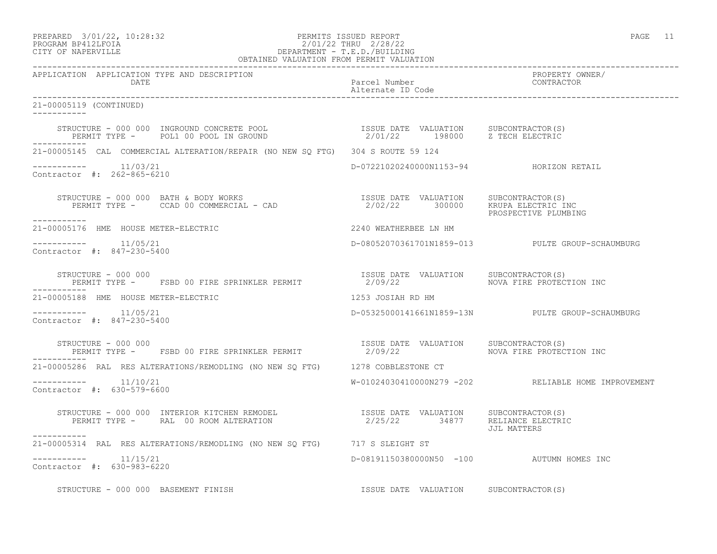# PREPARED 3/01/22, 10:28:32 PERMITS ISSUED REPORT PAGE 11 PROGRAM BP412LFOIA 2/01/22 THRU 2/28/22 CITY OF NAPERVILLE DEPARTMENT - T.E.D./BUILDING

|                                                                                                                                                                                                                            | OBTAINED VALUATION FROM PERMIT VALUATION  |                                                     |  |  |
|----------------------------------------------------------------------------------------------------------------------------------------------------------------------------------------------------------------------------|-------------------------------------------|-----------------------------------------------------|--|--|
| APPLICATION APPLICATION TYPE AND DESCRIPTION<br>DATE                                                                                                                                                                       | Parcel Number<br>Alternate ID Code        | PROPERTY OWNER/<br>CONTRACTOR                       |  |  |
| 21-00005119 (CONTINUED)<br>-----------                                                                                                                                                                                     |                                           |                                                     |  |  |
| STRUCTURE – 000 000 INGROUND CONCRETE POOL                       ISSUE DATE VALUATION     SUBCONTRACTOR(S)<br>PERMIT TYPE –     POL1 00 POOL IN GROUND                            2/01/22       198000     Z TECH ELECTRIC |                                           |                                                     |  |  |
| 21-00005145 CAL COMMERCIAL ALTERATION/REPAIR (NO NEW SO FTG) 304 S ROUTE 59 124                                                                                                                                            |                                           |                                                     |  |  |
| $--------- 11/03/21$<br>Contractor #: 262-865-6210                                                                                                                                                                         | D-07221020240000N1153-94 HORIZON RETAIL   |                                                     |  |  |
| ------------                                                                                                                                                                                                               |                                           | PROSPECTIVE PLUMBING                                |  |  |
| 21-00005176 HME HOUSE METER-ELECTRIC 2240 WEATHERBEE LN HM                                                                                                                                                                 |                                           |                                                     |  |  |
| Contractor #: 847-230-5400                                                                                                                                                                                                 |                                           | D-08052070361701N1859-013 PULTE GROUP-SCHAUMBURG    |  |  |
| STRUCTURE - 000 000<br>PERMIT TYPE - FSBD 00 FIRE SPRINKLER PERMIT                                                                                                                                                         | ISSUE DATE VALUATION SUBCONTRACTOR (S)    |                                                     |  |  |
| 21-00005188 HME HOUSE METER-ELECTRIC<br>1253 JOSIAH RD HM                                                                                                                                                                  |                                           |                                                     |  |  |
| Contractor #: 847-230-5400                                                                                                                                                                                                 |                                           | D-05325000141661N1859-13N PULTE GROUP-SCHAUMBURG    |  |  |
| STRUCTURE - 000 000                                                                                                                                                                                                        |                                           |                                                     |  |  |
| 21-00005286 RAL RES ALTERATIONS/REMODLING (NO NEW SQ FTG) 1278 COBBLESTONE CT                                                                                                                                              |                                           |                                                     |  |  |
| $--------- 11/10/21$<br>Contractor #: 630-579-6600                                                                                                                                                                         |                                           | W-01024030410000N279 -202 RELIABLE HOME IMPROVEMENT |  |  |
| -----------                                                                                                                                                                                                                |                                           | JJL MATTERS                                         |  |  |
| 21-00005314 RAL RES ALTERATIONS/REMODLING (NO NEW SQ FTG) 717 S SLEIGHT ST                                                                                                                                                 |                                           |                                                     |  |  |
| $--------- 11/15/21$<br>Contractor #: 630-983-6220                                                                                                                                                                         | D-08191150380000N50 -100 AUTUMN HOMES INC |                                                     |  |  |
| STRUCTURE - 000 000 BASEMENT FINISH                                                                                                                                                                                        | ISSUE DATE VALUATION SUBCONTRACTOR(S)     |                                                     |  |  |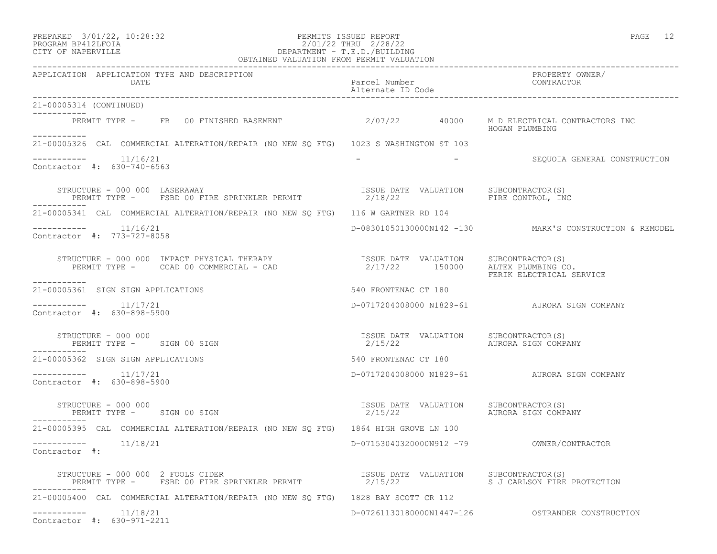| PREPARED             | $3/01/22$ , $10:28:32$ |  |
|----------------------|------------------------|--|
| גדמת זרונתם ווגמממסת |                        |  |

#### PREPARED 3/01/22, 10:28:32 PERMITS ISSUED REPORT<br>PROGRAM BP412LFOIA PAGE 12<br>2/01/22 THRU 2/28/22 PROGRAM BP412LFOIA 2/01/22 THRU 2/28/22<br>CITY OF NAPERVILLE DEPARTMENT - T.E.D./BUILDIN CITY OF NAPERVILLE DEPARTMENT - T.E.D./BUILDING

| OBTAINED VALUATION FROM PERMIT VALUATION                                                                                                                                                                                                                                                                                                                                                             |                                                  |                                                         |  |
|------------------------------------------------------------------------------------------------------------------------------------------------------------------------------------------------------------------------------------------------------------------------------------------------------------------------------------------------------------------------------------------------------|--------------------------------------------------|---------------------------------------------------------|--|
| APPLICATION APPLICATION TYPE AND DESCRIPTION<br>DATE                                                                                                                                                                                                                                                                                                                                                 | Parcel Number<br>Alternate ID Code               | PROPERTY OWNER/<br>CONTRACTOR                           |  |
| 21-00005314 (CONTINUED)<br>------------                                                                                                                                                                                                                                                                                                                                                              |                                                  |                                                         |  |
| PERMIT TYPE - FB 00 FINISHED BASEMENT 62/07/22 40000<br>-----------                                                                                                                                                                                                                                                                                                                                  |                                                  | M D ELECTRICAL CONTRACTORS INC<br>HOGAN PLUMBING        |  |
| 21-00005326 CAL COMMERCIAL ALTERATION/REPAIR (NO NEW SQ FTG) 1023 S WASHINGTON ST 103                                                                                                                                                                                                                                                                                                                |                                                  |                                                         |  |
| $--------$ 11/16/21<br>Contractor #: 630-740-6563                                                                                                                                                                                                                                                                                                                                                    |                                                  | - SEQUOIA GENERAL CONSTRUCTION                          |  |
| STRUCTURE - 000 000 LASERAWAY<br>$\begin{array}{cccccc} \texttt{TRUCTURE} & - & 000 & 000 & \texttt{LASERAWAY} & & & & & & \\ \texttt{PERMIT TYPE} & - & & \texttt{FSBD} & 00 & \texttt{FIRE SPRINKLER PERMIT} & & & & & \\ \end{array} \qquad \begin{array}{cccccc} \texttt{ISSUE} & \texttt{DATE} & \texttt{VALUATION} & & \texttt{SUBCONTRACTOR(S)} \\ \texttt{2/18/22} & & & & & \\ \end{array}$ |                                                  |                                                         |  |
| 21-00005341 CAL COMMERCIAL ALTERATION/REPAIR (NO NEW SQ FTG) 116 W GARTNER RD 104                                                                                                                                                                                                                                                                                                                    |                                                  |                                                         |  |
| $--------- 11/16/21$<br>Contractor #: 773-727-8058                                                                                                                                                                                                                                                                                                                                                   |                                                  | D-08301050130000N142 -130 MARK'S CONSTRUCTION & REMODEL |  |
| STRUCTURE - 000 000 IMPACT PHYSICAL THERAPY                        ISSUE DATE VALUATION     SUBCONTRACTOR(S)<br>PERMIT TYPE -     CCAD 00 COMMERCIAL - CAD                              2/17/22       150000     ALTEX PLUMBING C                                                                                                                                                                    |                                                  | FERIK ELECTRICAL SERVICE                                |  |
| ----------<br>21-00005361 SIGN SIGN APPLICATIONS                                                                                                                                                                                                                                                                                                                                                     | 540 FRONTENAC CT 180                             |                                                         |  |
| 11/17/21<br>__________<br>Contractor #: 630-898-5900                                                                                                                                                                                                                                                                                                                                                 |                                                  | D-0717204008000 N1829-61 AURORA SIGN COMPANY            |  |
| STRUCTURE - 000 000<br>PERMIT TYPE - SIGN 00 SIGN                                                                                                                                                                                                                                                                                                                                                    | ISSUE DATE VALUATION SUBCONTRACTOR(S)<br>2/15/22 | AURORA SIGN COMPANY                                     |  |
| 21-00005362 SIGN SIGN APPLICATIONS                                                                                                                                                                                                                                                                                                                                                                   | 540 FRONTENAC CT 180                             |                                                         |  |
| $--------- 11/17/21$<br>Contractor #: 630-898-5900                                                                                                                                                                                                                                                                                                                                                   |                                                  | D-0717204008000 N1829-61 AURORA SIGN COMPANY            |  |
| STRUCTURE - 000 000<br>PERMIT TYPE - SIGN 00 SIGN                                                                                                                                                                                                                                                                                                                                                    | ISSUE DATE VALUATION<br>2/15/22                  | SUBCONTRACTOR(S)<br>AURORA SIGN COMPANY                 |  |
| 21-00005395 CAL COMMERCIAL ALTERATION/REPAIR (NO NEW SO FTG) 1864 HIGH GROVE LN 100                                                                                                                                                                                                                                                                                                                  |                                                  |                                                         |  |
| Contractor #:                                                                                                                                                                                                                                                                                                                                                                                        |                                                  | D-07153040320000N912 -79 OWNER/CONTRACTOR               |  |
| STRUCTURE - 000 000 2 FOOLS CIDER                                                                                                                                                                                                                                                                                                                                                                    |                                                  |                                                         |  |
| 21-00005400 CAL COMMERCIAL ALTERATION/REPAIR (NO NEW SQ FTG) 1828 BAY SCOTT CR 112                                                                                                                                                                                                                                                                                                                   |                                                  |                                                         |  |
| 11/18/21<br>Contractor #: 630-971-2211                                                                                                                                                                                                                                                                                                                                                               |                                                  |                                                         |  |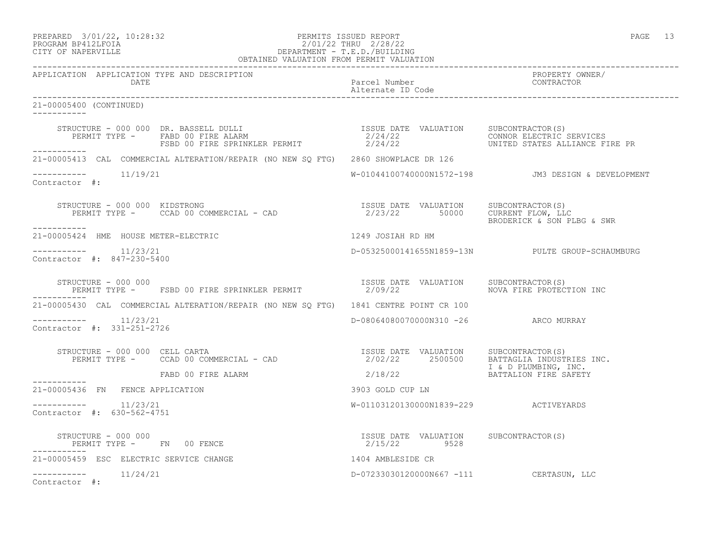#### PREPARED 3/01/22, 10:28:32 PERMITS ISSUED REPORT PAGE 13 PROGRAM BP412LFOIA 2/01/22 THRU 2/28/22 CITY OF NAPERVILLE DEPARTMENT - T.E.D./BUILDING OBTAINED VALUATION FROM PERMIT VALUATION

------------------------------------------------------------------------------------------------------------------------------------ APPLICATION APPLICATION TYPE AND DESCRIPTION<br>DATE bated parcel Number property owner/ DATE Parcel Number CONTRACTOR Alternate ID Code ------------------------------------------------------------------------------------------------------------------------------------ 21-00005400 (CONTINUED) ----------- STRUCTURE - 000 000 DR. BASSELL DULLI ISSUE DATE VALUATION SUBCONTRACTOR(S) PERMIT TYPE - FABD 00 FIRE ALARM 2/24/22 CONNOR ELECTRIC SERVICES FSBD 00 FIRE SPRINKLER PERMIT 2/24/22 UNITED STATES ALLIANCE FIRE PR ----------- 21-00005413 CAL COMMERCIAL ALTERATION/REPAIR (NO NEW SQ FTG) 2860 SHOWPLACE DR 126  $--------- 11/19/21$ W-01044100740000N1572-198 JM3 DESIGN & DEVELOPMENT Contractor #: STRUCTURE - 000 000 KIDSTRONG ISSUE DATE VALUATION SUBCONTRACTOR(S) PERMIT TYPE - CCAD 00 COMMERCIAL - CAD 19902 1991 1112 1112<br>2/23/22 50000 10RRENT FLOW, LLC<br>BRODERICK & SON PLBG & SWR ----------- 21-00005424 HME HOUSE METER-ELECTRIC 1249 JOSIAH RD HM  $--------- 11/23/21$ ----------- 11/23/21 D-05325000141655N1859-13N PULTE GROUP-SCHAUMBURG Contractor #: 847-230-5400 STRUCTURE - 000 000 ISSUE DATE VALUATION SUBCONTRACTOR(S) PERMIT TYPE - FSBD 00 FIRE SPRINKLER PERMIT  $2/09/22$  NOVA FIRE PROTECTION INC ----------- 21-00005430 CAL COMMERCIAL ALTERATION/REPAIR (NO NEW SQ FTG) 1841 CENTRE POINT CR 100 ----------- 11/23/21 D-08064080070000N310 -26 ARCO MURRAY Contractor #: 331-251-2726 STRUCTURE - 000 000 CELL CARTA ISSUE DATE VALUATION SUBCONTRACTOR(S)<br>PERMIT TYPE - CCAD 00 COMMERCIAL - CAD 10 COMMERCIAL - CAD 2/02/22 2500500 BATTAGLIA INDUSTRIES INC.<br>I & D PLUMBING, INC. I & D PLUMBING, INC. FABD 00 FIRE ALARM 2/18/22 BATTALION FIRE SAFETY ----------- 21-00005436 FN FENCE APPLICATION 3903 GOLD CUP LN \_\_\_\_\_\_\_\_\_\_\_ ----------- 11/23/21 W-01103120130000N1839-229 ACTIVEYARDS Contractor #: 630-562-4751 STRUCTURE - 000 000 ISSUE DATE VALUATION SUBCONTRACTOR(S) PERMIT TYPE - FN 00 FENCE ----------- 21-00005459 ESC ELECTRIC SERVICE CHANGE 1404 AMBLESIDE CR ----------- 11/24/21 D-07233030120000N667 -111 CERTASUN, LLC Contractor #: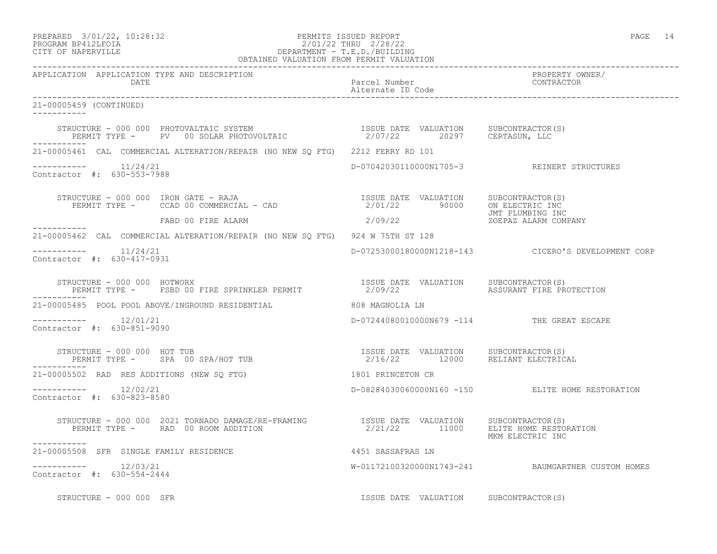### PREPARED 3/01/22, 10:28:32 PERMITS ISSUED REPORT PAGE 14 PROGRAM BP412LFOIA 2/01/22 THRU 2/28/22 CITY OF NAPERVILLE DEPARTMENT - T.E.D./BUILDING

| OBTAINED VALUATION FROM PERMIT VALUATION                                                                                                                                                                                              |                                            |                                                     |
|---------------------------------------------------------------------------------------------------------------------------------------------------------------------------------------------------------------------------------------|--------------------------------------------|-----------------------------------------------------|
| APPLICATION APPLICATION TYPE AND DESCRIPTION<br><b>DATE</b>                                                                                                                                                                           | Parcel Number<br>Alternate ID Code         | PROPERTY OWNER/<br>CONTRACTOR                       |
| 21-00005459 (CONTINUED)<br>------------                                                                                                                                                                                               |                                            |                                                     |
| STRUCTURE – 000 000 PHOTOVALTAIC SYSTEM                            ISSUE DATE VALUATION     SUBCONTRACTOR(S)<br>PERMIT TYPE –     PV   00 SOLAR PHOTOVOLTAIC                      2/07/22      20297     CERTASUN, LLC<br>----------- |                                            |                                                     |
| 21-00005461 CAL COMMERCIAL ALTERATION/REPAIR (NO NEW SO FTG) 2212 FERRY RD 101                                                                                                                                                        |                                            |                                                     |
| $--------- 11/24/21$<br>Contractor #: 630-553-7988                                                                                                                                                                                    |                                            | D-07042030110000N1705-3 REINERT STRUCTURES          |
| STRUCTURE - 000 000 IRON GATE - RAJA<br>PERMIT TYPE - CCAD 00 COMMERCIAL - CAD (2701/22 90000 ON ELECTRIC INC<br>FABD 00 FIRE ALARM 2/01/22 90000 ON ELECTRIC INC                                                                     |                                            |                                                     |
|                                                                                                                                                                                                                                       |                                            |                                                     |
| 21-00005462 CAL COMMERCIAL ALTERATION/REPAIR (NO NEW SQ FTG) 924 W 75TH ST 128                                                                                                                                                        |                                            |                                                     |
| Contractor #: 630-417-0931                                                                                                                                                                                                            |                                            | D-07253000180000N1218-143 CICERO'S DEVELOPMENT CORP |
| STRUCTURE - 000 000 HOTWORX<br>PERMIT TYPE - FSBD 00 FIRE SPRINKLER PERMIT                  2/09/22                 ASSURANT FIRE PROTECTION<br>------------                                                                          |                                            |                                                     |
| 21-00005485 POOL POOL ABOVE/INGROUND RESIDENTIAL 608 MAGNOLIA LN                                                                                                                                                                      |                                            |                                                     |
| $--------- 12/01/21$<br>Contractor #: 630-851-9090                                                                                                                                                                                    | D-07244080010000N679 -114 THE GREAT ESCAPE |                                                     |
|                                                                                                                                                                                                                                       |                                            |                                                     |
| 21-00005502 RAD RES ADDITIONS (NEW SO FTG)                                                                                                                                                                                            | 1801 PRINCETON CR                          |                                                     |
| Contractor #: 630-823-8580                                                                                                                                                                                                            |                                            | D-08284030060000N160 -150 ELITE HOME RESTORATION    |
| STRUCTURE - 000 000 2021 TORNADO DAMAGE/RE-FRAMING            ISSUE DATE VALUATION     SUBCONTRACTOR(S)<br>PERMIT TYPE -     RAD 00 ROOM ADDITION                         2/21/22       11000     ELITE HOME RESTORATION              |                                            | MKM ELECTRIC INC                                    |
| 21-00005508 SFR SINGLE FAMILY RESIDENCE                                                                                                                                                                                               | 4451 SASSAFRAS LN                          |                                                     |
| Contractor #: 630-554-2444                                                                                                                                                                                                            |                                            | W-01172100320000N1743-241 BAUMGARTNER CUSTOM HOMES  |
| STRUCTURE - 000 000 SFR                                                                                                                                                                                                               | ISSUE DATE VALUATION SUBCONTRACTOR(S)      |                                                     |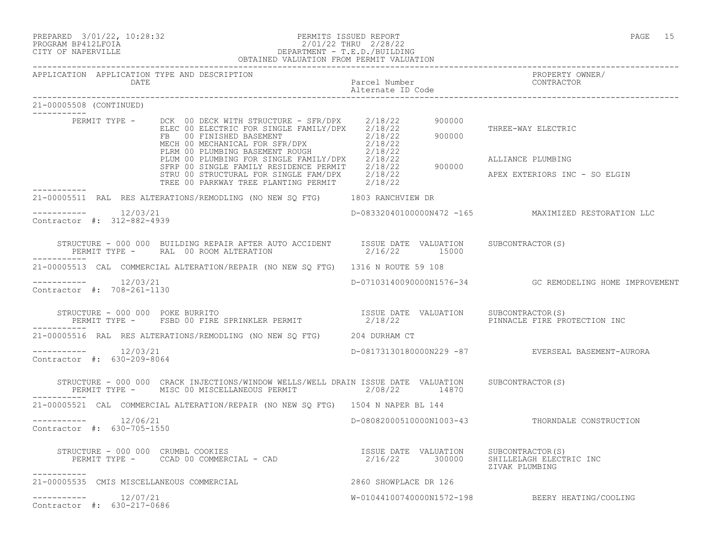#### PREPARED 3/01/22, 10:28:32 PERMITS ISSUED REPORT PAGE 15 PROGRAM BP412LFOIA 2/01/22 THRU 2/28/22 CITY OF NAPERVILLE DEPARTMENT - T.E.D./BUILDING

|                                        |                                                       | OBTAINED VALUATION FROM PERMIT VALUATION                                                                                                                                                                                               |                                    |                                                         |
|----------------------------------------|-------------------------------------------------------|----------------------------------------------------------------------------------------------------------------------------------------------------------------------------------------------------------------------------------------|------------------------------------|---------------------------------------------------------|
|                                        | DATE                                                  | APPLICATION APPLICATION TYPE AND DESCRIPTION                                                                                                                                                                                           | Parcel Number<br>Alternate ID Code | PROPERTY OWNER/<br>CONTRACTOR                           |
| 21-00005508 (CONTINUED)<br>___________ |                                                       |                                                                                                                                                                                                                                        |                                    |                                                         |
|                                        |                                                       |                                                                                                                                                                                                                                        |                                    | THREE-WAY ELECTRIC                                      |
|                                        |                                                       | PERMIT TYPE - DCK 00 DECK WITH STRUCTURE - SFR/DPX 2/18/22 900000<br>ELEC 00 ELECTRIC FOR SINGLE FAMILY/DPX 2/18/22<br>FB 00 FINISHED BASEMENT 2/18/22 900000<br>MECH 00 MECHANICAL FOR SFR/DPX 2/18/22<br>PLRM 00 PLUMBING BASEMENT R |                                    | ALLIANCE PLUMBING<br>APEX EXTERIORS INC - SO ELGIN      |
|                                        |                                                       | 21-00005511 RAL RES ALTERATIONS/REMODLING (NO NEW SQ FTG) 1803 RANCHVIEW DR                                                                                                                                                            |                                    |                                                         |
|                                        | -----------    12/03/21<br>Contractor #: 312-882-4939 |                                                                                                                                                                                                                                        |                                    | D-08332040100000N472 -165 MAXIMIZED RESTORATION LLC     |
|                                        |                                                       | STRUCTURE - 000 000 BUILDING REPAIR AFTER AUTO ACCIDENT ISSUE DATE VALUATION SUBCONTRACTOR(S)<br>PERMIT TYPE - RAL 00 ROOM ALTERATION                                                                                                  | 2/16/22 15000                      |                                                         |
|                                        |                                                       | 21-00005513 CAL COMMERCIAL ALTERATION/REPAIR (NO NEW SQ FTG) 1316 N ROUTE 59 108                                                                                                                                                       |                                    |                                                         |
|                                        | $--------$ 12/03/21<br>Contractor #: 708-261-1130     |                                                                                                                                                                                                                                        |                                    | D-07103140090000N1576-34 GC REMODELING HOME IMPROVEMENT |
|                                        |                                                       | STRUCTURE - 000 000 POKE BURRITO<br>PERMIT TYPE -    FSBD 00 FIRE SPRINKLER PERMIT                   2/18/22               PINNACLE FIRE PROTECTION                                                                                    |                                    | PINNACLE FIRE PROTECTION INC                            |
|                                        |                                                       | 21-00005516 RAL RES ALTERATIONS/REMODLING (NO NEW SQ FTG) 204 DURHAM CT                                                                                                                                                                |                                    |                                                         |
|                                        | Contractor #: 630-209-8064                            |                                                                                                                                                                                                                                        |                                    | D-08173130180000N229 -87 EVERSEAL BASEMENT-AURORA       |
| ------------                           |                                                       | STRUCTURE - 000 000 CRACK INJECTIONS/WINDOW WELLS/WELL DRAIN ISSUE DATE VALUATION SUBCONTRACTOR(S)<br>PERMIT TYPE - MISC 00 MISCELLANEOUS PERMIT 42/08/22 14870                                                                        |                                    |                                                         |
|                                        |                                                       | 21-00005521 CAL COMMERCIAL ALTERATION/REPAIR (NO NEW SO FTG) 1504 N NAPER BL 144                                                                                                                                                       |                                    |                                                         |
|                                        | -----------    12/06/21<br>Contractor #: 630-705-1550 |                                                                                                                                                                                                                                        |                                    | D-08082000510000N1003-43 THORNDALE CONSTRUCTION         |
|                                        |                                                       | STRUCTURE - 000 000 CRUMBL COOKIES<br>PERMIT TYPE - CCAD 00 COMMERCIAL - CAD (2/16/22 300000 SHILLELAGH ELECTRIC INC                                                                                                                   |                                    | ZIVAK PLUMBING                                          |
|                                        |                                                       | 21-00005535 CMIS MISCELLANEOUS COMMERCIAL                                                                                                                                                                                              | 2860 SHOWPLACE DR 126              |                                                         |
|                                        | Contractor #: 630-217-0686                            |                                                                                                                                                                                                                                        |                                    | W-01044100740000N1572-198 BEERY HEATING/COOLING         |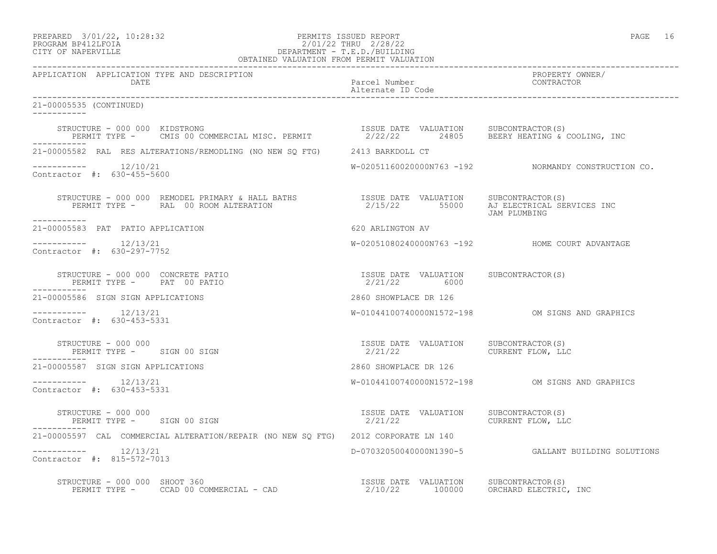# PREPARED 3/01/22, 10:28:32 PERMITS ISSUED REPORT<br>PROGRAM BP412LFOIA PAGE 16 PROGRAM BP412LFOIA 2/01/22 THRU 2/28/22<br>CITY OF NAPERVILLE DEPARTMENT - T.E.D./BUILDIN CITY OF NAPERVILLE DEPARTMENT - T.E.D./BUILDING

| OBTAINED VALUATION FROM PERMIT VALUATION                                                                                                                                                                                                    |                                                                      |                                                     |  |
|---------------------------------------------------------------------------------------------------------------------------------------------------------------------------------------------------------------------------------------------|----------------------------------------------------------------------|-----------------------------------------------------|--|
| APPLICATION APPLICATION TYPE AND DESCRIPTION<br>DATE                                                                                                                                                                                        | Parcel Number<br>Alternate ID Code                                   | PROPERTY OWNER/<br>CONTRACTOR                       |  |
| 21-00005535 (CONTINUED)                                                                                                                                                                                                                     |                                                                      |                                                     |  |
| STRUCTURE - 000 000 KIDSTRONG                                                                                                                                                                                                               |                                                                      |                                                     |  |
| 21-00005582 RAL RES ALTERATIONS/REMODLING (NO NEW SQ FTG) 2413 BARKDOLL CT                                                                                                                                                                  |                                                                      |                                                     |  |
| $--------- 12/10/21$<br>Contractor #: 630-455-5600                                                                                                                                                                                          |                                                                      | W-02051160020000N763 -192 NORMANDY CONSTRUCTION CO. |  |
| STRUCTURE - 000 000 REMODEL PRIMARY & HALL BATHS               ISSUE DATE VALUATION    SUBCONTRACTOR(S)<br>PERMIT TYPE -     RAL 00 ROOM ALTERATION                        2/15/22      55000    AJ ELECTRICAL SERVICES INC<br>------------ |                                                                      | JAM PLUMBING                                        |  |
| 21-00005583 PAT PATIO APPLICATION                                                                                                                                                                                                           | 620 ARLINGTON AV                                                     |                                                     |  |
| -----------    12/13/21<br>Contractor #: 630-297-7752                                                                                                                                                                                       |                                                                      | W-02051080240000N763 -192 HOME COURT ADVANTAGE      |  |
| STRUCTURE - 000 000 CONCRETE PATIO<br>PERMIT TYPE - PAT 00 PATIO                                                                                                                                                                            | ISSUE DATE VALUATION SUBCONTRACTOR(S)<br>2/21/22 6000                |                                                     |  |
| 21-00005586 SIGN SIGN APPLICATIONS                                                                                                                                                                                                          | 2860 SHOWPLACE DR 126                                                |                                                     |  |
| Contractor #: 630-453-5331                                                                                                                                                                                                                  |                                                                      | W-01044100740000N1572-198 OM SIGNS AND GRAPHICS     |  |
| STRUCTURE - 000 000<br>PERMIT TYPE - SIGN 00 SIGN                                                                                                                                                                                           |                                                                      |                                                     |  |
| 21-00005587 SIGN SIGN APPLICATIONS                                                                                                                                                                                                          | 2860 SHOWPLACE DR 126                                                |                                                     |  |
| $--------$ 12/13/21<br>Contractor #: 630-453-5331                                                                                                                                                                                           |                                                                      | W-01044100740000N1572-198 OM SIGNS AND GRAPHICS     |  |
| STRUCTURE - 000 000<br>PERMIT TYPE - SIGN 00 SIGN                                                                                                                                                                                           | ISSUE DATE VALUATION SUBCONTRACTOR(S)<br>$2/21/22$ CURRENT FLOW, LLC |                                                     |  |
| 21-00005597 CAL COMMERCIAL ALTERATION/REPAIR (NO NEW SQ FTG) 2012 CORPORATE LN 140                                                                                                                                                          |                                                                      |                                                     |  |
| $--------$ 12/13/21<br>Contractor #: 815-572-7013                                                                                                                                                                                           |                                                                      | D-07032050040000N1390-5 GALLANT BUILDING SOLUTIONS  |  |
| RUCTURE - 000 000 SHOOT 360<br>PERMIT TYPE - CCAD 00 COMMERCIAL - CAD                     2/10/22     100000   ORCHARD ELECTRIC, INC<br>STRUCTURE - 000 000 SHOOT 360                                                                       |                                                                      |                                                     |  |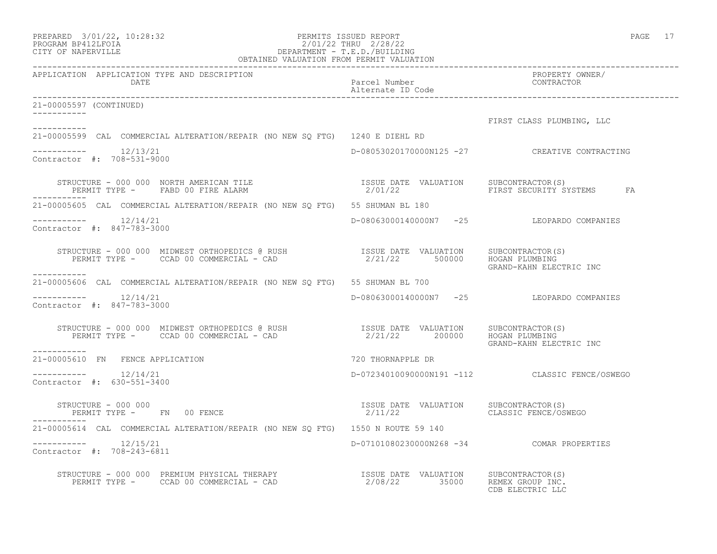| PREPARED            | $3/01/22$ , $10:28:32$ |
|---------------------|------------------------|
| DDACDAM RDA19T FATA |                        |

# PERMITS ISSUED REPORT **PAGE 17** PROGRAM BP412LFOIA 2/01/22 THRU 2/28/22<br>CITY OF NAPERVILLE DEPARTMENT - T.E.D./BUILDIN CITY OF NAPERVILLE DEPARTMENT - T.E.D./BUILDING

| OBTAINED VALUATION FROM PERMIT VALUATION                                                                                |                                                  |                                                |  |
|-------------------------------------------------------------------------------------------------------------------------|--------------------------------------------------|------------------------------------------------|--|
| APPLICATION APPLICATION TYPE AND DESCRIPTION                                                                            |                                                  | PROPERTY OWNER/<br>TROFERII OW<br>CONTRACTOR   |  |
| 21-00005597 (CONTINUED)                                                                                                 |                                                  |                                                |  |
|                                                                                                                         |                                                  | FIRST CLASS PLUMBING, LLC                      |  |
| ___________<br>21-00005599 CAL COMMERCIAL ALTERATION/REPAIR (NO NEW SQ FTG) 1240 E DIEHL RD                             |                                                  |                                                |  |
| -----------    12/13/21<br>Contractor #: 708-531-9000                                                                   |                                                  | D-08053020170000N125 -27 CREATIVE CONTRACTING  |  |
|                                                                                                                         |                                                  |                                                |  |
| 21-00005605 CAL COMMERCIAL ALTERATION/REPAIR (NO NEW SQ FTG) 55 SHUMAN BL 180                                           |                                                  |                                                |  |
| Contractor #: 847-783-3000                                                                                              |                                                  | D-08063000140000N7 -25 LEOPARDO COMPANIES      |  |
| ___________                                                                                                             |                                                  | GRAND-KAHN ELECTRIC INC                        |  |
| 21-00005606 CAL COMMERCIAL ALTERATION/REPAIR (NO NEW SQ FTG) 55 SHUMAN BL 700                                           |                                                  |                                                |  |
| -----------    12/14/21<br>Contractor #: 847-783-3000                                                                   |                                                  | D-08063000140000N7 -25 LEOPARDO COMPANIES      |  |
| STRUCTURE - 000 000 MIDWEST ORTHOPEDICS @ RUSH<br>PERMIT TYPE - CCAD 00 COMMERCIAL - CAD (2/21/22 200000 HOGAN PLUMBING |                                                  | GRAND-KAHN ELECTRIC INC                        |  |
|                                                                                                                         | 720 THORNAPPLE DR                                |                                                |  |
| -----------<br>21-00005610 FN FENCE APPLICATION<br>Contractor #: 630-551-3400                                           |                                                  | D-07234010090000N191 -112 CLASSIC FENCE/OSWEGO |  |
| STRUCTURE - 000 000<br>PERMIT TYPE - FN 00 FENCE<br>STRUCTURE - 000 000                                                 | ISSUE DATE VALUATION SUBCONTRACTOR(S)<br>2/11/22 | CLASSIC FENCE/OSWEGO                           |  |
| . _ _ _ _ _ _ _ _ _ _<br>21-00005614 CAL COMMERCIAL ALTERATION/REPAIR (NO NEW SO FTG) 1550 N ROUTE 59 140               |                                                  |                                                |  |
| Contractor #: 708-243-6811                                                                                              | D-07101080230000N268 -34 COMAR PROPERTIES        |                                                |  |
| STRUCTURE - 000 000 PREMIUM PHYSICAL THERAPY<br>PERMIT TYPE - CCAD 00 COMMERCIAL - CAD (2/08/22 35000 REMEX GROPING IS  |                                                  | CDB ELECTRIC LLC                               |  |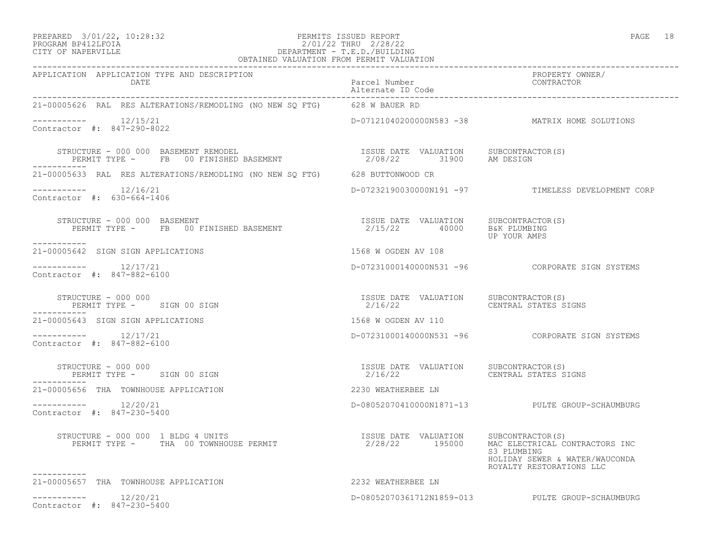#### PREPARED 3/01/22, 10:28:32 PERMITS ISSUED REPORT PAGE 18 PROGRAM BP412LFOIA 2/01/22 THRU 2/28/22 CITY OF NAPERVILLE DEPARTMENT - T.E.D./BUILDING OBTAINED VALUATION FROM PERMIT VALUATION

------------------------------------------------------------------------------------------------------------------------------------

| APPLICATION APPLICATION TYPE AND DESCRIPTION<br>DATE                                         | Parcel Number<br>Alternate ID Code                                                       | PROPERTY OWNER/<br>CONTRACTOR                                                                               |
|----------------------------------------------------------------------------------------------|------------------------------------------------------------------------------------------|-------------------------------------------------------------------------------------------------------------|
| 21-00005626 RAL RES ALTERATIONS/REMODLING (NO NEW SO FTG) 628 W BAUER RD                     |                                                                                          |                                                                                                             |
| -----------    12/15/21<br>Contractor #: 847-290-8022                                        |                                                                                          | D-07121040200000N583 -38 MATRIX HOME SOLUTIONS                                                              |
| STRUCTURE - 000 000 BASEMENT REMODEL<br>PERMIT TYPE - FB 00 FINISHED BASEMENT<br>----------- | ISSUE DATE VALUATION SUBCONTRACTOR(S)<br>2/08/22 31900 AM DESIGN                         |                                                                                                             |
| 21-00005633 RAL RES ALTERATIONS/REMODLING (NO NEW SQ FTG) 628 BUTTONWOOD CR                  |                                                                                          |                                                                                                             |
| -----------    12/16/21<br>Contractor #: 630-664-1406                                        |                                                                                          | D-07232190030000N191 -97 TIMELESS DEVELOPMENT CORP                                                          |
| STRUCTURE - 000 000 BASEMENT<br>PERMIT TYPE - FB 00 FINISHED BASEMENT<br>___________         | ISSUE DATE VALUATION SUBCONTRACTOR(S)<br>2/15/22 40000 B&K PLUMBING                      | UP YOUR AMPS                                                                                                |
| 21-00005642 SIGN SIGN APPLICATIONS                                                           | 1568 W OGDEN AV 108                                                                      |                                                                                                             |
| Contractor #: 847-882-6100                                                                   |                                                                                          |                                                                                                             |
| STRUCTURE - 000 000<br>PERMIT TYPE - SIGN 00 SIGN<br>-----------                             | ISSUE DATE VALUATION SUBCONTRACTOR(S)<br>2/16/22                                         | CENTRAL STATES SIGNS                                                                                        |
| 21-00005643 SIGN SIGN APPLICATIONS                                                           | 1568 W OGDEN AV 110                                                                      |                                                                                                             |
| $--------- 12/17/21$<br>Contractor #: 847-882-6100                                           |                                                                                          |                                                                                                             |
| STRUCTURE - 000 000<br>PERMIT TYPE - SIGN 00 SIGN                                            | ISSUE DATE VALUATION SUBCONTRACTOR(S)<br>2/16/22                                         | CENTRAL STATES SIGNS                                                                                        |
| 21-00005656 THA TOWNHOUSE APPLICATION                                                        | 2230 WEATHERBEE LN                                                                       |                                                                                                             |
| -----------    12/20/21<br>Contractor #: 847-230-5400                                        |                                                                                          | D-08052070410000N1871-13 PULTE GROUP-SCHAUMBURG                                                             |
| STRUCTURE - 000 000 1 BLDG 4 UNITS<br>PERMIT TYPE - THA 00 TOWNHOUSE PERMIT                  | ISSUE DATE VALUATION SUBCONTRACTOR(S)<br>2/28/22 195000 MAC FIECTRICAL<br>2/28/22 195000 | MAC ELECTRICAL CONTRACTORS INC<br>S3 PLUMBING<br>HOLIDAY SEWER & WATER/WAUCONDA<br>ROYALTY RESTORATIONS LLC |
| 21-00005657 THA TOWNHOUSE APPLICATION                                                        | 2232 WEATHERBEE LN                                                                       |                                                                                                             |
| $--------$ 12/20/21<br>Contractor #: 847-230-5400                                            |                                                                                          | D-08052070361712N1859-013 PULTE GROUP-SCHAUMBURG                                                            |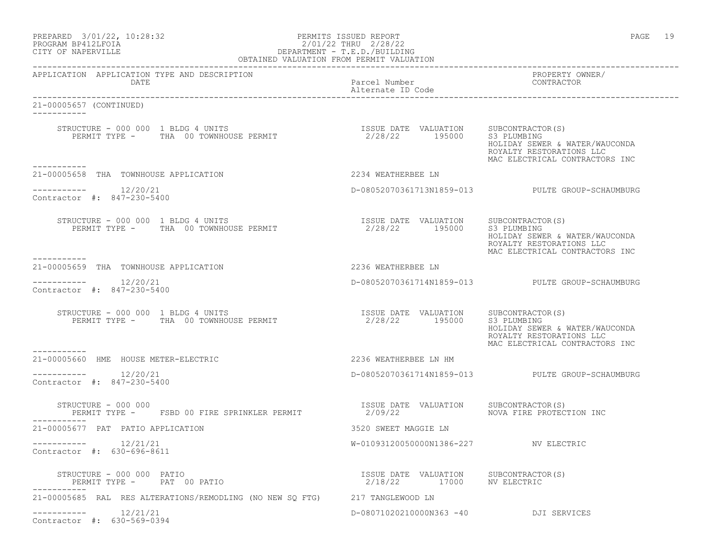#### PREPARED 3/01/22, 10:28:32 PERMITS ISSUED REPORT PAGE 19 PROGRAM BP412LFOIA 2/01/22 THRU 2/28/22 CITY OF NAPERVILLE DEPARTMENT - T.E.D./BUILDING OBTAINED VALUATION FROM PERMIT VALUATION

| APPLICATION APPLICATION TYPE AND DESCRIPTION<br>DATE                                      | Parcel Number<br>Alternate ID Code                                  | PROPERTY OWNER/<br>CONTRACTOR                                                                |
|-------------------------------------------------------------------------------------------|---------------------------------------------------------------------|----------------------------------------------------------------------------------------------|
| 21-00005657 (CONTINUED)                                                                   |                                                                     |                                                                                              |
|                                                                                           |                                                                     | HOLIDAY SEWER & WATER/WAUCONDA<br>ROYALTY RESTORATIONS LLC<br>MAC ELECTRICAL CONTRACTORS INC |
| -----------<br>21-00005658 THA TOWNHOUSE APPLICATION                                      | 2234 WEATHERBEE LN                                                  |                                                                                              |
| -----------    12/20/21<br>Contractor #: 847-230-5400                                     |                                                                     | D-08052070361713N1859-013 PULTE GROUP-SCHAUMBURG                                             |
|                                                                                           |                                                                     | HOLIDAY SEWER & WATER/WAUCONDA<br>ROYALTY RESTORATIONS LLC<br>MAC ELECTRICAL CONTRACTORS INC |
| ---------<br>21-00005659 THA TOWNHOUSE APPLICATION                                        | 2236 WEATHERBEE LN                                                  |                                                                                              |
| -----------    12/20/21<br>Contractor #: 847-230-5400                                     |                                                                     | D-08052070361714N1859-013 PULTE GROUP-SCHAUMBURG                                             |
| STRUCTURE - 000 000 1 BLDG 4 UNITS<br>PERMIT TYPE - THA 00 TOWNHOUSE PERMIT               | ISSUE DATE VALUATION SUBCONTRACTOR(S)<br>2/28/22 195000 S3 PLUMBING | HOLIDAY SEWER & WATER/WAUCONDA<br>ROYALTY RESTORATIONS LLC<br>MAC ELECTRICAL CONTRACTORS INC |
| 21-00005660 HME HOUSE METER-ELECTRIC                                                      | 2236 WEATHERBEE LN HM                                               |                                                                                              |
| $--------$ 12/20/21<br>Contractor #: 847-230-5400                                         |                                                                     | D-08052070361714N1859-013 PULTE GROUP-SCHAUMBURG                                             |
| STRUCTURE - 000 000<br>PERMIT TYPE - FSBD 00 FIRE SPRINKLER PERMIT 2/09/22<br>----------- | ISSUE DATE VALUATION SUBCONTRACTOR(S)                               | NOVA FIRE PROTECTION INC                                                                     |
| 21-00005677 PAT PATIO APPLICATION                                                         | 3520 SWEET MAGGIE LN                                                |                                                                                              |
| $--------- 12/21/21$<br>Contractor #: 630-696-8611                                        | W-01093120050000N1386-227 NV ELECTRIC                               |                                                                                              |
| STRUCTURE - 000 000 PATIO<br>PERMIT TYPE - PAT 00 PATIO                                   | ISSUE DATE VALUATION SUBCONTRACTOR (S)<br>2/18/22 17000 NV ELECTRIC |                                                                                              |
| 21-00005685 RAL RES ALTERATIONS/REMODLING (NO NEW SQ FTG) 217 TANGLEWOOD LN               |                                                                     |                                                                                              |
| 12/21/21<br>------------                                                                  | D-08071020210000N363 -40 DJI SERVICES                               |                                                                                              |

Contractor #: 630-569-0394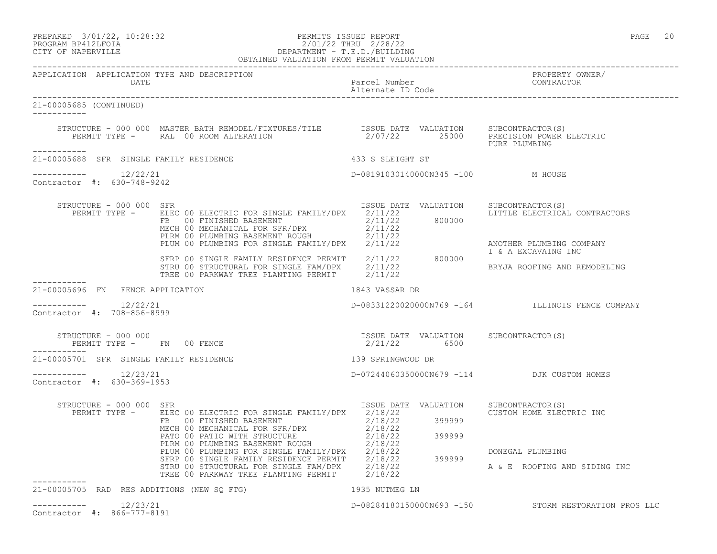PREPARED 3/01/22, 10:28:32 PERMITS ISSUED REPORT PAGE 20

-----------

-----------

-----------

-----------

### PROGRAM BP412LFOIA 2/01/22 THRU 2/28/22 CITY OF NAPERVILLE DEPARTMENT - T.E.D./BUILDING OBTAINED VALUATION FROM PERMIT VALUATION

APPLICATION APPLICATION TYPE AND DESCRIPTION PROPERTY OWNER/

Parcel Number<br>Alternate ID Code Alternate ID Code ------------------------------------------------------------------------------------------------------------------------------------ 21-00005685 (CONTINUED) STRUCTURE - 000 000 MASTER BATH REMODEL/FIXTURES/TILE ISSUE DATE VALUATION SUBCONTRACTOR(S) PERMIT TYPE - RAL 00 ROOM ALTERATION 2/07/22 25000 PRECISION POWER ELECTRIC PURE PLUMBING 21-00005688 SFR SINGLE FAMILY RESIDENCE 433 S SLEIGHT ST  $--------- 12/22/21$ ----------- 12/22/21 D-08191030140000N345 -100 M HOUSE Contractor #: 630-748-9242 STRUCTURE - 000 000 SFR ISSUE DATE VALUATION SUBCONTRACTOR(S) PERMIT TYPE - ELEC 00 ELECTRIC FOR SINGLE FAMILY/DPX 2/11/22 LITTLE ELECTRICAL CONTRACTORS FB 00 FINISHED BASEMENT 2/11/22 800000 MECH 00 MECHANICAL FOR SFR/DPX 2/11/22 PLRM 00 PLUMBING BASEMENT ROUGH 2/11/22 PLUM 00 PLUMBING FOR SINGLE FAMILY/DPX 2/11/22 ANOTHER PLUMBING COMPANY I & A EXCAVAING INC SFRP 00 SINGLE FAMILY RESIDENCE PERMIT 2/11/22 800000 STRU 00 STRUCTURAL FOR SINGLE FAM/DPX 2/11/22 BRYJA ROOFING AND REMODELING TREE 00 PARKWAY TREE PLANTING PERMIT 2/11/22 21-00005696 FN FENCE APPLICATION 1843 VASSAR DR  $--------- 12/22/21$ ----------- 12/22/21 D-08331220020000N769 -164 ILLINOIS FENCE COMPANY Contractor #: 708-856-8999 STRUCTURE - 000 000 ISSUE DATE VALUATION SUBCONTRACTOR(S) PERMIT TYPE - FN 00 FENCE 21-00005701 SFR SINGLE FAMILY RESIDENCE 139 SPRINGWOOD DR ----------- 12/23/21 D-07244060350000N679 -114 DJK CUSTOM HOMES Contractor #: 630-369-1953 STRUCTURE - 000 000 SFR<br>PERMIT TYPE - ELEC 00 ELECTRIC FOR SINGLE FAMILY/DPX 2/18/22 2005 2015 2015 CUSTOM HOME ELECTRIC INC PERMIT TYPE - ELEC 00 ELECTRIC FOR SINGLE FAMILY/DPX 2/18/22 CUSTOM HOME ELECTRIC INC FB 00 FINISHED BASEMENT 2/18/22 399999 MECH 00 MECHANICAL FOR SFR/DPX 2/18/22 PATO 00 PATIO WITH STRUCTURE  $2/18/22$  399999 PLRM 00 PLUMBING BASEMENT ROUGH  $2/18/22$ PLUM 00 PLUMBING FOR SINGLE FAMILY/DPX 2/18/22 DONEGAL PLUMBING SFRP 00 SINGLE FAMILY RESIDENCE PERMIT 2/18/22 399999 STRU 00 STRUCTURAL FOR SINGLE FAM/DPX  $2/18/22$  A & E ROOFING AND SIDING INC TREE 00 PARKWAY TREE PLANTING PERMIT 2/18/22

------------------------------------------------------------------------------------------------------------------------------------

| ___________  | 21-00005705 RAD RES ADDITIONS (NEW SO FTG) | 1935 NUTMEG LN            |                            |
|--------------|--------------------------------------------|---------------------------|----------------------------|
| ____________ | 12/23/21<br>Contractor #: 866-777-8191     | D-08284180150000N693 -150 | STORM RESTORATION PROS LLC |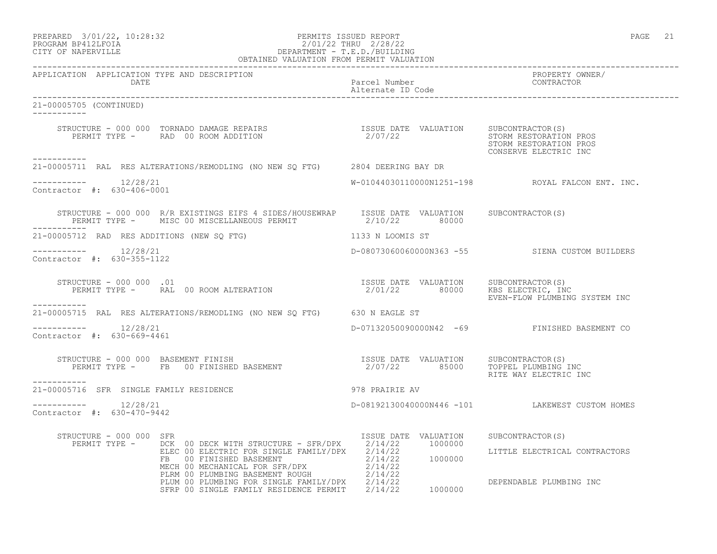PREPARED 3/01/22, 10:28:32 PERMITS ISSUED REPORT PAGE 21

# PROGRAM BP412LFOIA 2/01/22 THRU 2/28/22 CITY OF NAPERVILLE DEPARTMENT - T.E.D./BUILDING

|                                                      | OBTAINED VALUATION FROM PERMIT VALUATION                                                                                                                                                                                                                                                         |                                       |                                                  |
|------------------------------------------------------|--------------------------------------------------------------------------------------------------------------------------------------------------------------------------------------------------------------------------------------------------------------------------------------------------|---------------------------------------|--------------------------------------------------|
| APPLICATION APPLICATION TYPE AND DESCRIPTION<br>DATE |                                                                                                                                                                                                                                                                                                  | Parcel Number<br>Alternate ID Code    | PROPERTY OWNER/<br>CONTRACTOR                    |
| 21-00005705 (CONTINUED)                              |                                                                                                                                                                                                                                                                                                  |                                       |                                                  |
|                                                      | STRUCTURE – 000 000 TORNADO DAMAGE REPAIRS                        ISSUE DATE VALUATION    SUBCONTRACTOR(S)<br>PERMIT TYPE –     RAD 00 ROOM ADDITION                          2/07/22                                                                                                            |                                       | STORM RESTORATION PROS<br>CONSERVE ELECTRIC INC  |
| ------------                                         | 21-00005711 RAL RES ALTERATIONS/REMODLING (NO NEW SQ FTG) 2804 DEERING BAY DR                                                                                                                                                                                                                    |                                       |                                                  |
| $--------- 12/28/21$<br>Contractor #: 630-406-0001   |                                                                                                                                                                                                                                                                                                  |                                       | W-01044030110000N1251-198 ROYAL FALCON ENT. INC. |
|                                                      | STRUCTURE - 000 000 R/R EXISTINGS EIFS 4 SIDES/HOUSEWRAP ISSUE DATE VALUATION SUBCONTRACTOR(S)<br>PERMIT TYPE - MISC 00 MISCELLANEOUS PERMIT 42/10/22 80000                                                                                                                                      |                                       |                                                  |
|                                                      | 21-00005712 RAD RES ADDITIONS (NEW SQ FTG)                                                                                                                                                                                                                                                       | 1133 N LOOMIS ST                      |                                                  |
| $--------- 12/28/21$<br>Contractor #: 630-355-1122   |                                                                                                                                                                                                                                                                                                  |                                       | D-08073060060000N363 -55 SIENA CUSTOM BUILDERS   |
| STRUCTURE - 000 000 .01                              | STRUCTURE - 000 000 .01<br>PERMIT TYPE - RAL 00 ROOM ALTERATION MANUS (2/01/22 80000 KBS ELECTRIC, INC<br>PERMIT TYPE - RAL 00 ROOM ALTERATION                                                                                                                                                   |                                       | EVEN-FLOW PLUMBING SYSTEM INC                    |
| -----------                                          | 21-00005715 RAL RES ALTERATIONS/REMODLING (NO NEW SQ FTG) 630 N EAGLE ST                                                                                                                                                                                                                         |                                       |                                                  |
| $--------- 12/28/21$<br>Contractor #: 630-669-4461   |                                                                                                                                                                                                                                                                                                  |                                       | D-07132050090000N42 -69 FINISHED BASEMENT CO     |
| ------------                                         |                                                                                                                                                                                                                                                                                                  |                                       | RITE WAY ELECTRIC INC                            |
| 21-00005716 SFR SINGLE FAMILY RESIDENCE              | 978 PRAIRIE AV                                                                                                                                                                                                                                                                                   |                                       |                                                  |
| $--------- 12/28/21$<br>Contractor #: 630-470-9442   |                                                                                                                                                                                                                                                                                                  |                                       | D-08192130040000N446 -101 LAKEWEST CUSTOM HOMES  |
| STRUCTURE - 000 000 SFR                              | PERMIT TYPE - DCK 00 DECK WITH STRUCTURE - SFR/DPX 2/14/22 1000000                                                                                                                                                                                                                               | ISSUE DATE VALUATION SUBCONTRACTOR(S) | LITTLE ELECTRICAL CONTRACTORS                    |
|                                                      | ELEC 00 ELECTRIC FOR SINGLE FAMILY/DPX 2/14/22<br>FB 00 FINISHED BASEMENT 2/14/22 1000000<br>MECH 00 MECHANICAL FOR SFR/DPX 2/14/22 1000000<br>MECH 00 MECHANICAL FOR SFR/DPX 2/14/22<br>PLUM 00 PLUMBING FOR SINGLE FAMILY/DPX 2/14/2<br>SFRP 00 SINGLE FAMILY RESIDENCE PERMIT 2/14/22 1000000 |                                       | DEPENDABLE PLUMBING INC                          |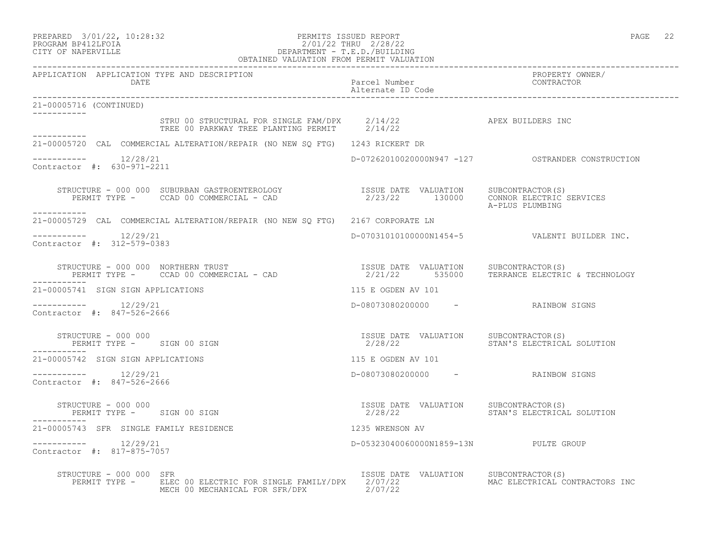## PREPARED 3/01/22, 10:28:32 PERMITS ISSUED REPORT<br>PROGRAM BP412LFOIA PAGE 22 201/22 THRU 2/28/22 PROGRAM BP412LFOIA 2/01/22 THRU 2/28/22 CITY OF NAPERVILLE DEPARTMENT - T.E.D./BUILDING

|                                                      | OBTAINED VALUATION FROM PERMIT VALUATION                                                                                                                                                                                          |                                                                             |                                              |
|------------------------------------------------------|-----------------------------------------------------------------------------------------------------------------------------------------------------------------------------------------------------------------------------------|-----------------------------------------------------------------------------|----------------------------------------------|
| APPLICATION APPLICATION TYPE AND DESCRIPTION<br>DATE |                                                                                                                                                                                                                                   | Parcel Number<br>Alternate ID Code                                          | PROPERTY OWNER/<br>CONTRACTOR                |
| 21-00005716 (CONTINUED)                              |                                                                                                                                                                                                                                   |                                                                             |                                              |
| ___________                                          | STRU 00 STRUCTURAL FOR SINGLE FAM/DPX $2/14/22$ $2/14/22$ APEX BUILDERS INC                                                                                                                                                       |                                                                             |                                              |
|                                                      | 21-00005720 CAL COMMERCIAL ALTERATION/REPAIR (NO NEW SQ FTG) 1243 RICKERT DR                                                                                                                                                      |                                                                             |                                              |
| $--------$ 12/28/21<br>Contractor #: 630-971-2211    |                                                                                                                                                                                                                                   |                                                                             |                                              |
| -----------                                          | STRUCTURE - 000 000 SUBURBAN GASTROENTEROLOGY                     ISSUE DATE VALUATION   SUBCONTRACTOR(S)<br>PERMIT TYPE -     CCAD 00 COMMERCIAL - CAD                                2/23/22         130000    CONNOR ELECTRIC  |                                                                             |                                              |
|                                                      | 21-00005729 CAL COMMERCIAL ALTERATION/REPAIR (NO NEW SQ FTG) 2167 CORPORATE LN                                                                                                                                                    |                                                                             |                                              |
| $--------$ 12/29/21<br>Contractor #: 312-579-0383    |                                                                                                                                                                                                                                   |                                                                             | D-07031010100000N1454-5 VALENTI BUILDER INC. |
|                                                      | STRUCTURE - 000 000 NORTHERN TRUST - CAD                           ISSUE DATE VALUATION     SUBCONTRACTOR(S)<br>PERMIT TYPE -     CCAD 00 COMMERCIAL - CAD                          2/21/22      535000     TERRANCE ELECTRIC & T |                                                                             |                                              |
| 21-00005741 SIGN SIGN APPLICATIONS                   |                                                                                                                                                                                                                                   | 115 E OGDEN AV 101                                                          |                                              |
| $--------- 12/29/21$<br>Contractor #: 847-526-2666   |                                                                                                                                                                                                                                   | D-08073080200000 - RAINBOW SIGNS                                            |                                              |
|                                                      | STRUCTURE - 000 000<br>PERMIT TYPE - SIGN 00 SIGN                                                                                                                                                                                 | ISSUE DATE VALUATION SUBCONTRACTOR(S)<br>2/28/22 STAN'S ELECTRICAL SOLUTION |                                              |
| 21-00005742 SIGN SIGN APPLICATIONS                   |                                                                                                                                                                                                                                   | 115 E OGDEN AV 101                                                          |                                              |
| $--------$ 12/29/21<br>Contractor #: 847-526-2666    |                                                                                                                                                                                                                                   | D-08073080200000 - RAINBOW SIGNS                                            |                                              |
|                                                      | PERMIT TYPE - SIGN 00 SIGN<br>--------                                                                                                                                                                                            | ISSUE DATE VALUATION SUBCONTRACTOR(S)                                       | 2/28/22 STAN'S ELECTRICAL SOLUTION           |
| 21-00005743 SFR SINGLE FAMILY RESIDENCE              | 1235 WRENSON AV                                                                                                                                                                                                                   |                                                                             |                                              |
| $--------- 12/29/21$<br>Contractor #: 817-875-7057   |                                                                                                                                                                                                                                   | D-05323040060000N1859-13N PULTE GROUP                                       |                                              |
| STRUCTURE - 000 000 SFR                              | PERMIT TYPE - ELEC 00 ELECTRIC FOR SINGLE FAMILY/DPX 2/07/22<br>MECH 00 MECHANICAL FOR SFR/DPX 2/07/22                                                                                                                            | ISSUE DATE VALUATION SUBCONTRACTOR(S)                                       | MAC ELECTRICAL CONTRACTORS INC               |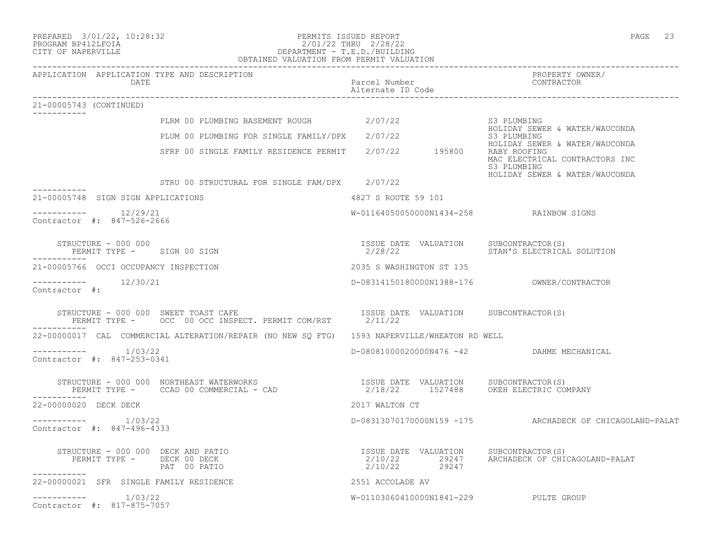#### PREPARED 3/01/22, 10:28:32 PERMITS ISSUED REPORT PAGE 23 PROGRAM BP412LFOIA 2/01/22 THRU 2/28/22 CITY OF NAPERVILLE DEPARTMENT - T.E.D./BUILDING OBTAINED VALUATION FROM PERMIT VALUATION

------------------------------------------------------------------------------------------------------------------------------------ APPLICATION APPLICATION TYPE AND DESCRIPTION PROPERTY OWNER/ DATE **Parcel Number** Parcel Number Alternate ID Code ------------------------------------------------------------------------------------------------------------------------------------ 21-00005743 (CONTINUED) ----------- PLRM 00 PLUMBING BASEMENT ROUGH  $2/07/22$  S3 PLUMBING<br>HOLIDAY SEWER & WATER/WAUCONDA HOLIDAY SEWER & WATER/WAUCONDA PLUM 00 PLUMBING FOR SINGLE FAMILY/DPX 2/07/22 S3 PLUMBING HOLIDAY SEWER & WATER/WAUCONDA SFRP 00 SINGLE FAMILY RESIDENCE PERMIT 2/07/22 195800 RABY ROOFING MAC ELECTRICAL CONTRACTORS INC S3 PLUMBING HOLIDAY SEWER & WATER/WAUCONDA STRU 00 STRUCTURAL FOR SINGLE FAM/DPX 2/07/22 ----------- 21-00005748 SIGN SIGN APPLICATIONS 4827 S ROUTE 59 101 \_\_\_\_\_\_\_\_\_\_\_ ----------- 12/29/21 W-01164050050000N1434-258 RAINBOW SIGNS Contractor #: 847-526-2666 STRUCTURE - 000 000 ISSUE DATE VALUATION SUBCONTRACTOR(S) PERMIT TYPE - SIGN 00 SIGN ----------- 21-00005766 OCCI OCCUPANCY INSPECTION 2035 S WASHINGTON ST 135 ----------- 12/30/21 D-08314150180000N1388-176 OWNER/CONTRACTOR Contractor #: STRUCTURE - 000 000 SWEET TOAST CAFE<br>PERMIT TYPE - OCC 00 OCC INSPECT, PERMIT COM/RST 2/11/22 PERMIT TYPE - OCC 00 OCC INSPECT. PERMIT COM/RST ----------- 22-00000017 CAL COMMERCIAL ALTERATION/REPAIR (NO NEW SQ FTG) 1593 NAPERVILLE/WHEATON RD WELL ----------- 1/03/22 D-08081000020000N476 -42 DAHME MECHANICAL Contractor #: 847-253-0341 STRUCTURE - 000 000 NORTHEAST WATERWORKS ISSUE DATE VALUATION SUBCONTRACTOR(S) PERMIT TYPE - CCAD 00 COMMERCIAL - CAD 2/18/22 1527488 OKEH ELECTRIC COMPANY ----------- 22-00000020 DECK DECK 2017 WALTON CT ----------- 1/03/22 D-08313070170000N159 -175 ARCHADECK OF CHICAGOLAND-PALAT Contractor #: 847-496-4333 STRUCTURE – 000 000 DECK AND PATIO<br>PERMIT TYPE – DECK 00 DECK 2/10/22 29247 ARCHADECK OF CHIO PERMIT TYPE - DECK 00 DECK 2/10/22 29247 ARCHADECK OF CHICAGOLAND-PALAT 2/10/22 29247 ----------- 22-00000021 SFR SINGLE FAMILY RESIDENCE 2551 ACCOLADE AV  $--------- 1/03/22$ W-01103060410000N1841-229 PULTE GROUP Contractor #: 817-875-7057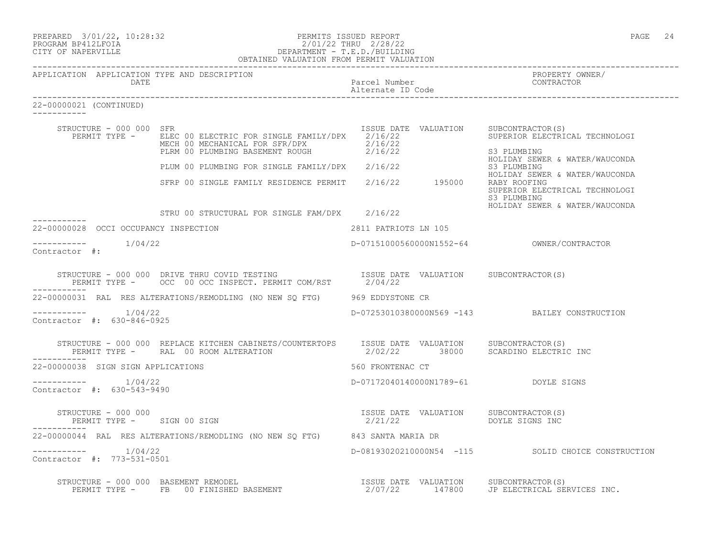| PREPARED 3/01/22, 10:28:32 | PERMITS ISSUED REPORT     | PAGE | 24 |
|----------------------------|---------------------------|------|----|
|                            |                           |      |    |
| גדרת זלוותם מגסרוסם        | $2/01/22$ THRII $2/28/22$ |      |    |

#### PROGRAM BP412LFOIA 2/01/22 THRU 2/28/22 CITY OF NAPERVILLE DEPARTMENT - T.E.D./BUILDING OBTAINED VALUATION FROM PERMIT VALUATION

| 22-00000021 (CONTINUED)                           |                                                                                                                                                                                       |                      |                                                                                                 |
|---------------------------------------------------|---------------------------------------------------------------------------------------------------------------------------------------------------------------------------------------|----------------------|-------------------------------------------------------------------------------------------------|
| STRUCTURE - 000 000 SFR                           | PERMIT TYPE - ELEC 00 ELECTRIC FOR SINGLE FAMILY/DPX $2/16/22$<br>MECH 00 MECHANICAL FOR SFR/DPX 2/16/22<br>PLRM 00 PLUMBING BASEMENT ROUGH 2/16/22                                   |                      | ISSUE DATE VALUATION SUBCONTRACTOR(S)<br>SUPERIOR ELECTRICAL TECHNOLOGI<br>S3 PLUMBING          |
|                                                   | PLENT OUT DURING FOR SINGLE FAMILY/DPX 2/16/22                                                                                                                                        |                      | HOLIDAY SEWER & WATER/WAUCONDA<br>S3 PLUMBING                                                   |
|                                                   | SFRP 00 SINGLE FAMILY RESIDENCE PERMIT 2/16/22 195000                                                                                                                                 |                      | HOLIDAY SEWER & WATER/WAUCONDA<br>RABY ROOFING<br>SUPERIOR ELECTRICAL TECHNOLOGI<br>S3 PLUMBING |
|                                                   | STRU 00 STRUCTURAL FOR SINGLE FAM/DPX 2/16/22                                                                                                                                         |                      | HOLIDAY SEWER & WATER/WAUCONDA                                                                  |
| 22-00000028 OCCI OCCUPANCY INSPECTION             |                                                                                                                                                                                       | 2811 PATRIOTS LN 105 |                                                                                                 |
| $--------- 1/04/22$<br>Contractor #:              |                                                                                                                                                                                       |                      |                                                                                                 |
|                                                   | STRUCTURE - 000 000 DRIVE THRU COVID TESTING                      ISSUE DATE VALUATION     SUBCONTRACTOR(S)<br>PERMIT TYPE -       OCC  00 OCC INSPECT. PERMIT COM/RST        2/04/22 |                      |                                                                                                 |
|                                                   | 22-00000031 RAL RES ALTERATIONS/REMODLING (NO NEW SO FTG) 969 EDDYSTONE CR                                                                                                            |                      |                                                                                                 |
| $--------- 1/04/22$<br>Contractor #: 630-846-0925 |                                                                                                                                                                                       |                      | D-07253010380000N569 -143 BAILEY CONSTRUCTION                                                   |
|                                                   | STRUCTURE - 000 000 REPLACE KITCHEN CABINETS/COUNTERTOPS ISSUE DATE VALUATION SUBCONTRACTOR(S)<br>PERMIT TYPE - RAL 00 ROOM ALTERATION 62/02/22 38000 SCARDINO ELECTRIC INC           |                      |                                                                                                 |
| 22-00000038 SIGN SIGN APPLICATIONS                |                                                                                                                                                                                       | 560 FRONTENAC CT     |                                                                                                 |
| $--------- 1/04/22$<br>Contractor #: 630-543-9490 |                                                                                                                                                                                       |                      | D-07172040140000N1789-61 DOYLE SIGNS                                                            |
| STRUCTURE - 000 000<br>PERMIT TYPE - SIGN 00 SIGN |                                                                                                                                                                                       | 2/21/22              | ISSUE DATE VALUATION SUBCONTRACTOR(S)<br>DOYLE SIGNS INC                                        |
|                                                   | 22-00000044 RAL RES ALTERATIONS/REMODLING (NO NEW SO FTG) 843 SANTA MARIA DR                                                                                                          |                      |                                                                                                 |
| $--------- 1/04/22$<br>Contractor #: 773-531-0501 |                                                                                                                                                                                       |                      | D-08193020210000N54 -115 SOLID CHOICE CONSTRUCTION                                              |
|                                                   | STRUCTURE - 000 000 BASEMENT REMODEL<br>PERMIT TYPE - FB 00 FINISHED BASEMENT - 147800 JP ELECTRICAL SERVICES INC.                                                                    |                      |                                                                                                 |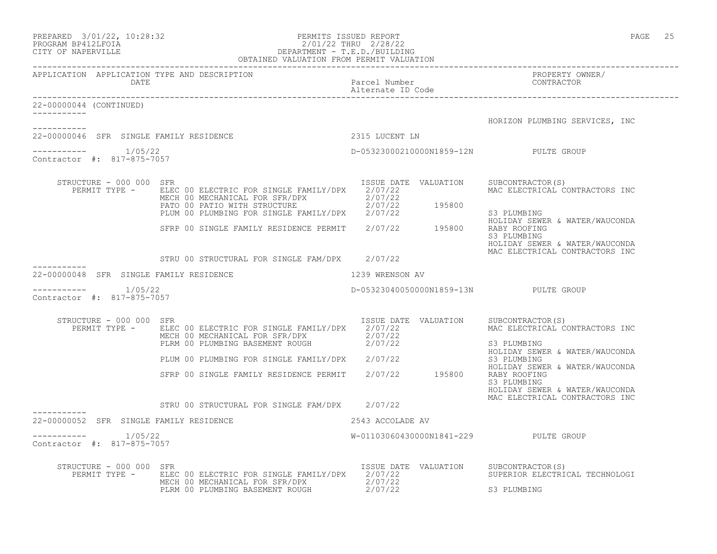| $\begin{tabular}{ll} PREPARED & 3/01/22, 10:28:32 \\ PROGRAM BP412LFOIA & DEPARTIMENT - T.E.D./BUIDING \\ \hline \end{tabular}$ DEPARTMENT – T.E.D./BUILDING<br>OBTAINED VALUATION FROM PERMIT VALUATION<br>OBTAINED VALUATION FROM PERMIT VALUATION |                                                                                                                                                                                                                                                                                          |                                       |                                                                                                     |
|------------------------------------------------------------------------------------------------------------------------------------------------------------------------------------------------------------------------------------------------------|------------------------------------------------------------------------------------------------------------------------------------------------------------------------------------------------------------------------------------------------------------------------------------------|---------------------------------------|-----------------------------------------------------------------------------------------------------|
| APPLICATION APPLICATION TYPE AND DESCRIPTION<br>DATE                                                                                                                                                                                                 |                                                                                                                                                                                                                                                                                          | Parcel Number<br>Alternate ID Code    | PROPERTY OWNER/<br>CONTRACTOR                                                                       |
| 22-00000044 (CONTINUED)                                                                                                                                                                                                                              |                                                                                                                                                                                                                                                                                          |                                       | HORIZON PLUMBING SERVICES, INC                                                                      |
| ----------<br>22-00000046 SFR SINGLE FAMILY RESIDENCE                                                                                                                                                                                                |                                                                                                                                                                                                                                                                                          | 2315 LUCENT LN                        |                                                                                                     |
| $--------- 1/05/22$<br>Contractor #: 817-875-7057                                                                                                                                                                                                    |                                                                                                                                                                                                                                                                                          | D-05323000210000N1859-12N PULTE GROUP |                                                                                                     |
| STRUCTURE - 000 000 SFR<br>PERMIT TYPE -                                                                                                                                                                                                             | ELEC 00 ELECTRIC FOR SINGLE FAMILY/DPX 2/07/22<br>ELEC 00 ELECTRIC FOR SINGLE FATILIZION AND 2/07/22<br>MECH 00 MECHANICAL FOR SFR/DPX 2/07/22<br>PATO 00 PATIO WITH STRUCTURE 2/07/22<br>PLUM 00 PLUMBING FOR SINGLE FAMILY/DPX 2/07/22<br>SFRP 00 SINGLE FAMILY RESIDENCE PERMIT 2/07/ | ISSUE DATE VALUATION                  | SUBCONTRACTOR(S)<br>MAC ELECTRICAL CONTRACTORS INC<br>S3 PLUMBING<br>HOLIDAY SEWER & WATER/WAUCONDA |
|                                                                                                                                                                                                                                                      |                                                                                                                                                                                                                                                                                          |                                       | RABY ROOFING<br>S3 PLUMBING<br>HOLIDAY SEWER & WATER/WAUCONDA<br>MAC ELECTRICAL CONTRACTORS INC     |
|                                                                                                                                                                                                                                                      | STRU 00 STRUCTURAL FOR SINGLE FAM/DPX 2/07/22                                                                                                                                                                                                                                            |                                       |                                                                                                     |
| 22-00000048 SFR SINGLE FAMILY RESIDENCE                                                                                                                                                                                                              | 1239 WRENSON AV                                                                                                                                                                                                                                                                          |                                       |                                                                                                     |
| 1/05/22<br>Contractor #: 817-875-7057                                                                                                                                                                                                                |                                                                                                                                                                                                                                                                                          | D-05323040050000N1859-13N PULTE GROUP |                                                                                                     |
| STRUCTURE - 000 000 SFR<br>PERMIT TYPE -                                                                                                                                                                                                             | ELEC 00 ELECTRIC FOR SINGLE FAMILY/DPX 2/07/22<br>MECH 00 MECHANICAL FOR SFR/DPX 2/07/22<br>PLRM 00 PLUMBING BASEMENT ROUGH 2/07/22                                                                                                                                                      | ISSUE DATE VALUATION SUBCONTRACTOR(S) | MAC ELECTRICAL CONTRACTORS INC<br>S3 PLUMBING<br>HOLIDAY SEWER & WATER/WAUCONDA                     |
|                                                                                                                                                                                                                                                      | PLUM 00 PLUMBING FOR SINGLE FAMILY/DPX 2/07/22                                                                                                                                                                                                                                           |                                       | S3 PLUMBING                                                                                         |
|                                                                                                                                                                                                                                                      | SFRP 00 SINGLE FAMILY RESIDENCE PERMIT                                                                                                                                                                                                                                                   | 2/07/22 195800                        | HOLIDAY SEWER & WATER/WAUCONDA<br>RABY ROOFING<br>S3 PLUMBING<br>HOLIDAY SEWER & WATER/WAUCONDA     |
|                                                                                                                                                                                                                                                      | STRU 00 STRUCTURAL FOR SINGLE FAM/DPX 2/07/22                                                                                                                                                                                                                                            |                                       | MAC ELECTRICAL CONTRACTORS INC                                                                      |
| 22-00000052 SFR SINGLE FAMILY RESIDENCE                                                                                                                                                                                                              |                                                                                                                                                                                                                                                                                          | 2543 ACCOLADE AV                      |                                                                                                     |
| $--------- 1/05/22$<br>Contractor #: 817-875-7057                                                                                                                                                                                                    |                                                                                                                                                                                                                                                                                          | W-01103060430000N1841-229 PULTE GROUP |                                                                                                     |
| STRUCTURE - 000 000 SFR<br>PERMIT TYPE -                                                                                                                                                                                                             | ELEC 00 ELECTRIC FOR SINGLE FAMILY/DPX 2/07/22<br>MECH 00 MECHANICAL FOR SFR/DPX 2/07/22<br>PLRM 00 PLUMBING BASEMENT ROUGH                                                                                                                                                              | ISSUE DATE VALUATION<br>2/07/22       | SUBCONTRACTOR(S)<br>SUPERIOR ELECTRICAL TECHNOLOGI<br>S3 PLUMBING                                   |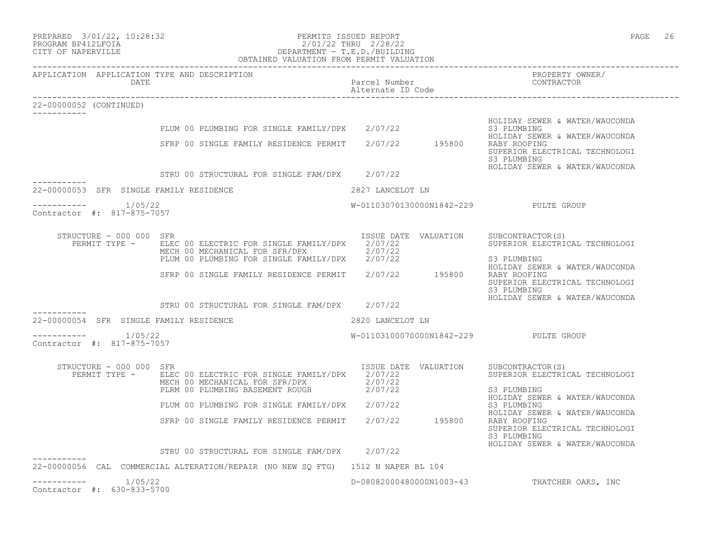| PREPARED              | $3/01/22$ , | 10:28:32 |
|-----------------------|-------------|----------|
| DROGRAM DR 41 OT BOTA |             |          |

-----------

-----------

22-00000052 (CONTINUED)

#### PREPARED 3/01/22, 10:28:32 PERMITS ISSUED REPORT<br>PROGRAM BP412LFOIA PAGE 26 201/22 THRU 2/28/22 PROGRAM BP412LFOIA 2/01/22 THRU 2/28/22 CITY OF NAPERVILLE DEPARTMENT - T.E.D./BUILDING OBTAINED VALUATION FROM PERMIT VALUATION

------------------------------------------------------------------------------------------------------------------------------------ APPLICATION APPLICATION TYPE AND DESCRIPTION PROPERTY OWNER/ DATE Parcel Number CONTRACTOR Alternate ID Code ------------------------------------------------------------------------------------------------------------------------------------ HOLIDAY SEWER & WATER/WAUCONDA<br>S3 PLUMBING PLUM 00 PLUMBING FOR SINGLE FAMILY/DPX 2/07/22 HOLIDAY SEWER & WATER/WAUCONDA SFRP 00 SINGLE FAMILY RESIDENCE PERMIT 2/07/22 195800 RABY ROOFING SUPERIOR ELECTRICAL TECHNOLOGI<br>S3 PLUMBING S3 PLUMBING HOLIDAY SEWER & WATER/WAUCONDA STRU 00 STRUCTURAL FOR SINGLE FAM/DPX 2/07/22 22-00000053 SFR SINGLE FAMILY RESIDENCE 2827 LANCELOT LN ----------- 1/05/22 W-01103070130000N1842-229 PULTE GROUP

------------Contractor #: 817-875-7057

| STRUCTURE - 000 000 SFR |                                        | ISSUE DATE VALUATION |        | SUBCONTRACTOR (S)              |
|-------------------------|----------------------------------------|----------------------|--------|--------------------------------|
| PERMIT TYPE -           | ELEC 00 ELECTRIC FOR SINGLE FAMILY/DPX | 2/07/22              |        | SUPERIOR ELECTRICAL TECHNOLOGI |
|                         | MECH 00 MECHANICAL FOR SFR/DPX         | 2/07/22              |        |                                |
|                         | PLUM 00 PLUMBING FOR SINGLE FAMILY/DPX | 2/07/22              |        | S3 PLUMBING                    |
|                         |                                        |                      |        | HOLIDAY SEWER & WATER/WAUCONDA |
|                         | SFRP 00 SINGLE FAMILY RESIDENCE PERMIT | 2/07/22              | 195800 | RABY ROOFING                   |
|                         |                                        |                      |        | SUPERIOR ELECTRICAL TECHNOLOGI |
|                         |                                        |                      |        | S3 PLUMBING                    |

|                                           |         | STRU 00 STRUCTURAL FOR SINGLE FAM/DPX |  | 2/07/22                   |  | HOLIDAY SEWER & WATER/WAUCONDA |  |
|-------------------------------------------|---------|---------------------------------------|--|---------------------------|--|--------------------------------|--|
| 22-00000054 SFR SINGLE FAMILY RESIDENCE   |         |                                       |  | 2820 LANCELOT LN          |  |                                |  |
| ___________<br>Contractor #: 817-875-7057 | 1/05/22 |                                       |  | W-01103100070000N1842-229 |  | PULTE GROUP                    |  |

| $STRIICTURE - 000 000$<br>PERMIT TYPE -        | SFR<br>ELEC 00 ELECTRIC FOR SINGLE FAMILY/DPX<br>MECH 00 MECHANICAL FOR SFR/DPX | ISSUE DATE<br>2/07/22<br>2/07/22 | VALUATION | SUBCONTRACTOR (S)<br>SUPERIOR ELECTRICAL TECHNOLOGI                                             |
|------------------------------------------------|---------------------------------------------------------------------------------|----------------------------------|-----------|-------------------------------------------------------------------------------------------------|
|                                                | PLRM 00 PLUMBING BASEMENT ROUGH                                                 | 2/07/22                          |           | S3 PLUMBING<br>HOLIDAY SEWER & WATER/WAUCONDA                                                   |
|                                                | PLUM 00 PLUMBING FOR SINGLE FAMILY/DPX                                          | 2/07/22                          |           | S3 PLUMBING<br>HOLIDAY SEWER & WATER/WAUCONDA                                                   |
|                                                | SFRP 00 SINGLE FAMILY RESIDENCE PERMIT                                          | 2/07/22                          | 195800    | RABY ROOFING<br>SUPERIOR ELECTRICAL TECHNOLOGI<br>S3 PLUMBING<br>HOLIDAY SEWER & WATER/WAUCONDA |
|                                                | STRU 00 STRUCTURAL FOR SINGLE FAM/DPX                                           | 2/07/22                          |           |                                                                                                 |
| 22-00000056<br>CAL                             | COMMERCIAL ALTERATION/REPAIR (NO NEW SO FTG)                                    | 1512 N NAPER BL 104              |           |                                                                                                 |
| 1/05/22<br>630-833-5700<br>Contractor<br>$+$ : |                                                                                 | D-08082000480000N1003-43         |           | THATCHER OAKS, INC                                                                              |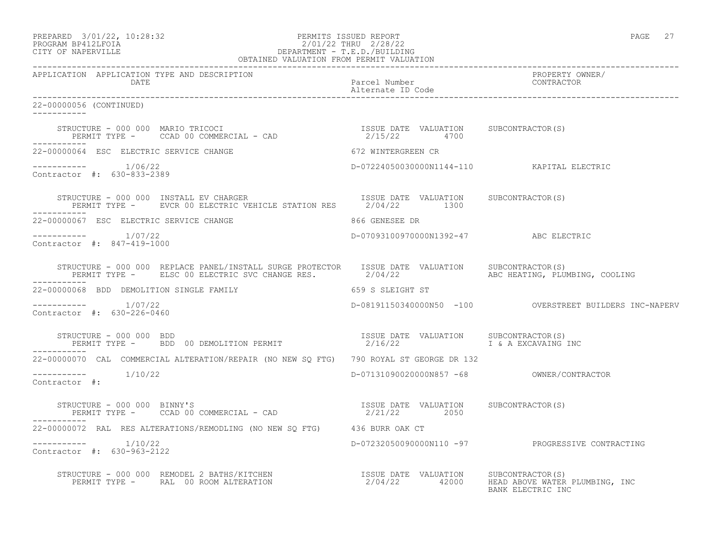#### PREPARED 3/01/22, 10:28:32 PERMITS ISSUED REPORT PAGE 27 PROGRAM BP412LFOIA 2/01/22 THRU 2/28/22 CITY OF NAPERVILLE DEPARTMENT - T.E.D./BUILDING OBTAINED VALUATION FROM PERMIT VALUATION

| APPLICATION APPLICATION TYPE AND DESCRIPTION                                                                                                                                             |                                              |                                                         |
|------------------------------------------------------------------------------------------------------------------------------------------------------------------------------------------|----------------------------------------------|---------------------------------------------------------|
| 22-00000056 (CONTINUED)<br><u>Listenbelle</u>                                                                                                                                            |                                              |                                                         |
|                                                                                                                                                                                          |                                              |                                                         |
| 22-00000064 ESC ELECTRIC SERVICE CHANGE                                                                                                                                                  | 672 WINTERGREEN CR                           |                                                         |
| Contractor #: 630-833-2389                                                                                                                                                               | D-07224050030000N1144-110   KAPITAL ELECTRIC |                                                         |
| STRUCTURE - 000 000 INSTALL EV CHARGER<br>PERMIT TYPE -     EVCR 00 ELECTRIC VEHICLE STATION RES      2/04/22      1300                                                                  |                                              |                                                         |
| 22-00000067 ESC ELECTRIC SERVICE CHANGE                                                                                                                                                  | 866 GENESEE DR                               |                                                         |
| $--------- 1/07/22$<br>Contractor #: 847-419-1000                                                                                                                                        | D-07093100970000N1392-47 ABC ELECTRIC        |                                                         |
| STRUCTURE - 000 000 REPLACE PANEL/INSTALL SURGE PROTECTOR ISSUE DATE VALUATION SUBCONTRACTOR(S)<br>PERMIT TYPE - ELSC 00 ELECTRIC SVC CHANGE RES. 2/04/22 ABC HEATING, PLUMBING, COOLING |                                              |                                                         |
| 22-00000068 BDD DEMOLITION SINGLE FAMILY                                                                                                                                                 | 659 S SLEIGHT ST                             |                                                         |
| ----------     1/07/22<br>Contractor #: 630-226-0460                                                                                                                                     |                                              | D-08191150340000N50 -100 OVERSTREET BUILDERS INC-NAPERV |
| STRUCTURE - 000 000 BDD<br>PERMIT TYPE - BDD 00 DEMOLITION PERMIT                                  2/16/22                I & A EXCAVAING                                                |                                              | I & A EXCAVAING INC                                     |
| 22-00000070 CAL COMMERCIAL ALTERATION/REPAIR (NO NEW SO FTG) 790 ROYAL ST GEORGE DR 132                                                                                                  |                                              |                                                         |
| $--------$ 1/10/22<br>Contractor #:                                                                                                                                                      |                                              |                                                         |
| STRUCTURE – 000 000 BINNY'S<br>PERMIT TYPE – CCAD 00 COMMERCIAL – CAD 10 COMMERCIAL – CAD 12/21/22 2050                                                                                  |                                              |                                                         |
| 22-00000072 RAL RES ALTERATIONS/REMODLING (NO NEW SO FTG) 436 BURR OAK CT                                                                                                                |                                              |                                                         |
| $--------- 1/10/22$<br>Contractor #: 630-963-2122                                                                                                                                        |                                              | D-07232050090000N110 -97 PROGRESSIVE CONTRACTING        |
| STRUCTURE - 000 000 REMODEL 2 BATHS/KITCHEN<br>PERMIT TYPE -     RAL 00 ROOM ALTERATION                                  2/04/22        42000     HEAD ABOVE WATER PLUMBING, INC         | BANK ELECTRIC INC                            |                                                         |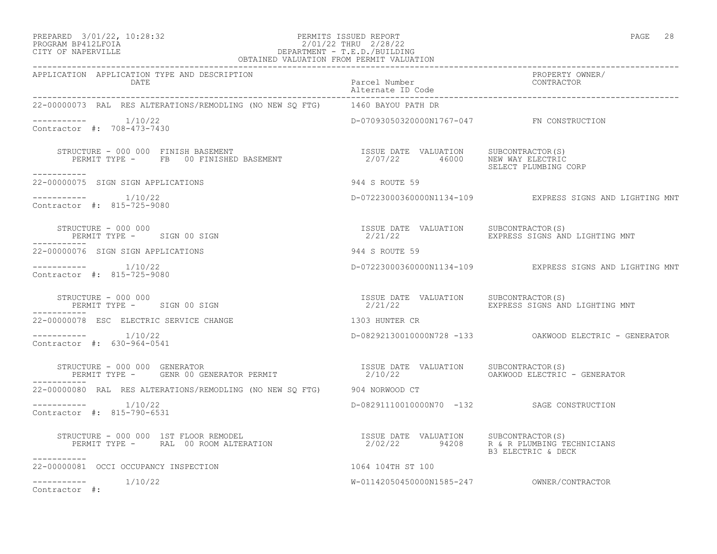#### PREPARED 3/01/22, 10:28:32 PERMITS ISSUED REPORT PAGE 28 PROGRAM BP412LFOIA 2/01/22 THRU 2/28/22 CITY OF NAPERVILLE DEPARTMENT - T.E.D./BUILDING

| OBTAINED VALUATION FROM PERMIT VALUATION                                                                                                                                    |                                            |                                                                    |  |  |
|-----------------------------------------------------------------------------------------------------------------------------------------------------------------------------|--------------------------------------------|--------------------------------------------------------------------|--|--|
| APPLICATION APPLICATION TYPE AND DESCRIPTION<br>AALE<br>Parcel Number<br>-00000073 RAL RES ALTERATIONS/REMONITAR (NO NEW OCLOGE COMERATIONS                                 |                                            | PROPERTY OWNER/<br>CONTRACTOR                                      |  |  |
| 22-00000073 RAL RES ALTERATIONS/REMODLING (NO NEW SQ FTG) 1460 BAYOU PATH DR                                                                                                |                                            |                                                                    |  |  |
| $--------- 1/10/22$<br>Contractor #: 708-473-7430                                                                                                                           | D-07093050320000N1767-047 FN CONSTRUCTION  |                                                                    |  |  |
| STRUCTURE - 000 000 FINISH BASEMENT (2/07/22 USSUE DATE VALUATION SUBCONTRACTOR (S)<br>PERMIT TYPE - FB 00 FINISHED BASEMENT (2/07/22 46000 NEW WAY ELECTRIC<br>___________ |                                            |                                                                    |  |  |
| 22-00000075 SIGN SIGN APPLICATIONS                                                                                                                                          | 944 S ROUTE 59                             |                                                                    |  |  |
| $--------$ 1/10/22<br>Contractor #: 815-725-9080                                                                                                                            |                                            | D-07223000360000N1134-109 EXPRESS SIGNS AND LIGHTING MNT           |  |  |
| PERMIT TYPE - SIGN 00 SIGN<br>-----<br>000076 SIGN SIGN 300-100-100<br>STRUCTURE - 000 000                                                                                  | ISSUE DATE VALUATION SUBCONTRACTOR(S)      | 2/21/22                             EXPRESS SIGNS AND LIGHTING MNT |  |  |
| 22-00000076 SIGN SIGN APPLICATIONS                                                                                                                                          | 944 S ROUTE 59                             |                                                                    |  |  |
| $--------- 1/10/22$<br>Contractor #: 815-725-9080                                                                                                                           |                                            | D-07223000360000N1134-109 EXPRESS SIGNS AND LIGHTING MNT           |  |  |
| STRUCTURE - 000 000<br>PERMIT TYPE - SIGN 00 SIGN<br>STRUCTURE - 000 000                                                                                                    |                                            |                                                                    |  |  |
| 22-00000078 ESC ELECTRIC SERVICE CHANGE                                                                                                                                     | 1303 HUNTER CR                             |                                                                    |  |  |
| $--------- 1/10/22$<br>Contractor #: 630-964-0541                                                                                                                           |                                            | D-08292130010000N728 -133    QAKWOOD ELECTRIC - GENERATOR          |  |  |
| STRUCTURE - 000 000 GENERATOR                                                                                                                                               |                                            | OAKWOOD ELECTRIC - GENERATOR                                       |  |  |
| 22-00000080 RAL RES ALTERATIONS/REMODLING (NO NEW SO FTG) 904 NORWOOD CT                                                                                                    |                                            |                                                                    |  |  |
| $--------$ 1/10/22<br>Contractor #: 815-790-6531                                                                                                                            | D-08291110010000N70 -132 SAGE CONSTRUCTION |                                                                    |  |  |
| STRUCTURE - 000 000 1ST FLOOR REMODEL<br>PERMIT TYPE - RAL 00 ROOM ALTERATION 192022 94208 R & R PLUMBING TECHNICIANS<br>-----------                                        |                                            | B3 ELECTRIC & DECK                                                 |  |  |
| 1064 104TH ST 100<br>22-00000081 OCCI OCCUPANCY INSPECTION                                                                                                                  |                                            |                                                                    |  |  |
| $--------- 1/10/22$<br>Contractor #:                                                                                                                                        |                                            |                                                                    |  |  |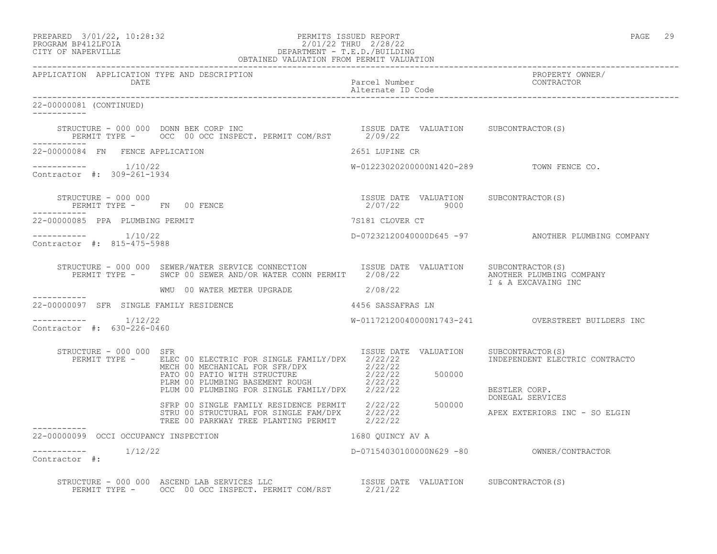| PREPARED | $3/01/22$ , $10:28:32$ |  |
|----------|------------------------|--|
|          |                        |  |

# PREPARED 3/01/22, 10:28:32 PERMITS ISSUED REPORT<br>PROGRAM BP412LFOIA PAGE 29 2/01/22 THRU 2/28/22 PROGRAM BP412LFOIA 2/01/22 THRU 2/28/22<br>CITY OF NAPERVILLE DEPARTMENT - T.E.D./BUILDIN DEPARTMENT - T.E.D./BUILDING

|                                                      | OBTAINED VALUATION FROM PERMIT VALUATION                                                                                                                                                                                                                                                               |                                          |                                                   |
|------------------------------------------------------|--------------------------------------------------------------------------------------------------------------------------------------------------------------------------------------------------------------------------------------------------------------------------------------------------------|------------------------------------------|---------------------------------------------------|
| APPLICATION APPLICATION TYPE AND DESCRIPTION<br>DATE |                                                                                                                                                                                                                                                                                                        | Parcel Number<br>Alternate ID Code       | PROPERTY OWNER/<br>CONTRACTOR                     |
| 22-00000081 (CONTINUED)                              |                                                                                                                                                                                                                                                                                                        |                                          |                                                   |
|                                                      |                                                                                                                                                                                                                                                                                                        |                                          |                                                   |
| 22-00000084 FN FENCE APPLICATION                     |                                                                                                                                                                                                                                                                                                        | 2651 LUPINE CR                           |                                                   |
| $--------- 1/10/22$<br>Contractor #: 309-261-1934    |                                                                                                                                                                                                                                                                                                        | W-01223020200000N1420-289 TOWN FENCE CO. |                                                   |
| ___________                                          | $\begin{array}{cccccccccc} \texttt{STRUCTURE} & - & 000 & 000 & & & & & & \\ \texttt{PERMIT TYPE} & - & & \texttt{FN} & 00 & \texttt{FENCE} & & & & & \\ \texttt{PERMIT TYPE} & - & & \texttt{00} & \texttt{FENCE} & & & & & \\ \end{array}$                                                           |                                          |                                                   |
| 22-00000085 PPA PLUMBING PERMIT                      |                                                                                                                                                                                                                                                                                                        | 7S181 CLOVER CT                          |                                                   |
| $--------- 1/10/22$<br>Contractor #: 815-475-5988    |                                                                                                                                                                                                                                                                                                        |                                          | D-07232120040000D645 -97 ANOTHER PLUMBING COMPANY |
|                                                      | STRUCTURE - 000 000 SEWER/WATER SERVICE CONNECTION ISSUE DATE VALUATION SUBCONTRACTOR(S)<br>PERMIT TYPE - SWCP 00 SEWER AND/OR WATER CONN PERMIT 2/08/22 1 & A EXCAVAING INC                                                                                                                           |                                          |                                                   |
| ------------                                         | WMU 00 WATER METER UPGRADE 2/08/22                                                                                                                                                                                                                                                                     |                                          |                                                   |
|                                                      | 22-00000097 SFR SINGLE FAMILY RESIDENCE THE SAME RESOLUTION 4456 SASSAFRAS LN                                                                                                                                                                                                                          |                                          |                                                   |
| $--------- 1/12/22$<br>Contractor #: 630-226-0460    |                                                                                                                                                                                                                                                                                                        |                                          |                                                   |
| STRUCTURE - 000 000 SFR                              | PERMIT TYPE - ELEC 00 ELECTRIC FOR SINGLE FAMILY/DPX 2/22/22<br>ELEC 00 ELECTRIC FOR SINGLE FAMILITURA (2/22/22)<br>MECH 00 MECHANICAL FOR SFR/DPX (2/22/22)<br>PATO 00 PATIO WITH STRUCTURE (2/22/22)<br>PLRM 00 PLUMBING BASEMENT ROUGH (2/22/22)<br>PLUM 00 PLUMBING FOR SINGLE FAMILY/DPX (2/22/22 | ISSUE DATE VALUATION SUBCONTRACTOR(S)    | INDEPENDENT ELECTRIC CONTRACTO<br>BESTLER CORP.   |
|                                                      | SFRP 00 SINGLE FAMILY RESIDENCE PERMIT 2/22/22 500000<br>STRU 00 STRUCTURAL FOR SINGLE FAM/DPX 2/22/22<br>TREE 00 PARKWAY TREE PLANTING PERMIT 2/22/22                                                                                                                                                 |                                          | DONEGAL SERVICES<br>APEX EXTERIORS INC - SO ELGIN |
| 22-00000099 OCCI OCCUPANCY INSPECTION                |                                                                                                                                                                                                                                                                                                        | 1680 OUINCY AV A                         |                                                   |
| $------- 1/12/22$<br>Contractor #:                   |                                                                                                                                                                                                                                                                                                        |                                          |                                                   |
|                                                      | STRUCTURE - 000 000 ASCEND LAB SERVICES LLC<br>PERMIT TYPE - OCC 00 OCC INSPECT. PERMIT COM/RST 2/21/22                                                                                                                                                                                                |                                          |                                                   |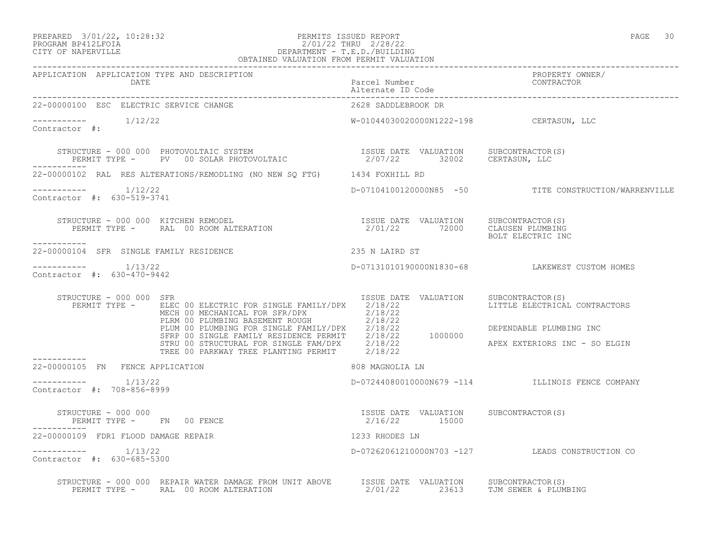#### PREPARED 3/01/22, 10:28:32 PERMITS ISSUED REPORT PAGE 30 PROGRAM BP412LFOIA 2/01/22 THRU 2/28/22 CITY OF NAPERVILLE DEPARTMENT - T.E.D./BUILDING

| ۰, |
|----|
|    |

|                                                                                                                                                                                                                                            | OBTAINED VALUATION FROM PERMIT VALUATION                 |                                                       |
|--------------------------------------------------------------------------------------------------------------------------------------------------------------------------------------------------------------------------------------------|----------------------------------------------------------|-------------------------------------------------------|
| APPLICATION APPLICATION TYPE AND DESCRIPTION<br>DATE                                                                                                                                                                                       | Parcel Number<br>Alternate ID Code                       | PROPERTY OWNER/<br>CONTRACTOR                         |
| 22-00000100 ESC ELECTRIC SERVICE CHANGE                                                                                                                                                                                                    | 2628 SADDLEBROOK DR                                      |                                                       |
| $\frac{---------}{1/12/22}$<br>Contractor #:                                                                                                                                                                                               | W-01044030020000N1222-198 CERTASUN, LLC                  |                                                       |
| STRUCTURE - 000 000 PHOTOVOLTAIC SYSTEM                           ISSUE DATE VALUATION     SUBCONTRACTOR(S)<br>PERMIT TYPE -     PV   00 SOLAR PHOTOVOLTAIC                       2/07/22      32002     CERTASUN, LLC<br>___________      |                                                          |                                                       |
| 22-00000102 RAL RES ALTERATIONS/REMODLING (NO NEW SQ FTG) 1434 FOXHILL RD                                                                                                                                                                  |                                                          |                                                       |
| $--------- 1/12/22$<br>Contractor #: 630-519-3741                                                                                                                                                                                          |                                                          | D-07104100120000N85 -50 TITE CONSTRUCTION/WARRENVILLE |
| -----------                                                                                                                                                                                                                                |                                                          | BOLT ELECTRIC INC                                     |
| 22-00000104 SFR SINGLE FAMILY RESIDENCE                                                                                                                                                                                                    | 235 N LAIRD ST                                           |                                                       |
| Contractor #: 630-470-9442                                                                                                                                                                                                                 |                                                          | D-07131010190000N1830-68 LAKEWEST CUSTOM HOMES        |
| STRUCTURE - 000 000 SFR<br>PERMIT TYPE - ELEC 00 ELECTRIC FOR SINGLE FAMILY/DPX 2/18/22                                                                                                                                                    | ISSUE DATE VALUATION                                     | SUBCONTRACTOR(S)<br>LITTLE ELECTRICAL CONTRACTORS     |
|                                                                                                                                                                                                                                            |                                                          | DEPENDABLE PLUMBING INC                               |
| MECH 00 MECHANICAL FOR SFR/DPX 2/18/22<br>PLRM 00 PLUMBING BASEMENT ROUGH 2/18/22<br>PLUM 00 PLUMBING FOR SINGLE FAMILY/DPX 2/18/22<br>SFRP 00 SINGLE FAMILY RESIDENCE PERMIT 2/18/22<br>SFRP 00 SINGLE FAMILY RESIDENCE PERMIT 2/18/22 10 |                                                          | APEX EXTERIORS INC - SO ELGIN                         |
| 22-00000105 FN FENCE APPLICATION                                                                                                                                                                                                           | 808 MAGNOLIA LN                                          |                                                       |
| $--------- 1/13/22$<br>Contractor #: 708-856-8999                                                                                                                                                                                          |                                                          | D-07244080010000N679 -114 ILLINOIS FENCE COMPANY      |
| STRUCTURE - 000 000<br>PERMIT TYPE - FN 00 FENCE                                                                                                                                                                                           | ISSUE DATE VALUATION SUBCONTRACTOR(S)<br>$2/16/22$ 15000 |                                                       |
| 22-00000109 FDR1 FLOOD DAMAGE REPAIR                                                                                                                                                                                                       | 1233 RHODES LN                                           |                                                       |
| $--------- 1/13/22$<br>Contractor #: 630-685-5300                                                                                                                                                                                          | D-07262061210000N703 -127 LEADS CONSTRUCTION CO          |                                                       |
| STRUCTURE - 000 000 REPAIR WATER DAMAGE FROM UNIT ABOVE ISSUE DATE VALUATION SUBCONTRACTOR(S)<br>PERMIT TYPE - RAL 00 ROOM ALTERATION 62/01/22 23613 TJM SEWER & PLUMBING                                                                  |                                                          |                                                       |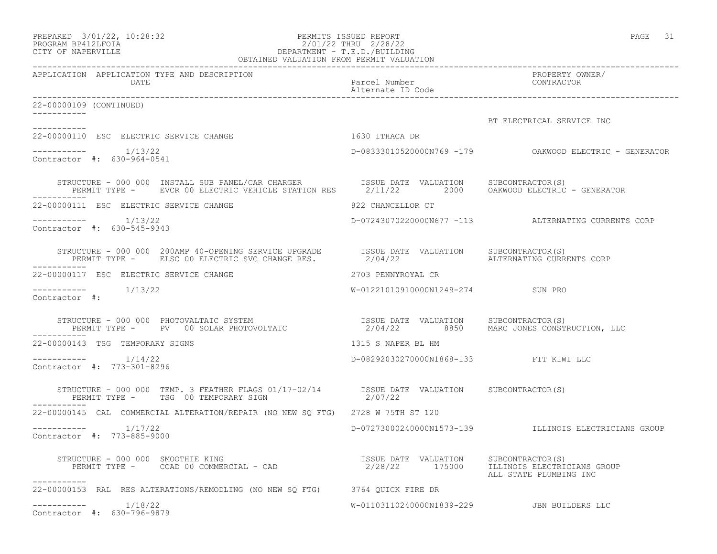| PREPARED           | $3/01/22$ , $10:28:32$ |  |
|--------------------|------------------------|--|
| PROCRAM RP412LFOIA |                        |  |

## PREPARED 3/01/22, 10:28:32 PERMITS ISSUED REPORT PAGE 31 PROGRAM BP412LFOIA 2/01/22 THRU 2/28/22 CITY OF NAPERVILLE DEPARTMENT - T.E.D./BUILDING

| OBTAINED VALUATION FROM PERMIT VALUATION                                                                                                                                                                                         |                                        |                                                           |
|----------------------------------------------------------------------------------------------------------------------------------------------------------------------------------------------------------------------------------|----------------------------------------|-----------------------------------------------------------|
| APPLICATION APPLICATION TYPE AND DESCRIPTION<br>DATE                                                                                                                                                                             | Parcel Number<br>Alternate ID Code     | PROPERTY OWNER/<br>CONTRACTOR                             |
| 22-00000109 (CONTINUED)                                                                                                                                                                                                          |                                        |                                                           |
| ___________                                                                                                                                                                                                                      |                                        | BT ELECTRICAL SERVICE INC                                 |
| ----------<br>1630 ITHACA DR<br>22-00000110 ESC ELECTRIC SERVICE CHANGE                                                                                                                                                          |                                        |                                                           |
| $--------$ 1/13/22<br>Contractor #: 630-964-0541                                                                                                                                                                                 |                                        | D-08333010520000N769 -179    QAKWOOD ELECTRIC - GENERATOR |
| STRUCTURE - 000 000 INSTALL SUB PANEL/CAR CHARGER      ISSUE DATE VALUATION     SUBCONTRACTOR(S)<br>PERMIT TYPE -    EVCR 00 ELECTRIC VEHICLE STATION RES     2/11/22     2000   OAKWOOD ELECTRIC - GENERATOR                    |                                        |                                                           |
| 22-00000111 ESC ELECTRIC SERVICE CHANGE                                                                                                                                                                                          | 822 CHANCELLOR CT                      |                                                           |
| Contractor #: 630-545-9343                                                                                                                                                                                                       |                                        | D-07243070220000N677 -113 ALTERNATING CURRENTS CORP       |
|                                                                                                                                                                                                                                  |                                        | ALTERNATING CURRENTS CORP                                 |
| 22-00000117 ESC ELECTRIC SERVICE CHANGE                                                                                                                                                                                          | 2703 PENNYROYAL CR                     |                                                           |
| -----------    1/13/22<br>Contractor #:                                                                                                                                                                                          | W-01221010910000N1249-274 SUN PRO      |                                                           |
| STRUCTURE - 000 000 PHOTOVALTAIC SYSTEM                           ISSUE DATE VALUATION    SUBCONTRACTOR(S)<br>PERMIT TYPE -     PV  00 SOLAR PHOTOVOLTAIC                        2/04/22        8850    MARC JONES CONSTRUCTION, |                                        |                                                           |
| 22-00000143 TSG TEMPORARY SIGNS                                                                                                                                                                                                  | 1315 S NAPER BL HM                     |                                                           |
| Contractor #: 773-301-8296                                                                                                                                                                                                       | D-08292030270000N1868-133 FIT KIWI LLC |                                                           |
| STRUCTURE – 000 000 TEMP. 3 FEATHER FLAGS 01/17-02/14 ISSUE DATE VALUATION SUBCONTRACTOR(S) PERMIT TYPE – TSG 00 TEMPORARY SIGN 2/07/22<br>------------                                                                          |                                        |                                                           |
| 22-00000145 CAL COMMERCIAL ALTERATION/REPAIR (NO NEW SQ FTG) 2728 W 75TH ST 120                                                                                                                                                  |                                        |                                                           |
| $--------$ 1/17/22<br>Contractor #: 773-885-9000                                                                                                                                                                                 |                                        | D-07273000240000N1573-139 ILLINOIS ELECTRICIANS GROUP     |
| RUCTURE - 000 000 SMOOTHIE KING<br>PERMIT TYPE - CCAD 00 COMMERCIAL - CAD - 1750/2 2/28/22 175000 - 115001 ELEUNOIS ELECTRICIANS GROUP<br>STRUCTURE - 000 000 SMOOTHIE KING<br>-----------                                       |                                        | ALL STATE PLUMBING INC                                    |
| 22-00000153 RAL RES ALTERATIONS/REMODLING (NO NEW SO FTG) 3764 OUICK FIRE DR                                                                                                                                                     |                                        |                                                           |
| 1/18/22<br>Contractor #: 630-796-9879                                                                                                                                                                                            |                                        | W-01103110240000N1839-229 JBN BUILDERS LLC                |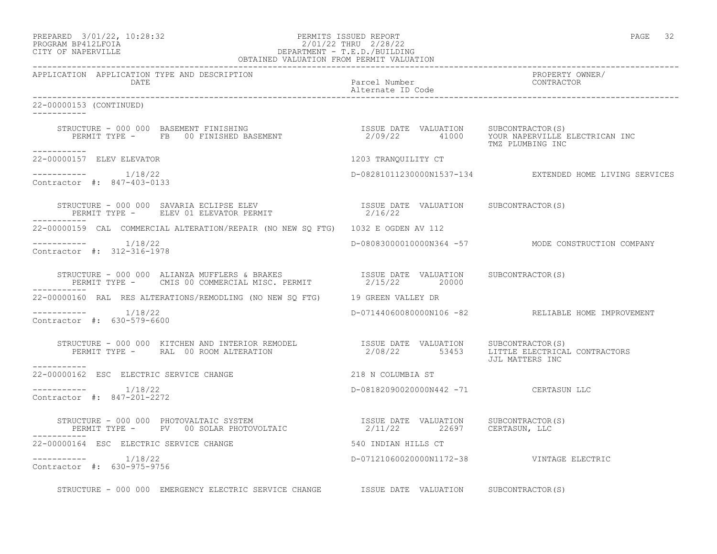### PREPARED 3/01/22, 10:28:32 PERMITS ISSUED REPORT PAGE 32 PROGRAM BP412LFOIA 2/01/22 THRU 2/28/22 CITY OF NAPERVILLE DEPARTMENT - T.E.D./BUILDING

| OBTAINED VALUATION FROM PERMIT VALUATION                                                                                                                                                                                                                                                               |                                           |                                                         |
|--------------------------------------------------------------------------------------------------------------------------------------------------------------------------------------------------------------------------------------------------------------------------------------------------------|-------------------------------------------|---------------------------------------------------------|
| APPLICATION APPLICATION TYPE AND DESCRIPTION<br>DATE                                                                                                                                                                                                                                                   | Parcel Number<br>Alternate ID Code        | PROPERTY OWNER/<br>CONTRACTOR                           |
| 22-00000153 (CONTINUED)<br>___________                                                                                                                                                                                                                                                                 |                                           |                                                         |
| STRUCTURE - 000 000 BASEMENT FINISHING                           ISSUE DATE VALUATION   SUBCONTRACTOR(S)<br>PERMIT TYPE -   FB  00 FINISHED BASEMENT                   2/09/22       41000   YOUR NAPERVILLE ELECTRICAN INC                                                                            |                                           |                                                         |
| ___________<br>22-00000157 ELEV ELEVATOR                                                                                                                                                                                                                                                               | 1203 TRANQUILITY CT                       |                                                         |
| $--------- 1/18/22$<br>Contractor #: 847-403-0133                                                                                                                                                                                                                                                      |                                           | D-08281011230000N1537-134 EXTENDED HOME LIVING SERVICES |
|                                                                                                                                                                                                                                                                                                        |                                           |                                                         |
| 22-00000159 CAL COMMERCIAL ALTERATION/REPAIR (NO NEW SO FTG) 1032 E OGDEN AV 112                                                                                                                                                                                                                       |                                           |                                                         |
| Contractor #: 312-316-1978                                                                                                                                                                                                                                                                             |                                           | D-08083000010000N364 -57 MODE CONSTRUCTION COMPANY      |
| $\begin{tabular}{lllllllllll} \texttt{STRUCTURE} & 000 000 & \texttt{ALIANZA MUFFLERS} & \texttt{BRAKES} & \texttt{ISSUE} & \texttt{DATE} & \texttt{VALUATION} & \texttt{SUBCONTRACTOR(S)} \\ \texttt{PERMIT TYPE} & - & \texttt{CMS 00 COMMERCIAL MISC. PERMIT} & 2/15/22 & 20000 & \\ \end{tabular}$ |                                           |                                                         |
| 22-00000160 RAL RES ALTERATIONS/REMODLING (NO NEW SQ FTG) 19 GREEN VALLEY DR                                                                                                                                                                                                                           |                                           |                                                         |
| Contractor #: 630-579-6600                                                                                                                                                                                                                                                                             |                                           | D-07144060080000N106 -82 RELIABLE HOME IMPROVEMENT      |
| STRUCTURE - 000 000 KITCHEN AND INTERIOR REMODEL (ISSUE DATE VALUATION SUBCONTRACTOR(S)<br>PERMIT TYPE - RAL 00 ROOM ALTERATION (2/08/22 53453 LITTLE ELECTRICAL CONTRACTORS                                                                                                                           |                                           |                                                         |
| 218 N COLUMBIA ST<br>22-00000162 ESC ELECTRIC SERVICE CHANGE                                                                                                                                                                                                                                           |                                           |                                                         |
| $--------- 1/18/22$<br>Contractor #: 847-201-2272                                                                                                                                                                                                                                                      | D-08182090020000N442 -71 CERTASUN LLC     |                                                         |
| STRUCTURE - 000 000 PHOTOVALTAIC SYSTEM                            ISSUE DATE VALUATION     SUBCONTRACTOR(S)<br>PERMIT TYPE -     PV   00 SOLAR PHOTOVOLTAIC                      2/11/22       22697     CERTASUN, LLC                                                                                |                                           |                                                         |
| 22-00000164 ESC ELECTRIC SERVICE CHANGE                                                                                                                                                                                                                                                                | 540 INDIAN HILLS CT                       |                                                         |
| $--------- 1/18/22$<br>Contractor #: 630-975-9756                                                                                                                                                                                                                                                      | D-07121060020000N1172-38 VINTAGE ELECTRIC |                                                         |
| STRUCTURE - 000 000 EMERGENCY ELECTRIC SERVICE CHANGE ISSUE DATE VALUATION SUBCONTRACTOR(S)                                                                                                                                                                                                            |                                           |                                                         |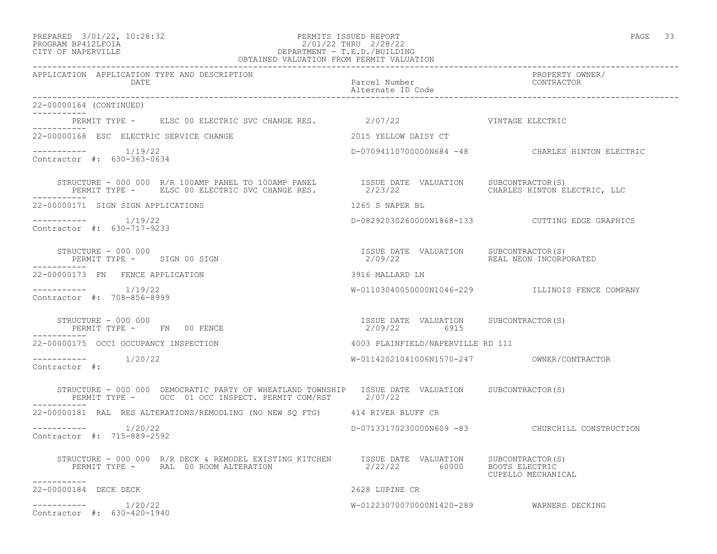### PREPARED 3/01/22, 10:28:32 PERMITS ISSUED REPORT PAGE 33 PROGRAM BP412LFOIA 2/01/22 THRU 2/28/22 CITY OF NAPERVILLE DEPARTMENT - T.E.D./BUILDING

| OBTAINED VALUATION FROM PERMIT VALUATION                                                                                                                                                                                                                                             |                                                       |                                                  |  |
|--------------------------------------------------------------------------------------------------------------------------------------------------------------------------------------------------------------------------------------------------------------------------------------|-------------------------------------------------------|--------------------------------------------------|--|
| APPLICATION APPLICATION TYPE AND DESCRIPTION<br>DATE                                                                                                                                                                                                                                 | Parcel Number<br>Alternate ID Code                    | PROPERTY OWNER/<br>CONTRACTOR                    |  |
| 22-00000164 (CONTINUED)                                                                                                                                                                                                                                                              |                                                       |                                                  |  |
| PERMIT TYPE - ELSC 00 ELECTRIC SVC CHANGE RES. 2/07/22 7 7 1 VINTAGE ELECTRIC                                                                                                                                                                                                        |                                                       |                                                  |  |
| -----------<br>22-00000168 ESC ELECTRIC SERVICE CHANGE                                                                                                                                                                                                                               | 2015 YELLOW DAISY CT                                  |                                                  |  |
| $--------$ 1/19/22<br>Contractor #: 630-363-0634                                                                                                                                                                                                                                     |                                                       | D-07094110700000N684 -48 CHARLES HINTON ELECTRIC |  |
| $\begin{tabular}{lllllllll} \multicolumn{2}{c}{STRUCTURE} & - & 000 & 000 & R/R & 100AMP PANEL & \multicolumn{2}{c}{D00} & TSSUE & DATE & VALUATION & SUBCONTRACTOR(S) \\ & PERMIT TYPE & - & ELSC & 00 ELECTRIC SVC CHANGE RES. & & 2/23/22 & & CHARLES HINTON EI \\ \end{tabular}$ |                                                       | CHARLES HINTON ELECTRIC, LLC                     |  |
| 22-00000171 SIGN SIGN APPLICATIONS                                                                                                                                                                                                                                                   | 1265 S NAPER BL                                       |                                                  |  |
| -----------    1/19/22<br>Contractor #: 630-717-9233                                                                                                                                                                                                                                 |                                                       |                                                  |  |
| PERMIT TYPE - SIGN 00 SIGN                                                                                                                                                                                                                                                           | ISSUE DATE VALUATION SUBCONTRACTOR(S)<br>2/09/22      | REAL NEON INCORPORATED                           |  |
| 22-00000173 FN FENCE APPLICATION                                                                                                                                                                                                                                                     | 3916 MALLARD LN                                       |                                                  |  |
| -----------    1/19/22<br>Contractor #: 708-856-8999                                                                                                                                                                                                                                 |                                                       | W-01103040050000N1046-229 ILLINOIS FENCE COMPANY |  |
| STRUCTURE - 000 000<br>PERMIT TYPE - FN 00 FENCE                                                                                                                                                                                                                                     | ISSUE DATE VALUATION SUBCONTRACTOR(S)<br>2/09/22 6915 |                                                  |  |
| 22-00000175 OCCI OCCUPANCY INSPECTION                                                                                                                                                                                                                                                | 4003 PLAINFIELD/NAPERVILLE RD 111                     |                                                  |  |
| -----------    1/20/22<br>Contractor #:                                                                                                                                                                                                                                              | W-01142021041006N1570-247 OWNER/CONTRACTOR            |                                                  |  |
| STRUCTURE - 000 000 DEMOCRATIC PARTY OF WHEATLAND TOWNSHIP ISSUE DATE VALUATION SUBCONTRACTOR(S)<br>PERMIT TYPE - OCC 01 OCC INSPECT. PERMIT COM/RST 2/07/22                                                                                                                         |                                                       |                                                  |  |
| 22-00000181 RAL RES ALTERATIONS/REMODLING (NO NEW SQ FTG) 414 RIVER BLUFF CR                                                                                                                                                                                                         |                                                       |                                                  |  |
| $--------- 1/20/22$<br>Contractor #: 715-889-2592                                                                                                                                                                                                                                    |                                                       | D-07133170230000N609 -83 CHURCHILL CONSTRUCTION  |  |
| STRUCTURE - 000 000 R/R DECK & REMODEL EXISTING KITCHEN ISSUE DATE VALUATION SUBCONTRACTOR(S)<br>PERMIT TYPE - RAL 00 ROOM ALTERATION                                                                                                                                                | 2/22/22 60000 BOOTS ELECTRIC                          | CUPELLO MECHANICAL                               |  |
| -----------<br>22-00000184 DECK DECK                                                                                                                                                                                                                                                 | 2628 LUPINE CR                                        |                                                  |  |
| ----------- 1/20/22<br>Contractor #: 630-420-1940                                                                                                                                                                                                                                    | W-01223070070000N1420-289 WARNERS DECKING             |                                                  |  |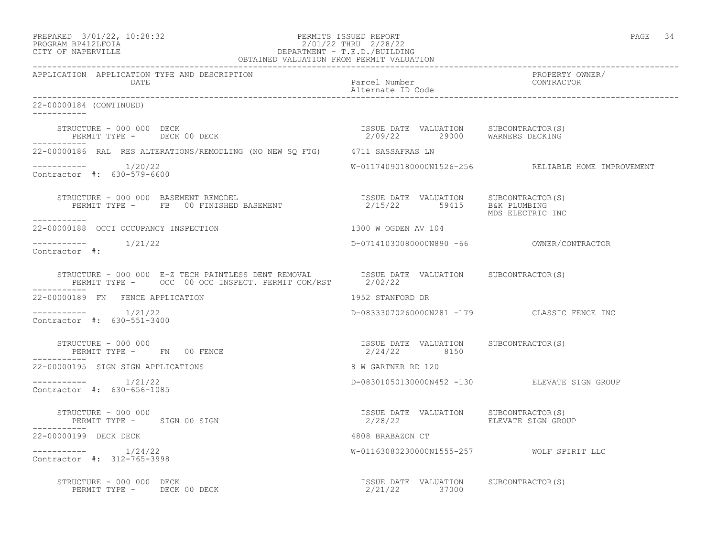PREPARED 3/01/22, 10:28:32 PERMITS ISSUED REPORT PAGE 34

# PROGRAM BP412LFOIA 2/01/22 THRU 2/28/22 CITY OF NAPERVILLE DEPARTMENT - T.E.D./BUILDING

| OBTAINED VALUATION FROM PERMIT VALUATION                                                                                                           |                                                       |                                                     |
|----------------------------------------------------------------------------------------------------------------------------------------------------|-------------------------------------------------------|-----------------------------------------------------|
| APPLICATION APPLICATION TYPE AND DESCRIPTION<br>DATE                                                                                               | Parcel Number<br>Alternate ID Code                    | PROPERTY OWNER/<br>CONTRACTOR                       |
| 22-00000184 (CONTINUED)                                                                                                                            |                                                       |                                                     |
| STRUCTURE – 000 000 DECK<br>PERMIT TYPE – DECK 00 DECK – 1990 – 1990 – 2/09/22 – 29000 – WARNERS DECKING<br>------------                           |                                                       |                                                     |
| 22-00000186 RAL RES ALTERATIONS/REMODLING (NO NEW SQ FTG) 4711 SASSAFRAS LN                                                                        |                                                       |                                                     |
| $--------- 1/20/22$<br>Contractor #: 630-579-6600                                                                                                  |                                                       | W-01174090180000N1526-256 RELIABLE HOME IMPROVEMENT |
| -----------                                                                                                                                        |                                                       | MDS ELECTRIC INC                                    |
| 22-00000188 OCCI OCCUPANCY INSPECTION                                                                                                              | 1300 W OGDEN AV 104                                   |                                                     |
| $--------- 1/21/22$<br>Contractor #:                                                                                                               |                                                       |                                                     |
| STRUCTURE - 000 000 E-Z TECH PAINTLESS DENT REMOVAL ISSUE DATE VALUATION SUBCONTRACTOR(S) PERMIT TYPE - OCC 00 OCC INSPECT. PERMIT COM/RST 2/02/22 |                                                       |                                                     |
| 22-00000189 FN FENCE APPLICATION                                                                                                                   | 1952 STANFORD DR                                      |                                                     |
| $--------- 1/21/22$<br>Contractor #: 630-551-3400                                                                                                  |                                                       | D-08333070260000N281 -179 CLASSIC FENCE INC         |
| STRUCTURE - 000 000<br>PERMIT TYPE - FN 00 FENCE<br>-----------                                                                                    | ISSUE DATE VALUATION SUBCONTRACTOR(S)<br>2/24/22 8150 |                                                     |
| 22-00000195 SIGN SIGN APPLICATIONS                                                                                                                 | 8 W GARTNER RD 120                                    |                                                     |
| $--------- 1/21/22$<br>Contractor #: 630-656-1085                                                                                                  |                                                       | D-08301050130000N452 -130 ELEVATE SIGN GROUP        |
| STRUCTURE - 000 000<br>PERMIT TYPE - SIGN 00 SIGN<br>-----------                                                                                   | ISSUE DATE VALUATION SUBCONTRACTOR(S)                 |                                                     |
| 22-00000199 DECK DECK                                                                                                                              | 4808 BRABAZON CT                                      |                                                     |
| $--------- 1/24/22$<br>Contractor #: 312-765-3998                                                                                                  | W-01163080230000N1555-257 WOLF SPIRIT LLC             |                                                     |
|                                                                                                                                                    | ISSUE DATE VALUATION SUBCONTRACTOR(S)                 |                                                     |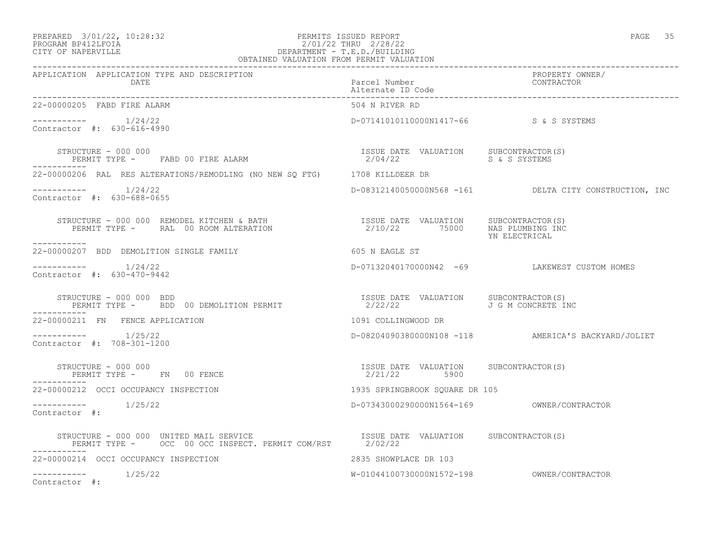#### PREPARED 3/01/22, 10:28:32 PERMITS ISSUED REPORT PAGE 35 PROGRAM BP412LFOIA 2/01/22 THRU 2/28/22 CITY OF NAPERVILLE DEPARTMENT - T.E.D./BUILDING

| OBTAINED VALUATION FROM PERMIT VALUATION                                                                                                                                                                                                                                                                                                                  |                                                       |                                                        |
|-----------------------------------------------------------------------------------------------------------------------------------------------------------------------------------------------------------------------------------------------------------------------------------------------------------------------------------------------------------|-------------------------------------------------------|--------------------------------------------------------|
| APPLICATION APPLICATION TYPE AND DESCRIPTION<br><b>DATE</b>                                                                                                                                                                                                                                                                                               | Parcel Number<br>Alternate ID Code                    | PROPERTY OWNER/<br>CONTRACTOR                          |
| 22-00000205 FABD FIRE ALARM                                                                                                                                                                                                                                                                                                                               | 504 N RIVER RD                                        |                                                        |
| Contractor #: 630-616-4990                                                                                                                                                                                                                                                                                                                                | D-07141010110000N1417-66 S&S SYSTEMS                  |                                                        |
| $\begin{array}{cccccc} \texttt{STRUCTURE} & - & 000 & 000 & & & & \\ \texttt{PERMIT TYPE} & - & \texttt{FABD} & 00 & \texttt{FIRE} & \texttt{ALBARM} & & & \\ \end{array} \qquad \begin{array}{cccccc} \texttt{ISSUE} & \texttt{DATE} & \texttt{VALUATION} & & \texttt{SUBCONTRACTOR(S)} \\ & 2/04/22 & & & S & S & S \end{array}$<br>STRUCTURE – 000 000 |                                                       |                                                        |
| 22-00000206 RAL RES ALTERATIONS/REMODLING (NO NEW SO FTG) 1708 KILLDEER DR                                                                                                                                                                                                                                                                                |                                                       |                                                        |
| $--------- 1/24/22$<br>Contractor #: 630-688-0655                                                                                                                                                                                                                                                                                                         |                                                       | D-08312140050000N568 -161 DELTA CITY CONSTRUCTION, INC |
| STRUCTURE – 000 000 REMODEL KITCHEN & BATH                             ISSUE DATE VALUATION     SUBCONTRACTOR(S)<br>PERMIT TYPE –      RAL  00 ROOM ALTERATION                                 2/10/22       75000     NAS PLUMBI<br>-----------                                                                                                          |                                                       | YN ELECTRICAL                                          |
| 22-00000207 BDD DEMOLITION SINGLE FAMILY                                                                                                                                                                                                                                                                                                                  | 605 N EAGLE ST                                        |                                                        |
| $--------- 1/24/22$<br>Contractor #: 630-470-9442                                                                                                                                                                                                                                                                                                         |                                                       | D-07132040170000N42 -69 LAKEWEST CUSTOM HOMES          |
| STRUCTURE - 000 000 BDD<br>PERMIT TYPE -   BDD 00 DEMOLITION PERMIT                       2/22/22         J G M CONCRETE INC                                                                                                                                                                                                                              |                                                       |                                                        |
| 22-00000211 FN FENCE APPLICATION                                                                                                                                                                                                                                                                                                                          | 1091 COLLINGWOOD DR                                   |                                                        |
| $--------- 1/25/22$<br>Contractor #: 708-301-1200                                                                                                                                                                                                                                                                                                         |                                                       | D-08204090380000N108 -118 AMERICA'S BACKYARD/JOLIET    |
| STRUCTURE - 000 000<br>PERMIT TYPE - FN 00 FENCE                                                                                                                                                                                                                                                                                                          | ISSUE DATE VALUATION SUBCONTRACTOR(S)<br>2/21/22 5900 |                                                        |
| 22-00000212 OCCI OCCUPANCY INSPECTION                                                                                                                                                                                                                                                                                                                     | 1935 SPRINGBROOK SQUARE DR 105                        |                                                        |
| Contractor #:                                                                                                                                                                                                                                                                                                                                             |                                                       |                                                        |
| STRUCTURE - 000 000 UNITED MAIL SERVICE                         ISSUE DATE VALUATION     SUBCONTRACTOR(S)<br>PERMIT TYPE -     OCC  00 OCC INSPECT. PERMIT COM/RST       2/02/22                                                                                                                                                                          |                                                       |                                                        |
| 22-00000214 OCCI OCCUPANCY INSPECTION                                                                                                                                                                                                                                                                                                                     | 2835 SHOWPLACE DR 103                                 |                                                        |
| $--------- 1/25/22$<br>Contractor #:                                                                                                                                                                                                                                                                                                                      |                                                       |                                                        |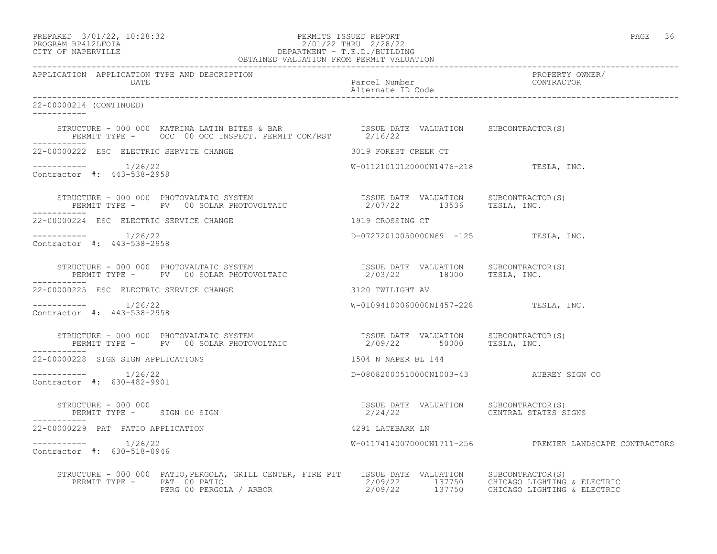PREPARED 3/01/22, 10:28:32 PERMITS ISSUED REPORT PAGE 36

### PROGRAM BP412LFOIA 2/01/22 THRU 2/28/22 CITY OF NAPERVILLE DEPARTMENT - T.E.D./BUILDING OBTAINED VALUATION FROM PERMIT VALUATION

| APPLICATION APPLICATION TYPE AND DESCRIPTION<br>DATE              |                                                                                                                                                                                                                                      | Parcel Number                                                         | PROPERTY OWNER/<br>CONTRACTOR                           |
|-------------------------------------------------------------------|--------------------------------------------------------------------------------------------------------------------------------------------------------------------------------------------------------------------------------------|-----------------------------------------------------------------------|---------------------------------------------------------|
| 22-00000214 (CONTINUED)<br>___________                            |                                                                                                                                                                                                                                      |                                                                       |                                                         |
|                                                                   |                                                                                                                                                                                                                                      |                                                                       |                                                         |
| 22-00000222 ESC ELECTRIC SERVICE CHANGE                           |                                                                                                                                                                                                                                      | 3019 FOREST CREEK CT                                                  |                                                         |
| $--------- 1/26/22$<br>Contractor #: 443-538-2958                 |                                                                                                                                                                                                                                      | $W-01121010120000N1476-218$ TESLA, INC.                               |                                                         |
|                                                                   | STRUCTURE - 000 000 PHOTOVALTAIC SYSTEM                           ISSUE DATE VALUATION     SUBCONTRACTOR(S)<br>PERMIT TYPE -      PV   00 SOLAR PHOTOVOLTAIC                       2/07/22      13536      TESLA, INC.               |                                                                       |                                                         |
| 22-00000224 ESC ELECTRIC SERVICE CHANGE                           |                                                                                                                                                                                                                                      | 1919 CROSSING CT                                                      |                                                         |
| $--------- 1/26/22$<br>Contractor #: 443-538-2958                 |                                                                                                                                                                                                                                      | $D-07272010050000N69$ $-125$ TESLA, INC.                              |                                                         |
|                                                                   | STRUCTURE - 000 000 PHOTOVALTAIC SYSTEM                            ISSUE DATE VALUATION     SUBCONTRACTOR(S)<br>PERMIT TYPE -      PV   00 SOLAR PHOTOVOLTAIC                       2/03/22      18000      TESLA, INC.              |                                                                       |                                                         |
| 22-00000225 ESC ELECTRIC SERVICE CHANGE                           |                                                                                                                                                                                                                                      | 3120 TWILIGHT AV                                                      |                                                         |
| $--------- 1/26/22$<br>Contractor #: 443-538-2958                 |                                                                                                                                                                                                                                      | W-01094100060000N1457-228 TESLA, INC.                                 |                                                         |
| . _ _ _ _ _ _ _ _ _ _ _                                           | STRUCTURE - 000 000 PHOTOVALTAIC SYSTEM                            ISSUE DATE VALUATION     SUBCONTRACTOR(S)<br>PERMIT TYPE -      PV   00 SOLAR PHOTOVOLTAIC                       2/09/22        50000     TESLA, INC.             |                                                                       |                                                         |
| 22-00000228 SIGN SIGN APPLICATIONS                                |                                                                                                                                                                                                                                      | 1504 N NAPER BL 144                                                   |                                                         |
| $--------- 1/26/22$<br>Contractor #: 630-482-9901                 |                                                                                                                                                                                                                                      | D-08082000510000N1003-43 AUBREY SIGN CO                               |                                                         |
| STRUCTURE - 000 000<br>PERMIT TYPE - SIGN 00 SIGN<br>------------ |                                                                                                                                                                                                                                      | ISSUE DATE VALUATION SUBCONTRACTOR(S)<br>2/24/22 CENTRAL STATES SIGNS |                                                         |
| 22-00000229 PAT PATIO APPLICATION                                 |                                                                                                                                                                                                                                      | 4291 LACEBARK LN                                                      |                                                         |
| $--------- 1/26/22$<br>Contractor #: 630-518-0946                 |                                                                                                                                                                                                                                      |                                                                       | W-01174140070000N1711-256 PREMIER LANDSCAPE CONTRACTORS |
|                                                                   | STRUCTURE - 000 000 PATIO, PERGOLA, GRILL CENTER, FIRE PIT ISSUE DATE VALUATION SUBCONTRACTOR(S)<br>PERMIT TYPE - PAT 00 PATIO 2/09/22 137750 CHICAGO LIGHTING & ELECTRIC<br>PERG 00 PERGOLA / ARBOR 2/09/22 137750 CHICAGO LIGHTING |                                                                       |                                                         |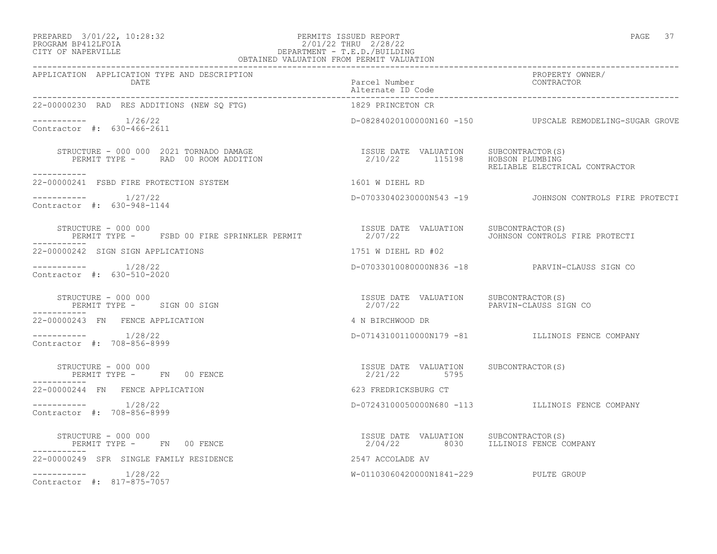#### PREPARED 3/01/22, 10:28:32 PERMITS ISSUED REPORT PAGE 37 PROGRAM BP412LFOIA 2/01/22 THRU 2/28/22 CITY OF NAPERVILLE DEPARTMENT - T.E.D./BUILDING OBTAINED VALUATION FROM PERMIT VALUATION

| APPLICATION APPLICATION TYPE AND DESCRIPTION<br>DATE                              | Parcel Number                                                                | PROPERTY OWNER/<br>CONTRACTOR                            |
|-----------------------------------------------------------------------------------|------------------------------------------------------------------------------|----------------------------------------------------------|
| 22-00000230 RAD RES ADDITIONS (NEW SO FTG)                                        | 1829 PRINCETON CR                                                            |                                                          |
| $--------- 1/26/22$<br>Contractor #: 630-466-2611                                 |                                                                              | D-08284020100000N160 -150 UPSCALE REMODELING-SUGAR GROVE |
| STRUCTURE - 000 000 2021 TORNADO DAMAGE<br>PERMIT TYPE -     RAD 00 ROOM ADDITION | ISSUE DATE VALUATION SUBCONTRACTOR(S)<br>2/10/22 115198 HOBSON PLUMBING      | RELIABLE ELECTRICAL CONTRACTOR                           |
| -----------<br>22-00000241 FSBD FIRE PROTECTION SYSTEM                            | 1601 W DIEHL RD                                                              |                                                          |
| $--------- 1/27/22$<br>Contractor #: 630-948-1144                                 |                                                                              | D-07033040230000N543 -19 JOHNSON CONTROLS FIRE PROTECTI  |
| STRUCTURE - 000 000<br>PERMIT TYPE - FSBD 00 FIRE SPRINKLER PERMIT                | ISSUE DATE VALUATION SUBCONTRACTOR(S)<br>2/07/22                             | JOHNSON CONTROLS FIRE PROTECTI                           |
| 22-00000242 SIGN SIGN APPLICATIONS                                                | 1751 W DIEHL RD #02                                                          |                                                          |
| $--------- 1/28/22$<br>Contractor #: 630-510-2020                                 |                                                                              | D-07033010080000N836 -18 PARVIN-CLAUSS SIGN CO           |
| STRUCTURE – 000 000<br>PERMIT TYPE - SIGN 00 SIGN                                 | ISSUE DATE VALUATION SUBCONTRACTOR(S)<br>2/07/22                             | PARVIN-CLAUSS SIGN CO                                    |
| 22-00000243 FN FENCE APPLICATION                                                  | 4 N BIRCHWOOD DR                                                             |                                                          |
| $--------- 1/28/22$<br>Contractor #: 708-856-8999                                 |                                                                              | D-07143100110000N179 -81 ILLINOIS FENCE COMPANY          |
| STRUCTURE - 000 000<br>PERMIT TYPE - FN 00 FENCE                                  | ISSUE DATE VALUATION SUBCONTRACTOR(S)<br>2/21/22 5795                        |                                                          |
| -----------<br>22-00000244 FN FENCE APPLICATION                                   | 623 FREDRICKSBURG CT                                                         |                                                          |
| $--------- 1/28/22$<br>Contractor #: 708-856-8999                                 |                                                                              | D-07243100050000N680 -113 ILLINOIS FENCE COMPANY         |
| STRUCTURE - 000 000<br>PERMIT TYPE - FN 00 FENCE                                  | ISSUE DATE VALUATION SUBCONTRACTOR(S)<br>2/04/22 8030 ILLINOIS FENCE COMPANY |                                                          |
| -----------<br>22-00000249 SFR SINGLE FAMILY RESIDENCE                            | 2547 ACCOLADE AV                                                             |                                                          |
| $--------- 1/28/22$<br>Contractor #: 817-875-7057                                 | W-01103060420000N1841-229 PULTE GROUP                                        |                                                          |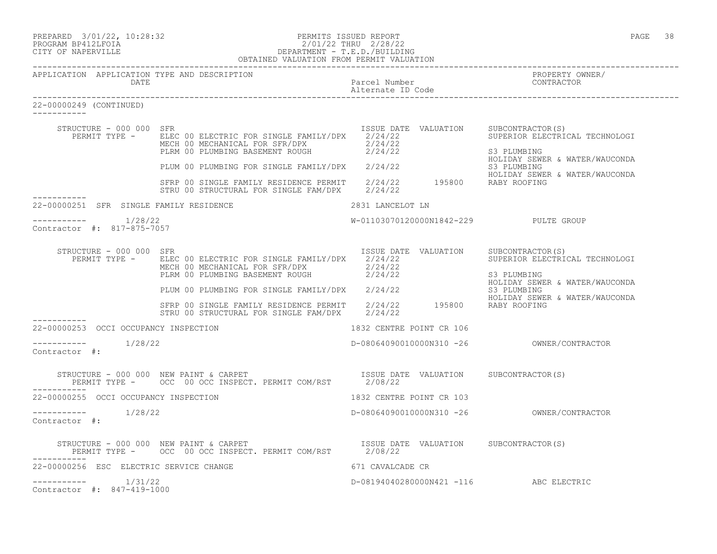| PREPARED | $3/01/22$ , $10:28:32$ |  |
|----------|------------------------|--|
| -------- |                        |  |

# PREPARED 3/01/22, 10:28:32 PERMITS ISSUED REPORT<br>PROGRAM BP412LFOIA PAGE 38 2/01/22 THRU 2/28/22 PROGRAM BP412LFOIA 2/01/22 THRU 2/28/22 CITY OF NAPERVILLE DEPARTMENT - T.E.D./BUILDING

|                                       |                            | OBTAINED VALUATION FROM PERMIT VALUATION                                                                                                                                                                                                                                              |                                        |                                                                                                                          |
|---------------------------------------|----------------------------|---------------------------------------------------------------------------------------------------------------------------------------------------------------------------------------------------------------------------------------------------------------------------------------|----------------------------------------|--------------------------------------------------------------------------------------------------------------------------|
|                                       | DATE                       | APPLICATION APPLICATION TYPE AND DESCRIPTION                                                                                                                                                                                                                                          | Parcel Number                          | PROPERTY OWNER/<br>CONTRACTOR                                                                                            |
| 22-00000249 (CONTINUED)<br>__________ |                            |                                                                                                                                                                                                                                                                                       |                                        |                                                                                                                          |
|                                       | STRUCTURE - 000 000 SFR    | PERMIT TYPE - ELEC 00 ELECTRIC FOR SINGLE FAMILY/DPX 2/24/22<br>MECH 00 MECHANICAL FOR SFR/DPX 2/24/22<br>PLRM 00 PLUMBING BASEMENT ROUGH 2/24/22<br>PLUM 00 PLUMBING FOR SINGLE FAMILY/DPX 2/24/22<br>S3 PLUMBING STRP 00 SINGLE FAMILY RESIDENCE PERMIT 2/24/22 195800 RABY ROOFING |                                        | ISSUE DATE VALUATION SUBCONTRACTOR(S)<br>SUPERIOR ELECTRICAL TECHNOLOGI<br>S3 PLUMBING<br>HOLIDAY SEWER & WATER/WAUCONDA |
|                                       |                            | STRU 00 STRUCTURAL FOR SINGLE FAM/DPX 2/24/22                                                                                                                                                                                                                                         |                                        | HOLIDAY SEWER & WATER/WAUCONDA                                                                                           |
|                                       |                            | 22-00000251 SFR SINGLE FAMILY RESIDENCE                                                                                                                                                                                                                                               | 2831 LANCELOT LN                       |                                                                                                                          |
|                                       | Contractor #: 817-875-7057 |                                                                                                                                                                                                                                                                                       | W-01103070120000N1842-229 PULTE GROUP  |                                                                                                                          |
|                                       | STRUCTURE - 000 000 SFR    | PERMIT TYPE - ELEC 00 ELECTRIC FOR SINGLE FAMILY/DPX 2/24/22<br>MECH 00 MECHANICAL FOR SFR/DPX 2/24/22<br>MECH 00 MECHANICAL FOR SFR/DPX $2/24/22$<br>PLRM 00 PLUMBING BASEMENT ROUGH $2/24/22$                                                                                       | ISSUE DATE VALUATION SUBCONTRACTOR(S)  | SUPERIOR ELECTRICAL TECHNOLOGI<br>S3 PLUMBING                                                                            |
|                                       |                            | PLUM 00 PLUMBING FOR SINGLE FAMILY/DPX 2/24/22<br>S3 PLUMBING SFRP 00 SINGLE FAMILY RESIDENCE PERMIT 2/24/22 195800 RABY ROOFING                                                                                                                                                      |                                        | HOLIDAY SEWER & WATER/WAUCONDA<br>HOLIDAY SEWER & WATER/WAUCONDA                                                         |
| ----------                            |                            | STRU 00 STRUCTURAL FOR SINGLE FAM/DPX 2/24/22                                                                                                                                                                                                                                         |                                        |                                                                                                                          |
|                                       |                            | 22-00000253 OCCI OCCUPANCY INSPECTION                                                                                                                                                                                                                                                 | 1832 CENTRE POINT CR 106               |                                                                                                                          |
| Contractor #:                         |                            |                                                                                                                                                                                                                                                                                       |                                        |                                                                                                                          |
|                                       |                            | STRUCTURE - 000 000 NEW PAINT & CARPET TSSUE DATE VALUATION SUBCONTRACTOR(S) PERMIT TYPE - OCC 00 OCC INSPECT. PERMIT COM/RST 2/08/22                                                                                                                                                 |                                        |                                                                                                                          |
|                                       |                            | 22-00000255 OCCI OCCUPANCY INSPECTION                                                                                                                                                                                                                                                 | 1832 CENTRE POINT CR 103               |                                                                                                                          |
| Contractor #:                         | -----------    1/28/22     |                                                                                                                                                                                                                                                                                       |                                        |                                                                                                                          |
|                                       |                            | STRUCTURE – 000 000 NEW PAINT & CARPET<br>PERMIT TYPE – OCC 00 OCC INSPECT. PERMIT COM/RST 2/08/22                                                                                                                                                                                    |                                        |                                                                                                                          |
|                                       |                            | 22-00000256 ESC ELECTRIC SERVICE CHANGE                                                                                                                                                                                                                                               | 671 CAVALCADE CR                       |                                                                                                                          |
| ------------                          | 1/31/22                    |                                                                                                                                                                                                                                                                                       | D-08194040280000N421 -116 ABC ELECTRIC |                                                                                                                          |

Contractor #: 847-419-1000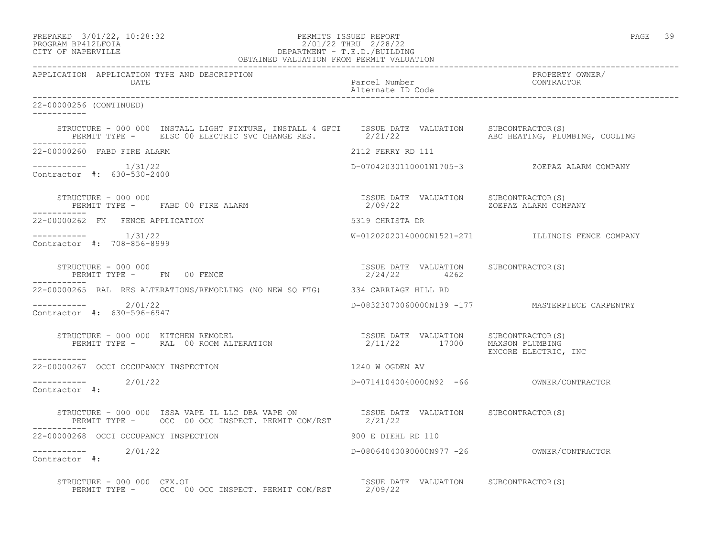| PREPARED | 3/01/22, 10:28:32 |  |
|----------|-------------------|--|
|          |                   |  |

# PREPARED 3/01/22, 10:28:32 PERMITS ISSUED REPORT<br>PROGRAM BP412LFOIA PAGE 39 2/01/22 THRU 2/28/22 PROGRAM BP412LFOIA 2/01/22 THRU 2/28/22<br>CITY OF NAPERVILLE DEPARTMENT - T.E.D./BUILDIN CITY OF NAPERVILLE DEPARTMENT - T.E.D./BUILDING

| OBTAINED VALUATION FROM PERMIT VALUATION                                                                                                                                                     |                                                                               |                                                  |
|----------------------------------------------------------------------------------------------------------------------------------------------------------------------------------------------|-------------------------------------------------------------------------------|--------------------------------------------------|
| APPLICATION APPLICATION TYPE AND DESCRIPTION<br>DATE                                                                                                                                         | Parcel Number<br>Alternate ID Code                                            | PROPERTY OWNER/<br>CONTRACTOR                    |
| 22-00000256 (CONTINUED)<br>___________                                                                                                                                                       |                                                                               |                                                  |
| STRUCTURE - 000 000 INSTALL LIGHT FIXTURE, INSTALL 4 GFCI   ISSUE DATE VALUATION   SUBCONTRACTOR(S)<br>PERMIT TYPE - ELSC 00 ELECTRIC SVC CHANGE RES. 2/21/22 ABC HEATING, PLUMBING, COOLING |                                                                               |                                                  |
| 22-00000260 FABD FIRE ALARM                                                                                                                                                                  | 2112 FERRY RD 111                                                             |                                                  |
| $--------- 1/31/22$<br>Contractor #: 630-530-2400                                                                                                                                            |                                                                               | D-07042030110001N1705-3 ZOEPAZ ALARM COMPANY     |
|                                                                                                                                                                                              |                                                                               |                                                  |
| 22-00000262 FN FENCE APPLICATION                                                                                                                                                             | 5319 CHRISTA DR                                                               |                                                  |
| $--------- 1/31/22$<br>Contractor #: 708-856-8999                                                                                                                                            |                                                                               | W-01202020140000N1521-271 ILLINOIS FENCE COMPANY |
| STRUCTURE - 000 000<br>PERMIT TYPE - FN 00 FENCE                                                                                                                                             | ISSUE DATE VALUATION SUBCONTRACTOR(S)<br>ISSUE DATE VALUATION<br>2/24/22 4262 |                                                  |
| 22-00000265 RAL RES ALTERATIONS/REMODLING (NO NEW SQ FTG) 334 CARRIAGE HILL RD                                                                                                               |                                                                               |                                                  |
| $--------- 2/01/22$<br>Contractor #: 630-596-6947                                                                                                                                            |                                                                               | D-08323070060000N139 -177 MASTERPIECE CARPENTRY  |
| STRUCTURE - 000 000 KITCHEN REMODEL<br>PERMIT TYPE - RAL 00 ROOM ALTERATION                                    2/11/22        17000     MAXSON PLUMBING<br>___________                       |                                                                               | ENCORE ELECTRIC, INC                             |
| 22-00000267 OCCI OCCUPANCY INSPECTION                                                                                                                                                        | 1240 W OGDEN AV                                                               |                                                  |
| $--------- 2/01/22$<br>Contractor #:                                                                                                                                                         |                                                                               |                                                  |
| STRUCTURE - 000 000 ISSA VAPE IL LLC DBA VAPE ON TSSUE DATE VALUATION SUBCONTRACTOR(S)<br>PERMIT TYPE - OCC 00 OCC INSPECT. PERMIT COM/RST 2/21/22                                           |                                                                               |                                                  |
| 22-00000268 OCCI OCCUPANCY INSPECTION                                                                                                                                                        | 900 E DIEHL RD 110                                                            |                                                  |
| $---------2/01/22$<br>Contractor #:                                                                                                                                                          | D-08064040090000N977 -26 OWNER/CONTRACTOR                                     |                                                  |
| STRUCTURE - 000 000 CEX.OI                                                                                                                                                                   |                                                                               |                                                  |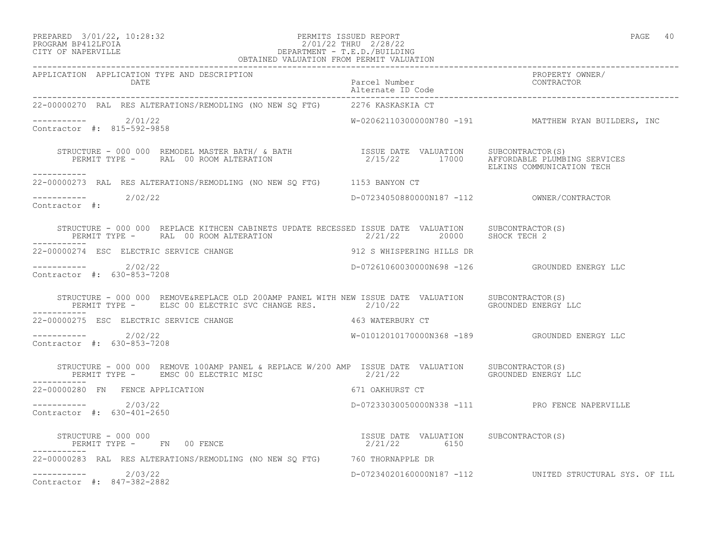#### PREPARED 3/01/22, 10:28:32 PERMITS ISSUED REPORT PAGE 40 PROGRAM BP412LFOIA 2/01/22 THRU 2/28/22 CITY OF NAPERVILLE DEPARTMENT - T.E.D./BUILDING OBTAINED VALUATION FROM PERMIT VALUATION

| APPLICATION APPLICATION TYPE AND DESCRIPTION<br>DATE                                                                                                                                                                              | Parcel Number<br>Parcel Number<br>Alternate ID Code<br>Settle School (SOMTRACTOR<br>Settle School (SOMTRACTOR) |                                                         |
|-----------------------------------------------------------------------------------------------------------------------------------------------------------------------------------------------------------------------------------|----------------------------------------------------------------------------------------------------------------|---------------------------------------------------------|
| 22-00000270 RAL RES ALTERATIONS/REMODLING (NO NEW SQ FTG) 2276 KASKASKIA CT                                                                                                                                                       |                                                                                                                |                                                         |
| ----------- 2/01/22<br>Contractor #: 815-592-9858                                                                                                                                                                                 |                                                                                                                | $W-02062110300000N780 -191$ MATTHEW RYAN BUILDERS, INC  |
| STRUCTURE – 000 000 REMODEL MASTER BATH/ & BATH                  ISSUE DATE VALUATION     SUBCONTRACTOR(S)<br>PERMIT TYPE –      RAL 00 ROOM ALTERATION                           2/15/22       17000     AFFORDABLE PLUMBING SER |                                                                                                                | ELKINS COMMUNICATION TECH                               |
| ___________<br>22-00000273 RAL RES ALTERATIONS/REMODLING (NO NEW SQ FTG) 1153 BANYON CT                                                                                                                                           |                                                                                                                |                                                         |
| $--------- 2/02/22$<br>Contractor #:                                                                                                                                                                                              | D-07234050880000N187 -112 OWNER/CONTRACTOR                                                                     |                                                         |
|                                                                                                                                                                                                                                   |                                                                                                                |                                                         |
| 22-00000274 ESC ELECTRIC SERVICE CHANGE                                                                                                                                                                                           | 912 S WHISPERING HILLS DR                                                                                      |                                                         |
| $--------- 2/02/22$<br>Contractor #: 630-853-7208                                                                                                                                                                                 |                                                                                                                | D-07261060030000N698 -126   GROUNDED ENERGY LLC         |
| STRUCTURE - 000 000 REMOVE&REPLACE OLD 200AMP PANEL WITH NEW ISSUE DATE VALUATION SUBCONTRACTOR(S)<br>PERMIT TYPE - ELSC 00 ELECTRIC SVC CHANGE RES. 2/10/22     GROUNDED ENERGY LLC                                              |                                                                                                                |                                                         |
| 22-00000275 ESC ELECTRIC SERVICE CHANGE                                                                                                                                                                                           | 463 WATERBURY CT                                                                                               |                                                         |
| $---------2/02/22$<br>Contractor #: 630-853-7208                                                                                                                                                                                  |                                                                                                                | W-01012010170000N368 -189 GROUNDED ENERGY LLC           |
| STRUCTURE - 000 000 REMOVE 100AMP PANEL & REPLACE W/200 AMP ISSUE DATE VALUATION SUBCONTRACTOR(S)<br>PERMIT TYPE - EMSC 00 ELECTRIC MISC 32/21/22 3 6ROUNDED ENERGY LLC                                                           |                                                                                                                |                                                         |
| -----------<br>22-00000280 FN FENCE APPLICATION                                                                                                                                                                                   | 671 OAKHURST CT                                                                                                |                                                         |
| $---------2/03/22$<br>Contractor #: 630-401-2650                                                                                                                                                                                  |                                                                                                                | D-07233030050000N338 -111 PRO FENCE NAPERVILLE          |
| STRUCTURE - 000 000<br>PERMIT TYPE - FN 00 FENCE                                                                                                                                                                                  | ISSUE DATE VALUATION SUBCONTRACTOR(S)<br>2/21/22 6150                                                          |                                                         |
| -----------<br>22-00000283 RAL RES ALTERATIONS/REMODLING (NO NEW SQ FTG) 760 THORNAPPLE DR                                                                                                                                        |                                                                                                                |                                                         |
| $--------- 2/03/22$<br>Contractor #: 847-382-2882                                                                                                                                                                                 |                                                                                                                | D-07234020160000N187 -112 UNITED STRUCTURAL SYS. OF ILL |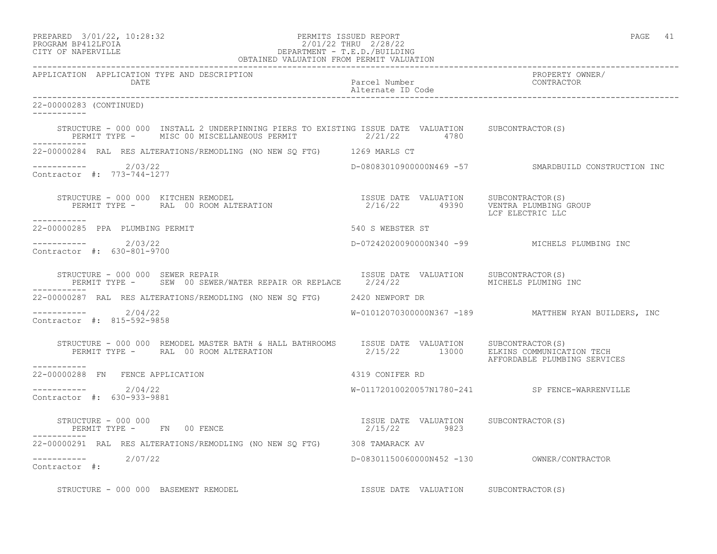| PREPARED            | 3/01/22, 10:28:32 |
|---------------------|-------------------|
| גד∩ם זר11תם וגמר∩חם |                   |

# PREPARED 3/01/22, 10:28:32 PERMITS ISSUED REPORT<br>PROGRAM BP412LFOIA PAGE 41 PROGRAM BP412LFOIA 2/01/22 THRU 2/28/22<br>CITY OF NAPERVILLE DEPARTMENT - T.E.D./BUILDIN DEPARTMENT - T.E.D./BUILDING

| OBTAINED VALUATION FROM PERMIT VALUATION                                                                                                                                                                                                                                                                  |                                                       |                                                        |  |
|-----------------------------------------------------------------------------------------------------------------------------------------------------------------------------------------------------------------------------------------------------------------------------------------------------------|-------------------------------------------------------|--------------------------------------------------------|--|
| APPLICATION APPLICATION TYPE AND DESCRIPTION<br>DATE                                                                                                                                                                                                                                                      | Parcel Number<br>Alternate ID Code                    | PROPERTY OWNER/<br>CONTRACTOR                          |  |
| 22-00000283 (CONTINUED)<br>___________                                                                                                                                                                                                                                                                    |                                                       |                                                        |  |
| STRUCTURE - 000 000 INSTALL 2 UNDERPINNING PIERS TO EXISTING ISSUE DATE VALUATION SUBCONTRACTOR(S)<br>PERMIT TYPE - MISC 00 MISCELLANEOUS PERMIT $2/21/22$ 4780                                                                                                                                           |                                                       |                                                        |  |
| 22-00000284 RAL RES ALTERATIONS/REMODLING (NO NEW SQ FTG) 1269 MARLS CT                                                                                                                                                                                                                                   |                                                       |                                                        |  |
| $---------2/03/22$<br>Contractor #: 773-744-1277                                                                                                                                                                                                                                                          |                                                       | D-08083010900000N469 -57 SMARDBUILD CONSTRUCTION INC   |  |
| $\begin{array}{cccc} \texttt{STRUCTURE} - 000 000 & \texttt{KITCHEN REMODEL} & \texttt{SUSUR} & \texttt{DATE} & \texttt{VALUATION} & \texttt{SUBCONTRACTOR(S)} \\ \texttt{PERMIT TYPE} - \texttt{RAL} & 00 ROM ALTERATION & 2/16/22 & 49390 & \texttt{VENTRA PLUMBING GROUP} \end{array}$<br>------------ |                                                       | LCF ELECTRIC LLC                                       |  |
| 22-00000285 PPA PLUMBING PERMIT                                                                                                                                                                                                                                                                           | 540 S WEBSTER ST                                      |                                                        |  |
| $---------2/03/22$<br>Contractor #: 630-801-9700                                                                                                                                                                                                                                                          |                                                       | D-07242020090000N340 -99 MICHELS PLUMBING INC          |  |
| STRUCTURE - 000 000 SEWER REPAIR<br>PERMIT TYPE - SEW 00 SEWER/WATER REPAIR OR REPLACE 2/24/22 MICHELS PLUMING INC                                                                                                                                                                                        | ISSUE DATE VALUATION SUBCONTRACTOR(S)                 |                                                        |  |
| 22-00000287 RAL RES ALTERATIONS/REMODLING (NO NEW SQ FTG) 2420 NEWPORT DR                                                                                                                                                                                                                                 |                                                       |                                                        |  |
| $--------- 2/04/22$<br>Contractor #: 815-592-9858                                                                                                                                                                                                                                                         |                                                       | $W-01012070300000N367 -189$ MATTHEW RYAN BUILDERS, INC |  |
| -----------                                                                                                                                                                                                                                                                                               |                                                       | AFFORDABLE PLUMBING SERVICES                           |  |
| 22-00000288 FN FENCE APPLICATION                                                                                                                                                                                                                                                                          | 4319 CONIFER RD                                       |                                                        |  |
| $---------2/04/22$<br>Contractor #: 630-933-9881                                                                                                                                                                                                                                                          |                                                       | W-01172010020057N1780-241 SP FENCE-WARRENVILLE         |  |
| STRUCTURE - 000 000<br>PERMIT TYPE - FN 00 FENCE                                                                                                                                                                                                                                                          | ISSUE DATE VALUATION SUBCONTRACTOR(S)<br>2/15/22 9823 |                                                        |  |
| 22-00000291 RAL RES ALTERATIONS/REMODLING (NO NEW SO FTG) 308 TAMARACK AV                                                                                                                                                                                                                                 |                                                       |                                                        |  |
| ----------- 2/07/22<br>Contractor #:                                                                                                                                                                                                                                                                      |                                                       |                                                        |  |
| STRUCTURE - 000 000 BASEMENT REMODEL                                                                                                                                                                                                                                                                      | ISSUE DATE VALUATION SUBCONTRACTOR(S)                 |                                                        |  |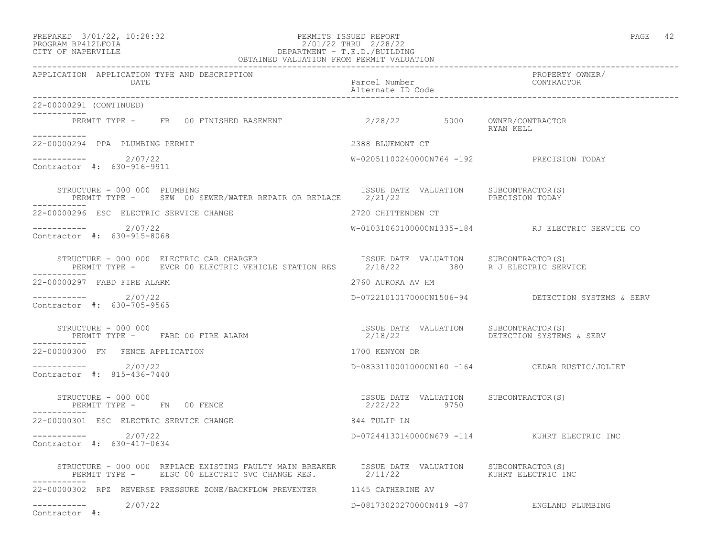### PREPARED 3/01/22, 10:28:32 PERMITS ISSUED REPORT PAGE 42 PROGRAM BP412LFOIA 2/01/22 THRU 2/28/22 CITY OF NAPERVILLE DEPARTMENT - T.E.D./BUILDING

| OBTAINED VALUATION FROM PERMIT VALUATION                                                                                                                                                                                                                                                                                                                                                                           |                                                       |                                                   |  |
|--------------------------------------------------------------------------------------------------------------------------------------------------------------------------------------------------------------------------------------------------------------------------------------------------------------------------------------------------------------------------------------------------------------------|-------------------------------------------------------|---------------------------------------------------|--|
| APPLICATION APPLICATION TYPE AND DESCRIPTION<br>DATE                                                                                                                                                                                                                                                                                                                                                               | Parcel Number<br>Alternate ID Code                    | PROPERTY OWNER/<br>CONTRACTOR                     |  |
| 22-00000291 (CONTINUED)                                                                                                                                                                                                                                                                                                                                                                                            |                                                       |                                                   |  |
| PERMIT TYPE - FB 00 FINISHED BASEMENT 62/28/22 5000 OWNER/CONTRACTOR<br>___________                                                                                                                                                                                                                                                                                                                                |                                                       | RYAN KELL                                         |  |
| 22-00000294 PPA PLUMBING PERMIT                                                                                                                                                                                                                                                                                                                                                                                    | 2388 BLUEMONT CT                                      |                                                   |  |
| 2/07/22<br>Contractor #: 630-916-9911                                                                                                                                                                                                                                                                                                                                                                              | W-02051100240000N764 -192 PRECISION TODAY             |                                                   |  |
| STRUCTURE - 000 000 PLUMBING<br>PERMIT TYPE - SEW 00 SEWER/WATER REPAIR OR REPLACE 2/21/22 PRECISION TODAY                                                                                                                                                                                                                                                                                                         | ISSUE DATE VALUATION SUBCONTRACTOR(S)                 |                                                   |  |
| 22-00000296 ESC ELECTRIC SERVICE CHANGE                                                                                                                                                                                                                                                                                                                                                                            | 2720 CHITTENDEN CT                                    |                                                   |  |
| -----------    2/07/22<br>Contractor #: 630-915-8068                                                                                                                                                                                                                                                                                                                                                               |                                                       | W-01031060100000N1335-184 RJ ELECTRIC SERVICE CO  |  |
| $\begin{array}{cccc} \texttt{STRUCTURE} - 000 000 & \texttt{ELECTRIC CAR CHARGE} & \texttt{STAITION} & \texttt{ISSUE DATE} & \texttt{VALUATION} & \texttt{SUBCONTRACTOR(S)} \\ \texttt{PERMIT TYPE -} & \texttt{EVCR 00 ELECTRIC VEHICCE} & \texttt{STATION RES} & 2/18/22 & 380 & \texttt{R J ELECTRIC SERVICE} \end{array}$                                                                                      |                                                       |                                                   |  |
| 22-00000297 FABD FIRE ALARM                                                                                                                                                                                                                                                                                                                                                                                        | 2760 AURORA AV HM                                     |                                                   |  |
| ----------- 2/07/22<br>Contractor #: 630-705-9565                                                                                                                                                                                                                                                                                                                                                                  |                                                       | D-07221010170000N1506-94 DETECTION SYSTEMS & SERV |  |
| $\begin{array}{cccccc} \texttt{STRUCTURE} & - & 000 & 000 & \\ \texttt{PERMIT TYPE} & - & \texttt{FABD} & 00 & \texttt{FIRE ALARM} & & \\ & & & & & & & \\ \end{array} \hspace{1cm} \begin{array}{cccccc} \texttt{ISSUE} & \texttt{DATE} & \texttt{VALUATION} & & \texttt{SUBCONTRACTOR(S)} \\ & & & & & \\ \texttt{2/18/22} & & & & \texttt{DETECTION SYSTEMS} \end{array}$<br>STRUCTURE - 000 000<br>----------- |                                                       | DETECTION SYSTEMS & SERV                          |  |
| 22-00000300 FN FENCE APPLICATION                                                                                                                                                                                                                                                                                                                                                                                   | 1700 KENYON DR                                        |                                                   |  |
| $--------- 2/07/22$<br>Contractor #: 815-436-7440                                                                                                                                                                                                                                                                                                                                                                  |                                                       | D-08331100010000N160 -164 CEDAR RUSTIC/JOLIET     |  |
| STRUCTURE - 000 000<br>PERMIT TYPE - FN 00 FENCE                                                                                                                                                                                                                                                                                                                                                                   | ISSUE DATE VALUATION SUBCONTRACTOR(S)<br>2/22/22 9750 |                                                   |  |
| 22-00000301 ESC ELECTRIC SERVICE CHANGE                                                                                                                                                                                                                                                                                                                                                                            | 844 TULIP LN                                          |                                                   |  |
| $---------2/07/22$<br>Contractor #: 630-417-0634                                                                                                                                                                                                                                                                                                                                                                   |                                                       | D-07244130140000N679 -114 KUHRT ELECTRIC INC      |  |
| STRUCTURE - 000 000 REPLACE EXISTING FAULTY MAIN BREAKER ISSUE DATE VALUATION SUBCONTRACTOR(S)<br>PERMIT TYPE - ELSC 00 ELECTRIC SVC CHANGE RES. 2/11/22 711/22 KUHRT ELECTRIC INC                                                                                                                                                                                                                                 |                                                       |                                                   |  |
| 22-00000302 RPZ REVERSE PRESSURE ZONE/BACKFLOW PREVENTER 1145 CATHERINE AV                                                                                                                                                                                                                                                                                                                                         |                                                       |                                                   |  |
| ----------- 2/07/22<br>Contractor #:                                                                                                                                                                                                                                                                                                                                                                               |                                                       | D-08173020270000N419 -87 ENGLAND PLUMBING         |  |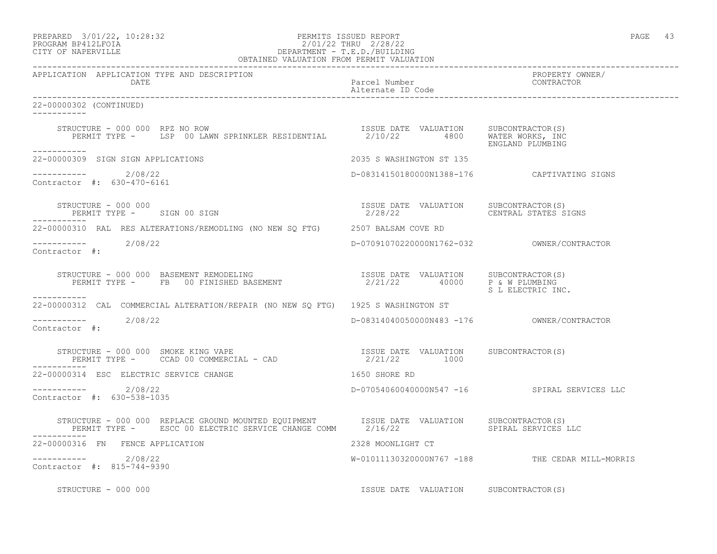# PREPARED 3/01/22, 10:28:32 PERMITS ISSUED REPORT PAGE 43 PROGRAM BP412LFOIA 2/01/22 THRU 2/28/22 CITY OF NAPERVILLE DEPARTMENT - T.E.D./BUILDING

|                                                                                                                                                                                                                                                                                               | OBTAINED VALUATION FROM PERMIT VALUATION                              |                                                 |  |
|-----------------------------------------------------------------------------------------------------------------------------------------------------------------------------------------------------------------------------------------------------------------------------------------------|-----------------------------------------------------------------------|-------------------------------------------------|--|
| APPLICATION APPLICATION TYPE AND DESCRIPTION<br>DATE                                                                                                                                                                                                                                          | Parcel Number<br>Alternate ID Code                                    | PROPERTY OWNER/<br>CONTRACTOR                   |  |
| 22-00000302 (CONTINUED)<br>___________                                                                                                                                                                                                                                                        |                                                                       |                                                 |  |
| $\begin{tabular}{lllllll} \texttt{STRUCTURE} & - & 000 & 000 & RPZ & NO & ROW & & \\ & & & & & & \texttt{ISSUE} & DATE & VALUATION & & SUBCONTRACTOR(S) \\ & PERMIT & TYPE & - & LSP & 00 & LAWN SPRINKLER RESIDENTIAL & & & 2/10/22 & & 4800 & & \texttt{WATER WORKS, INC} \\ \end{tabular}$ |                                                                       | ENGLAND PLUMBING                                |  |
| -----------<br>22-00000309 SIGN SIGN APPLICATIONS                                                                                                                                                                                                                                             | 2035 S WASHINGTON ST 135                                              |                                                 |  |
| -----------    2/08/22<br>Contractor #: 630-470-6161                                                                                                                                                                                                                                          | D-08314150180000N1388-176  CAPTIVATING SIGNS                          |                                                 |  |
| STRUCTURE - 000 000<br>PERMIT TYPE - SIGN 00 SIGN                                                                                                                                                                                                                                             | ISSUE DATE VALUATION SUBCONTRACTOR(S)<br>2/28/22 CENTRAL STATES SIGNS |                                                 |  |
| 22-00000310 RAL RES ALTERATIONS/REMODLING (NO NEW SO FTG) 2507 BALSAM COVE RD                                                                                                                                                                                                                 |                                                                       |                                                 |  |
| $--------$ 2/08/22<br>Contractor #:                                                                                                                                                                                                                                                           |                                                                       |                                                 |  |
| STRUCTURE - 000 000 BASEMENT REMODELING<br>PERMIT TYPE - FB 00 FINISHED BASEMENT<br>PERMIT TYPE - FB 00 FINISHED BASEMENT<br>PERMIT TYPE - FB 00 FINISHED BASEMENT<br>PERMIT TYPE - FB 00 FINISHED BASEMENT<br>-----------                                                                    |                                                                       | S L ELECTRIC INC.                               |  |
| 22-00000312 CAL COMMERCIAL ALTERATION/REPAIR (NO NEW SQ FTG) 1925 S WASHINGTON ST                                                                                                                                                                                                             |                                                                       |                                                 |  |
| $---------2/08/22$<br>Contractor #:                                                                                                                                                                                                                                                           |                                                                       |                                                 |  |
|                                                                                                                                                                                                                                                                                               |                                                                       |                                                 |  |
| 22-00000314 ESC ELECTRIC SERVICE CHANGE                                                                                                                                                                                                                                                       | 1650 SHORE RD                                                         |                                                 |  |
| $---------2/08/22$<br>Contractor #: 630-538-1035                                                                                                                                                                                                                                              | D-07054060040000N547 -16 SPIRAL SERVICES LLC                          |                                                 |  |
|                                                                                                                                                                                                                                                                                               |                                                                       |                                                 |  |
| 22-00000316 FN FENCE APPLICATION                                                                                                                                                                                                                                                              | 2328 MOONLIGHT CT                                                     |                                                 |  |
| ----------- 2/08/22<br>Contractor #: 815-744-9390                                                                                                                                                                                                                                             |                                                                       | W-01011130320000N767 -188 THE CEDAR MILL-MORRIS |  |
| STRUCTURE - 000 000                                                                                                                                                                                                                                                                           | ISSUE DATE VALUATION SUBCONTRACTOR(S)                                 |                                                 |  |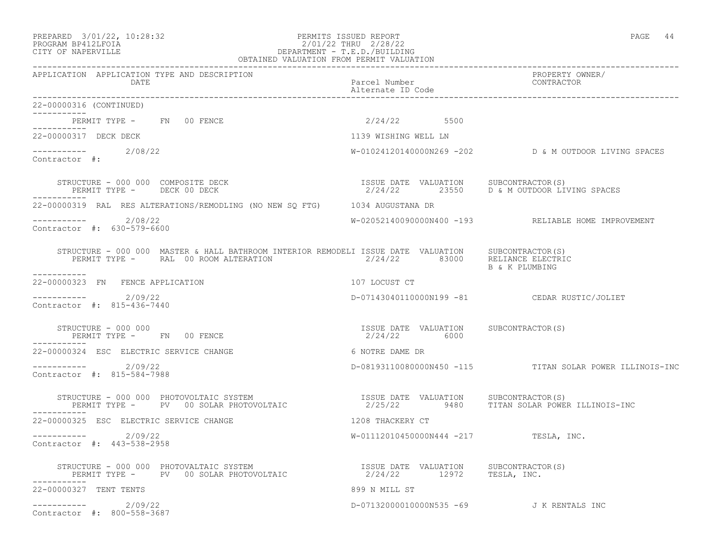### PREPARED 3/01/22, 10:28:32 PERMITS ISSUED REPORT PAGE 44 PROGRAM BP412LFOIA 2/01/22 THRU 2/28/22 CITY OF NAPERVILLE DEPARTMENT - T.E.D./BUILDING

| OBTAINED VALUATION FROM PERMIT VALUATION                                                                                                                                                                                                                                                                                                 |                                                       |                                                            |  |
|------------------------------------------------------------------------------------------------------------------------------------------------------------------------------------------------------------------------------------------------------------------------------------------------------------------------------------------|-------------------------------------------------------|------------------------------------------------------------|--|
| APPLICATION APPLICATION TYPE AND DESCRIPTION<br>DATE                                                                                                                                                                                                                                                                                     | Parcel Number<br>Alternate ID Code                    | PROPERTY OWNER/<br>CONTRACTOR                              |  |
| 22-00000316 (CONTINUED)<br>-----------                                                                                                                                                                                                                                                                                                   |                                                       |                                                            |  |
| PERMIT TYPE - FN 00 FENCE<br>------------                                                                                                                                                                                                                                                                                                | 2/24/22 5500                                          |                                                            |  |
| 22-00000317 DECK DECK                                                                                                                                                                                                                                                                                                                    | 1139 WISHING WELL LN                                  |                                                            |  |
| $---------2/08/22$<br>Contractor #:                                                                                                                                                                                                                                                                                                      |                                                       | $W-01024120140000N269 -202$ $D \& M$ OUTDOOR LIVING SPACES |  |
| STRUCTURE - 000 000 COMPOSITE DECK<br>PERMIT TYPE - DECK 00 DECK<br>------------                                                                                                                                                                                                                                                         | ISSUE DATE VALUATION SUBCONTRACTOR (S)                | $2/24/22$ 23550 D & M OUTDOOR LIVING SPACES                |  |
| 22-00000319 RAL RES ALTERATIONS/REMODLING (NO NEW SQ FTG) 1034 AUGUSTANA DR                                                                                                                                                                                                                                                              |                                                       |                                                            |  |
| 2/08/22<br>Contractor #: 630-579-6600                                                                                                                                                                                                                                                                                                    |                                                       | W-02052140090000N400 -193 RELIABLE HOME IMPROVEMENT        |  |
| $\begin{tabular}{lllllll} \texttt{STRUCTURE} & - & 000 & 000 & \texttt{MASTER} & \texttt{HALL BATHROM} & \texttt{INTERIOR} & \texttt{REMODELI} & \texttt{ISSUE} & \texttt{DATE} & \texttt{VALUATION} & & \texttt{SUBCONTRACTOR(S)}\\ & & & & & & \\ & & & & & & 2/24/22 & & 83000 & \texttt{RELIANCE} & \texttt{ELECTRIC} \end{tabular}$ |                                                       | B & K PLUMBING                                             |  |
| ------------<br>22-00000323 FN FENCE APPLICATION                                                                                                                                                                                                                                                                                         | 107 LOCUST CT                                         |                                                            |  |
| ----------- 2/09/22<br>Contractor #: 815-436-7440                                                                                                                                                                                                                                                                                        |                                                       | D-07143040110000N199 -81 CEDAR RUSTIC/JOLIET               |  |
| STRUCTURE - 000 000<br>PERMIT TYPE - FN 00 FENCE<br>-----------                                                                                                                                                                                                                                                                          | ISSUE DATE VALUATION SUBCONTRACTOR(S)<br>2/24/22 6000 |                                                            |  |
| 22-00000324 ESC ELECTRIC SERVICE CHANGE                                                                                                                                                                                                                                                                                                  | 6 NOTRE DAME DR                                       |                                                            |  |
| $--------- 2/09/22$<br>Contractor #: 815-584-7988                                                                                                                                                                                                                                                                                        |                                                       | D-08193110080000N450 -115 TITAN SOLAR POWER ILLINOIS-INC   |  |
| STRUCTURE - 000 000 PHOTOVOLTAIC SYSTEM<br>PERMIT TYPE -     PV   00 SOLAR PHOTOVOLTAIC<br>STRUCTURE - 000 000 PHOTOVOLTAIC SYSTEM                                                                                                                                                                                                       | ISSUE DATE VALUATION SUBCONTRACTOR(S)                 | 2/25/22 9480 TITAN SOLAR POWER ILLINOIS-INC                |  |
| 22-00000325 ESC ELECTRIC SERVICE CHANGE                                                                                                                                                                                                                                                                                                  | 1208 THACKERY CT                                      |                                                            |  |
| $---------2/09/22$<br>Contractor #: 443-538-2958                                                                                                                                                                                                                                                                                         | W-01112010450000N444 -217 TESLA, INC.                 |                                                            |  |
|                                                                                                                                                                                                                                                                                                                                          | ISSUE DATE VALUATION SUBCONTRACTOR (S)                |                                                            |  |
| 22-00000327 TENT TENTS                                                                                                                                                                                                                                                                                                                   | 899 N MILL ST                                         |                                                            |  |
| $--------- 2/09/22$<br>Contractor #: 800-558-3687                                                                                                                                                                                                                                                                                        |                                                       | D-07132000010000N535 -69 J K RENTALS INC                   |  |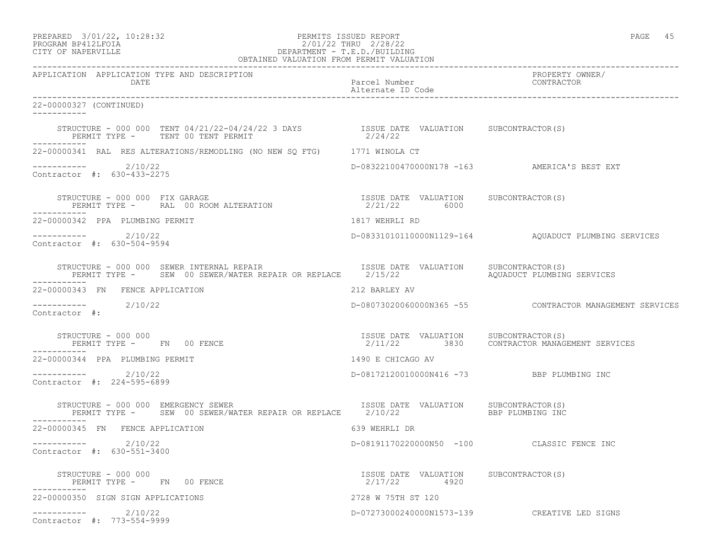PREPARED 3/01/22, 10:28:32 PERMITS ISSUED REPORT PAGE 45

# PROGRAM BP412LFOIA 2/01/22 THRU 2/28/22 CITY OF NAPERVILLE DEPARTMENT - T.E.D./BUILDING

| OBTAINED VALUATION FROM PERMIT VALUATION                                                                                                                       |                                                       |                                                                                      |  |
|----------------------------------------------------------------------------------------------------------------------------------------------------------------|-------------------------------------------------------|--------------------------------------------------------------------------------------|--|
| APPLICATION APPLICATION TYPE AND DESCRIPTION<br>DATE                                                                                                           | Parcel Number<br>Alternate ID Code                    | PROPERTY OWNER/<br>CONTRACTOR                                                        |  |
| 22-00000327 (CONTINUED)<br>___________                                                                                                                         |                                                       |                                                                                      |  |
| STRUCTURE - 000 000 TENT 04/21/22-04/24/22 3 DAYS STRUCT DATE VALUATION SUBCONTRACTOR(S)<br>PERMIT TYPE - TENT 00 TENT PERMIT                                  | 2/24/22                                               |                                                                                      |  |
| 22-00000341 RAL RES ALTERATIONS/REMODLING (NO NEW SQ FTG) 1771 WINOLA CT                                                                                       |                                                       |                                                                                      |  |
| $---------2/10/22$<br>Contractor #: 630-433-2275                                                                                                               |                                                       | D-08322100470000N178 -163 AMERICA'S BEST EXT                                         |  |
| STRUCTURE - 000 000 FIX GARAGE<br>STRUCTURE – 000 000 FIX GARAGE<br>PERMIT TYPE – RAL 00 ROOM ALTERATION                                    2/21/22       6000 |                                                       |                                                                                      |  |
| 22-00000342 PPA PLUMBING PERMIT                                                                                                                                | 1817 WEHRLI RD                                        |                                                                                      |  |
| ___________<br>2/10/22<br>Contractor #: 630-504-9594                                                                                                           |                                                       | D-08331010110000N1129-164 AQUADUCT PLUMBING SERVICES                                 |  |
| STRUCTURE - 000 000 SEWER INTERNAL REPAIR<br>PERMIT TYPE - SEW 00 SEWER/WATER REPAIR OR REPLACE 2/15/22                                                        | ISSUE DATE VALUATION SUBCONTRACTOR(S)                 | AQUADUCT PLUMBING SERVICES                                                           |  |
| 22-00000343 FN FENCE APPLICATION                                                                                                                               | 212 BARLEY AV                                         |                                                                                      |  |
| 2/10/22<br>Contractor #:                                                                                                                                       |                                                       | D-08073020060000N365 -55 CONTRACTOR MANAGEMENT SERVICES                              |  |
| STRUCTURE - 000 000<br>PERMIT TYPE - FN 00 FENCE                                                                                                               |                                                       | ISSUE DATE VALUATION SUBCONTRACTOR(S)<br>2/11/22 3830 CONTRACTOR MANAGEMENT SERVICES |  |
| 22-00000344 PPA PLUMBING PERMIT                                                                                                                                | 1490 E CHICAGO AV                                     |                                                                                      |  |
| ----------- 2/10/22<br>Contractor #: 224-595-6899                                                                                                              | D-08172120010000N416 -73 BBP PLUMBING INC             |                                                                                      |  |
| STRUCTURE - 000 000 EMERGENCY SEWER<br>PERMIT TYPE - SEW 00 SEWER/WATER REPAIR OR REPLACE 2/10/22<br>-----------                                               | ISSUE DATE VALUATION SUBCONTRACTOR(S)                 | BBP PLUMBING INC                                                                     |  |
| 22-00000345 FN FENCE APPLICATION                                                                                                                               | 639 WEHRLI DR                                         |                                                                                      |  |
| ----------- 2/10/22<br>Contractor #: 630-551-3400                                                                                                              |                                                       | D-08191170220000N50 -100 CLASSIC FENCE INC                                           |  |
| STRUCTURE - 000 000<br>PERMIT TYPE - FN 00 FENCE                                                                                                               | ISSUE DATE VALUATION SUBCONTRACTOR(S)<br>2/17/22 4920 |                                                                                      |  |
| 22-00000350 SIGN SIGN APPLICATIONS                                                                                                                             | 2728 W 75TH ST 120                                    |                                                                                      |  |
| -----------    2/10/22<br>Contractor #: 773-554-9999                                                                                                           |                                                       | D-07273000240000N1573-139 CREATIVE LED SIGNS                                         |  |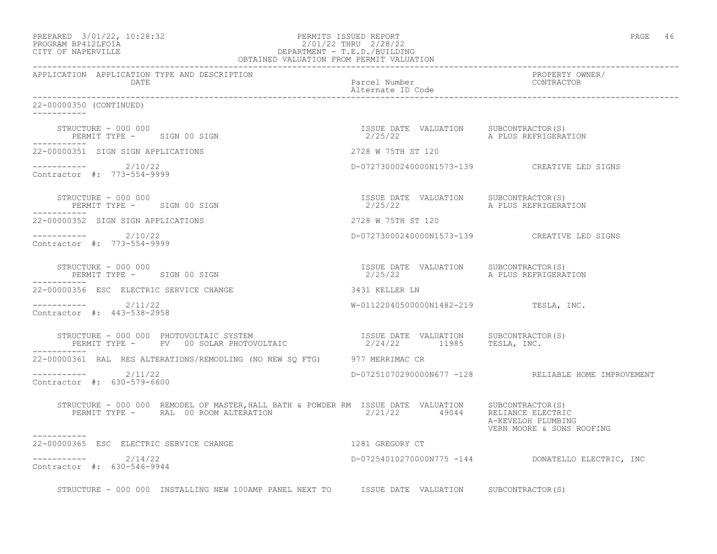| PREPARED | $3/01/22$ , $10:28:32$ |  |
|----------|------------------------|--|
|          |                        |  |

# PREPARED 3/01/22, 10:28:32 PERMITS ISSUED REPORT PAGE 46 PROGRAM BP412LFOIA 2/01/22 THRU 2/28/22 CITY OF NAPERVILLE DEPARTMENT - T.E.D./BUILDING

| OBTAINED VALUATION FROM PERMIT VALUATION                                                                                                                                                                                  |                                       |                                                     |
|---------------------------------------------------------------------------------------------------------------------------------------------------------------------------------------------------------------------------|---------------------------------------|-----------------------------------------------------|
| APPLICATION APPLICATION TYPE AND DESCRIPTION<br>DATE                                                                                                                                                                      | Parcel Number<br>Alternate ID Code    | PROPERTY OWNER/<br>CONTRACTOR                       |
| 22-00000350 (CONTINUED)                                                                                                                                                                                                   |                                       |                                                     |
| STRUCTURE - 000 000<br>PERMIT TYPE - SIGN 00 SIGN                                                                                                                                                                         |                                       | A PLUS REFRIGERATION                                |
| 22-00000351 SIGN SIGN APPLICATIONS                                                                                                                                                                                        | 2728 W 75TH ST 120                    |                                                     |
| ----------- 2/10/22<br>Contractor #: 773-554-9999                                                                                                                                                                         |                                       | D-07273000240000N1573-139 CREATIVE LED SIGNS        |
| STRUCTURE - 000 000<br>PERMIT TYPE - SIGN 00 SIGN                                                                                                                                                                         |                                       |                                                     |
| 22-00000352 SIGN SIGN APPLICATIONS                                                                                                                                                                                        | 2728 W 75TH ST 120                    |                                                     |
| $--------- 2/10/22$<br>Contractor #: 773-554-9999                                                                                                                                                                         |                                       | D-07273000240000N1573-139 CREATIVE LED SIGNS        |
| STRUCTURE - 000 000<br>PERMIT TYPE - SIGN 00 SIGN<br>___________                                                                                                                                                          | ISSUE DATE VALUATION SUBCONTRACTOR(S) |                                                     |
| 22-00000356 ESC ELECTRIC SERVICE CHANGE                                                                                                                                                                                   | 3431 KELLER LN                        |                                                     |
| $--------- 2/11/22$<br>Contractor #: 443-538-2958                                                                                                                                                                         | W-01122040500000N1482-219 TESLA, INC. |                                                     |
| STRUCTURE – 000 000 PHOTOVOLTAIC SYSTEM                              ISSUE DATE VALUATION     SUBCONTRACTOR(S)<br>PERMIT TYPE –     PV   00 SOLAR PHOTOVOLTAIC                       2/24/22       11985      TESLA, INC. |                                       |                                                     |
| 22-00000361 RAL RES ALTERATIONS/REMODLING (NO NEW SQ FTG) 977 MERRIMAC CR                                                                                                                                                 |                                       |                                                     |
| $---------2/11/22$<br>Contractor #: 630-579-6600                                                                                                                                                                          |                                       | D-07251070290000N677 -128 RELIABLE HOME IMPROVEMENT |
| STRUCTURE - 000 000 REMODEL OF MASTER, HALL BATH & POWDER RM ISSUE DATE VALUATION SUBCONTRACTOR(S)<br>PERMIT TYPE - RAL 00 ROOM ALTERATION 2/21/22 49044 RELIANCE ELECTRIC                                                |                                       | A-KEVELOH PLUMBING<br>VERN MOORE & SONS ROOFING     |
| -----------<br>22-00000365 ESC ELECTRIC SERVICE CHANGE                                                                                                                                                                    | 1281 GREGORY CT                       |                                                     |
| $--------- 2/14/22$<br>Contractor #: 630-546-9944                                                                                                                                                                         |                                       | D-07254010270000N775 -144 DONATELLO ELECTRIC, INC   |
| STRUCTURE - 000 000 INSTALLING NEW 100AMP PANEL NEXT TO ISSUE DATE VALUATION SUBCONTRACTOR(S)                                                                                                                             |                                       |                                                     |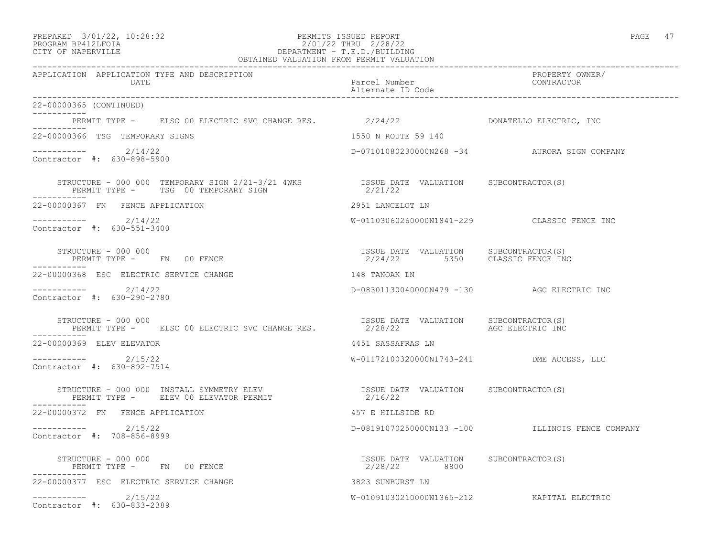### PREPARED 3/01/22, 10:28:32 PERMITS ISSUED REPORT PAGE 47 PROGRAM BP412LFOIA 2/01/22 THRU 2/28/22 CITY OF NAPERVILLE DEPARTMENT - T.E.D./BUILDING

| OBTAINED VALUATION FROM PERMIT VALUATION                                                                                                                                                                                                                                                                                                                                                                        |                                                                       |                                                  |
|-----------------------------------------------------------------------------------------------------------------------------------------------------------------------------------------------------------------------------------------------------------------------------------------------------------------------------------------------------------------------------------------------------------------|-----------------------------------------------------------------------|--------------------------------------------------|
| APPLICATION APPLICATION TYPE AND DESCRIPTION<br>DATE                                                                                                                                                                                                                                                                                                                                                            | Parcel Number<br>Alternate ID Code<br>_______________________________ | PROPERTY OWNER/<br>CONTRACTOR                    |
| 22-00000365 (CONTINUED)<br>___________                                                                                                                                                                                                                                                                                                                                                                          |                                                                       |                                                  |
| PERMIT TYPE - ELSC 00 ELECTRIC SVC CHANGE RES. 2/24/22 THE ROOMATELLO ELECTRIC, INC                                                                                                                                                                                                                                                                                                                             |                                                                       |                                                  |
| 22-00000366 TSG TEMPORARY SIGNS                                                                                                                                                                                                                                                                                                                                                                                 | 1550 N ROUTE 59 140                                                   |                                                  |
| $--------- 2/14/22$<br>Contractor #: 630-898-5900                                                                                                                                                                                                                                                                                                                                                               |                                                                       | D-07101080230000N268 -34 AURORA SIGN COMPANY     |
| STRUCTURE – 000 000 TEMPORARY SIGN 2/21-3/21 4WKS $\,$ $\,$ $\,$ ISSUE DATE VALUATION $\,$ SUBCONTRACTOR(S) $\,$ PERMIT TYPE – $\,$ TSG 00 TEMPORARY SIGN $\,$ $\,$ $\,$ 2/21/22                                                                                                                                                                                                                                |                                                                       |                                                  |
| 22-00000367 FN FENCE APPLICATION                                                                                                                                                                                                                                                                                                                                                                                | 2951 LANCELOT LN                                                      |                                                  |
| -----------    2/14/22<br>Contractor #: 630-551-3400                                                                                                                                                                                                                                                                                                                                                            |                                                                       | W-01103060260000N1841-229 CLASSIC FENCE INC      |
| $\begin{array}{cccc} \texttt{STRUCTURE} & - & 000 & 000 \\ \texttt{PERMIT} & \texttt{TPE} & - & \texttt{FN} & 00 \\ \texttt{FENCE} & \texttt{SUTE} & \texttt{SUTE} & \texttt{SUTE} & 2/24/22 & 5350 \\ \end{array} \qquad \begin{array}{cccc} \texttt{ISSUE} & \texttt{DATE} & \texttt{VALUATION} & \texttt{SUBCONTRACTOR(S)} \\ \texttt{SUSIC} & \texttt{FENCE} & \texttt{INC} \\ \end{array}$<br>------------ |                                                                       |                                                  |
| 22-00000368 ESC ELECTRIC SERVICE CHANGE                                                                                                                                                                                                                                                                                                                                                                         | 148 TANOAK LN                                                         |                                                  |
| $--------- 2/14/22$<br>Contractor #: 630-290-2780                                                                                                                                                                                                                                                                                                                                                               | D-08301130040000N479 -130 AGC ELECTRIC INC                            |                                                  |
| STRUCTURE - 000 000<br>PERMIT TYPE - ELSC 00 ELECTRIC SVC CHANGE RES. 2/28/22 AGC ELECTRIC INC                                                                                                                                                                                                                                                                                                                  | ISSUE DATE VALUATION SUBCONTRACTOR(S)                                 |                                                  |
| 22-00000369 ELEV ELEVATOR                                                                                                                                                                                                                                                                                                                                                                                       | 4451 SASSAFRAS LN                                                     |                                                  |
| $---------2/15/22$<br>Contractor #: 630-892-7514                                                                                                                                                                                                                                                                                                                                                                | W-01172100320000N1743-241 DME ACCESS, LLC                             |                                                  |
|                                                                                                                                                                                                                                                                                                                                                                                                                 |                                                                       |                                                  |
| 22-00000372 FN FENCE APPLICATION                                                                                                                                                                                                                                                                                                                                                                                | 457 E HILLSIDE RD                                                     |                                                  |
| $--------- 2/15/22$<br>Contractor #: 708-856-8999                                                                                                                                                                                                                                                                                                                                                               |                                                                       | D-08191070250000N133 -100 ILLINOIS FENCE COMPANY |
| STRUCTURE - 000 000<br>PERMIT TYPE - FN 00 FENCE                                                                                                                                                                                                                                                                                                                                                                | ISSUE DATE VALUATION SUBCONTRACTOR (S)<br>2/28/22 8800                |                                                  |
| 22-00000377 ESC ELECTRIC SERVICE CHANGE                                                                                                                                                                                                                                                                                                                                                                         | 3823 SUNBURST LN                                                      |                                                  |
| $--------- 2/15/22$<br>Contractor #: 630-833-2389                                                                                                                                                                                                                                                                                                                                                               |                                                                       | W-01091030210000N1365-212 KAPITAL ELECTRIC       |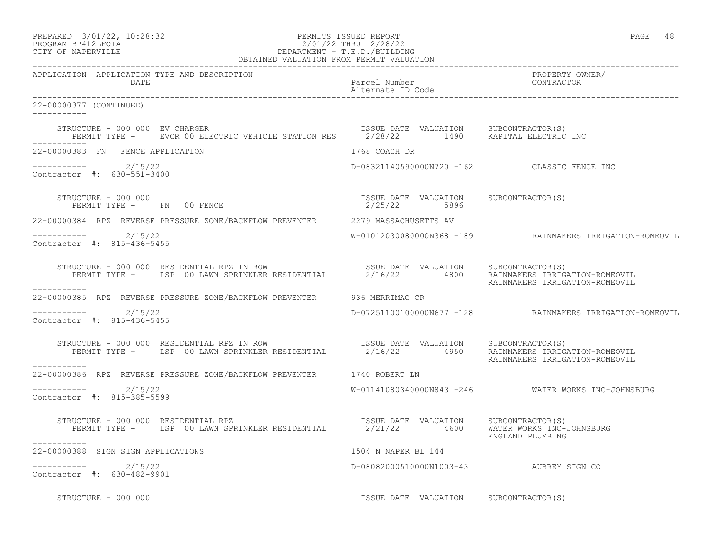| PREPARED            | $3/01/22$ , $10:28:32$ |  |
|---------------------|------------------------|--|
| DDOOD3M DD410T DOT3 |                        |  |

## PREPARED 3/01/22, 10:28:32 PERMITS ISSUED REPORT<br>PROGRAM BP412LFOIA PAGE 48 PROGRAM BP412LFOIA 2/01/22 THRU 2/28/22<br>CITY OF NAPERVILLE DEPARTMENT - T.E.D./BUILDIN CITY OF NAPERVILLE DEPARTMENT - T.E.D./BUILDING

| OBTAINED VALUATION FROM PERMIT VALUATION                                                                                                                                                                                                                                                                                                                        |                                             |                                                          |
|-----------------------------------------------------------------------------------------------------------------------------------------------------------------------------------------------------------------------------------------------------------------------------------------------------------------------------------------------------------------|---------------------------------------------|----------------------------------------------------------|
| APPLICATION APPLICATION TYPE AND DESCRIPTION<br><b>DATE</b>                                                                                                                                                                                                                                                                                                     | Parcel Number<br>Alternate ID Code          | PROPERTY OWNER/<br>CONTRACTOR                            |
| 22-00000377 (CONTINUED)<br>------------                                                                                                                                                                                                                                                                                                                         |                                             |                                                          |
| $\begin{array}{cccc} \texttt{STRUCTURE} & - & 000 & 000 & \texttt{EV} \texttt{CHARGE} \\ \texttt{PERMIT}\ \texttt{TYPE} & - & \texttt{EVCR} \ 00 & \texttt{ELECTRIC} \ \texttt{VEHICLE} \ \texttt{STATION} \ \texttt{RES} & 2/28/22 & 1490 & \texttt{KAPITAL} \ \texttt{ELECTRIC} \ \texttt{INC} \end{array}$<br>STRUCTURE - 000 000 EV CHARGER<br>____________ |                                             |                                                          |
| 22-00000383 FN FENCE APPLICATION                                                                                                                                                                                                                                                                                                                                | 1768 COACH DR                               |                                                          |
| $---------2/15/22$<br>Contractor #: 630-551-3400                                                                                                                                                                                                                                                                                                                | D-08321140590000N720 -162 CLASSIC FENCE INC |                                                          |
|                                                                                                                                                                                                                                                                                                                                                                 | ISSUE DATE VALUATION SUBCONTRACTOR(S)       |                                                          |
| 22-00000384 RPZ REVERSE PRESSURE ZONE/BACKFLOW PREVENTER 2279 MASSACHUSETTS AV                                                                                                                                                                                                                                                                                  |                                             |                                                          |
| ----------- 2/15/22<br>Contractor #: 815-436-5455                                                                                                                                                                                                                                                                                                               |                                             |                                                          |
| STRUCTURE - 000 000 RESIDENTIAL RPZ IN ROW USSUE DATE VALUATION SUBCONTRACTOR(S)<br>PERMIT TYPE - LSP 00 LAWN SPRINKLER RESIDENTIAL 2/16/22 4800 RAINMAKERS IRRIGATION-ROMEOVIL<br>------------                                                                                                                                                                 |                                             | RAINMAKERS IRRIGATION-ROMEOVIL                           |
| 22-00000385 RPZ REVERSE PRESSURE ZONE/BACKFLOW PREVENTER 536 MERRIMAC CR                                                                                                                                                                                                                                                                                        |                                             |                                                          |
| ----------- 2/15/22<br>Contractor #: 815-436-5455                                                                                                                                                                                                                                                                                                               |                                             | D-07251100100000N677 -128 RAINMAKERS IRRIGATION-ROMEOVIL |
| STRUCTURE - 000 000 RESIDENTIAL RPZ IN ROW SISSUE DATE VALUATION SUBCONTRACTOR(S)<br>PERMIT TYPE - LSP 00 LAWN SPRINKLER RESIDENTIAL 2/16/22 4950 RAINMAKERS IRRIGATION-ROMEOVIL<br>-----------                                                                                                                                                                 |                                             | RAINMAKERS IRRIGATION-ROMEOVIL                           |
| 22-00000386 RPZ REVERSE PRESSURE ZONE/BACKFLOW PREVENTER 1740 ROBERT LN                                                                                                                                                                                                                                                                                         |                                             |                                                          |
| $--------$ 2/15/22<br>Contractor #: 815-385-5599                                                                                                                                                                                                                                                                                                                |                                             | W-01141080340000N843 -246 WATER WORKS INC-JOHNSBURG      |
| FRUCTURE - 000 000 RESIDENTIAL RPZ<br>PERMIT TYPE - LSP 00 LAWN SPRINKLER RESIDENTIAL 2/21/22 4600 WATER WORKS INC-JOHNSBURG<br>STRUCTURE - 000 000 RESIDENTIAL RPZ                                                                                                                                                                                             |                                             | ENGLAND PLUMBING                                         |
| 22-00000388 SIGN SIGN APPLICATIONS                                                                                                                                                                                                                                                                                                                              | 1504 N NAPER BL 144                         |                                                          |
| ---------- 2/15/22<br>Contractor #: 630-482-9901                                                                                                                                                                                                                                                                                                                | D-08082000510000N1003-43 AUBREY SIGN CO     |                                                          |
| STRUCTURE - 000 000                                                                                                                                                                                                                                                                                                                                             | ISSUE DATE VALUATION SUBCONTRACTOR(S)       |                                                          |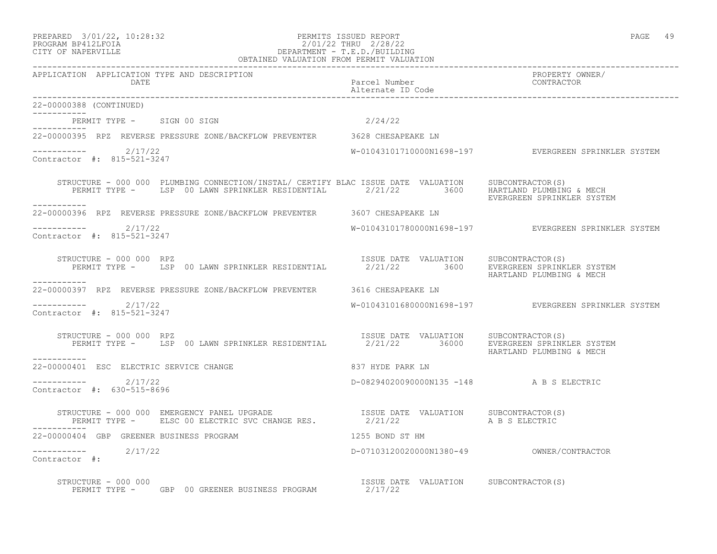# PREPARED 3/01/22, 10:28:32 PERMITS ISSUED REPORT<br>PROGRAM BP412LFOIA PAGE 49 PROGRAM BP412LFOIA 2/01/22 THRU 2/28/22 CITY OF NAPERVILLE DEPARTMENT - T.E.D./BUILDING

| OBTAINED VALUATION FROM PERMIT VALUATION                                                                                                                                                                                                                                                                                      |                                           |                                                      |
|-------------------------------------------------------------------------------------------------------------------------------------------------------------------------------------------------------------------------------------------------------------------------------------------------------------------------------|-------------------------------------------|------------------------------------------------------|
| APPLICATION APPLICATION TYPE AND DESCRIPTION<br>DATE                                                                                                                                                                                                                                                                          | Parcel Number<br>Alternate ID Code        | PROPERTY OWNER/<br>CONTRACTOR                        |
| 22-00000388 (CONTINUED)                                                                                                                                                                                                                                                                                                       |                                           |                                                      |
| PERMIT TYPE - SIGN 00 SIGN<br>-----------                                                                                                                                                                                                                                                                                     | 2/24/22                                   |                                                      |
| 22-00000395 RPZ REVERSE PRESSURE ZONE/BACKFLOW PREVENTER 3628 CHESAPEAKE LN                                                                                                                                                                                                                                                   |                                           |                                                      |
| ----------- 2/17/22<br>Contractor #: 815-521-3247                                                                                                                                                                                                                                                                             |                                           | W-01043101710000N1698-197 EVERGREEN SPRINKLER SYSTEM |
| STRUCTURE - 000 000 PLUMBING CONNECTION/INSTAL/ CERTIFY BLAC ISSUE DATE VALUATION SUBCONTRACTOR(S)<br>PERMIT TYPE - LSP 00 LAWN SPRINKLER RESIDENTIAL 2/21/22 3600 HARTLAND PLUMBING & MECH                                                                                                                                   |                                           | EVERGREEN SPRINKLER SYSTEM                           |
| 22-00000396 RPZ REVERSE PRESSURE ZONE/BACKFLOW PREVENTER 3607 CHESAPEAKE LN                                                                                                                                                                                                                                                   |                                           |                                                      |
| $---------2/17/22$<br>Contractor #: 815-521-3247                                                                                                                                                                                                                                                                              |                                           | W-01043101780000N1698-197 EVERGREEN SPRINKLER SYSTEM |
| RUCTURE - 000 000 RPZ<br>PERMIT TYPE - LSP 00 LAWN SPRINKLER RESIDENTIAL 1990 2/21/22 2000 EVERGREEN SPRINKLER SYSTEM<br>STRUCTURE - 000 000 RPZ                                                                                                                                                                              |                                           | HARTLAND PLUMBING & MECH                             |
| -----------<br>22-00000397 RPZ REVERSE PRESSURE ZONE/BACKFLOW PREVENTER 3616 CHESAPEAKE LN                                                                                                                                                                                                                                    |                                           |                                                      |
| $---------2/17/22$<br>Contractor #: 815-521-3247                                                                                                                                                                                                                                                                              |                                           |                                                      |
| STRUCTURE – 000 000 RPZ<br>PERMIT TYPE – LSP 00 LAWN SPRINKLER RESIDENTIAL 2/21/22 36000 EVERGREEN SPRINKLER SYSTEM<br>STRUCTURE - 000 000 RPZ<br>___________                                                                                                                                                                 |                                           | HARTLAND PLUMBING & MECH                             |
| 22-00000401 ESC ELECTRIC SERVICE CHANGE                                                                                                                                                                                                                                                                                       | 837 HYDE PARK LN                          |                                                      |
| $-$ --------- $2/17/22$<br>Contractor #: 630-515-8696                                                                                                                                                                                                                                                                         | D-08294020090000N135 -148 A B S ELECTRIC  |                                                      |
| $\begin{tabular}{lclclclcl} \texttt{STRUCTURE} & - & 000 & 000 & \texttt{EMERGENCY} & \texttt{PANEL UPGRADE} & & & & & & & & & & \\ \texttt{SSUE} & \texttt{DATE} & \texttt{VALUATION} & & \texttt{SUBCONTRACTOR(S)} & \\ & \texttt{PERMIT TYPE} & - & \texttt{ELSC 00 ELECTRIC SVC CHANGE RES} & & & & & & \\ \end{tabular}$ |                                           |                                                      |
| 22-00000404 GBP GREENER BUSINESS PROGRAM                                                                                                                                                                                                                                                                                      | 1255 BOND ST HM                           |                                                      |
| $---------2/17/22$<br>Contractor #:                                                                                                                                                                                                                                                                                           | D-07103120020000N1380-49 OWNER/CONTRACTOR |                                                      |
| STRUCTURE - 000 000<br>PERMIT TYPE -<br>GBP 00 GREENER BUSINESS PROGRAM 2/17/22                                                                                                                                                                                                                                               | ISSUE DATE VALUATION SUBCONTRACTOR(S)     |                                                      |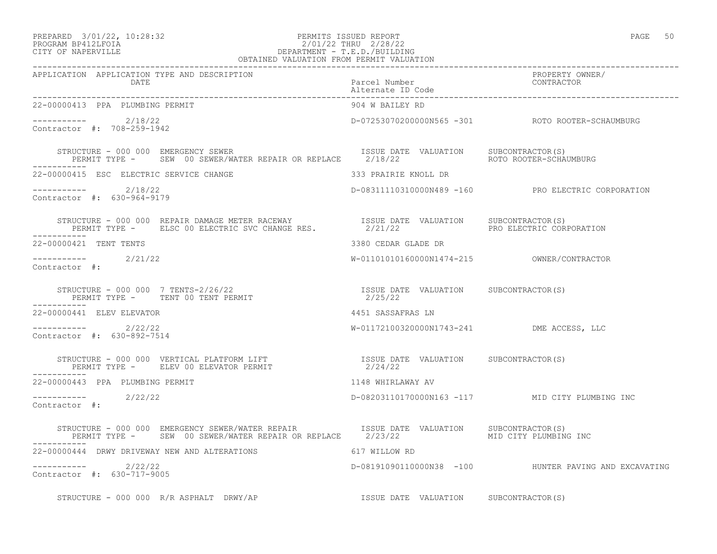#### PREPARED 3/01/22, 10:28:32 PERMITS ISSUED REPORT PAGE 50 PROGRAM BP412LFOIA 2/01/22 THRU 2/28/22 CITY OF NAPERVILLE DEPARTMENT - T.E.D./BUILDING OBTAINED VALUATION FROM PERMIT VALUATION

| APPLICATION APPLICATION TYPE AND DESCRIPTION<br>DATE                                                                                                                            |                                           |                                                       |
|---------------------------------------------------------------------------------------------------------------------------------------------------------------------------------|-------------------------------------------|-------------------------------------------------------|
| 22-00000413 PPA PLUMBING PERMIT                                                                                                                                                 | 904 W BAILEY RD                           |                                                       |
| $--------- 2/18/22$<br>Contractor #: 708-259-1942                                                                                                                               |                                           | D-07253070200000N565 -301 ROTO ROOTER-SCHAUMBURG      |
| STRUCTURE - 000 000 EMERGENCY SEWER<br>PERMIT TYPE - SEW 00 SEWER/WATER REPAIR OR REPLACE 2/18/22 ROTO ROOTER-SCHAUMBURG<br>STRUCTURE - 000 000 EMERGENCY SEWER                 |                                           |                                                       |
| 22-00000415 ESC ELECTRIC SERVICE CHANGE                                                                                                                                         | 333 PRAIRIE KNOLL DR                      |                                                       |
| $--------- 2/18/22$<br>Contractor #: 630-964-9179                                                                                                                               |                                           | D-08311110310000N489 -160 PRO ELECTRIC CORPORATION    |
| ___________                                                                                                                                                                     |                                           |                                                       |
| 22-00000421 TENT TENTS                                                                                                                                                          | 3380 CEDAR GLADE DR                       |                                                       |
| $---------2/21/22$<br>Contractor #:                                                                                                                                             |                                           |                                                       |
|                                                                                                                                                                                 |                                           |                                                       |
| 22-00000441 ELEV ELEVATOR                                                                                                                                                       | 4451 SASSAFRAS LN                         |                                                       |
| $---------2$ 2/22/22<br>Contractor #: 630-892-7514                                                                                                                              | W-01172100320000N1743-241 DME ACCESS, LLC |                                                       |
|                                                                                                                                                                                 |                                           |                                                       |
| 22-00000443 PPA PLUMBING PERMIT                                                                                                                                                 | 1148 WHIRLAWAY AV                         |                                                       |
| $\frac{---------}{2/22/22}$<br>Contractor #:                                                                                                                                    |                                           | D-08203110170000N163 -117 MID CITY PLUMBING INC       |
| STRUCTURE - 000 000 EMERGENCY SEWER/WATER REPAIR              ISSUE DATE VALUATION      SUBCONTRACTOR(S)<br>PERMIT TYPE -     SEW 00 SEWER/WATER REPAIR OR REPLACE      2/23/22 |                                           |                                                       |
| 22-00000444 DRWY DRIVEWAY NEW AND ALTERATIONS<br>617 WILLOW RD                                                                                                                  |                                           |                                                       |
| $---------2/22/22$<br>Contractor #: 630-717-9005                                                                                                                                |                                           | D-08191090110000N38 -100 HUNTER PAVING AND EXCAVATING |
| STRUCTURE - 000 000 R/R ASPHALT DRWY/AP                                                                                                                                         | ISSUE DATE VALUATION SUBCONTRACTOR(S)     |                                                       |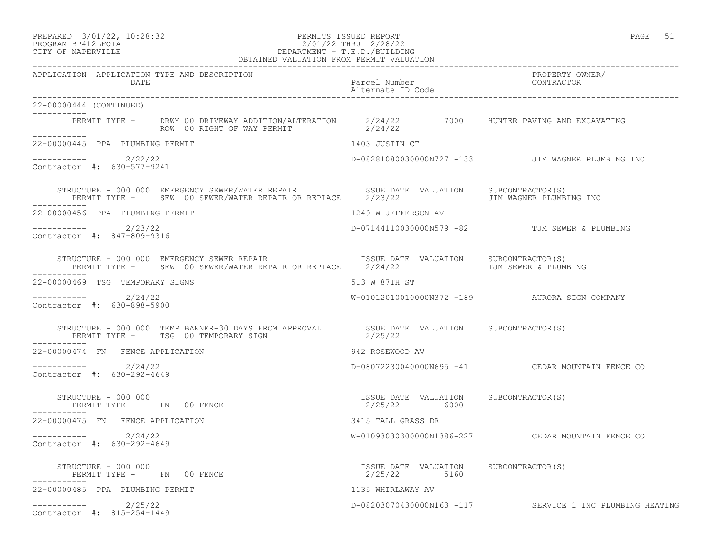# PREPARED 3/01/22, 10:28:32 PERMITS ISSUED REPORT PAGE 51 PROGRAM BP412LFOIA 2/01/22 THRU 2/28/22 CITY OF NAPERVILLE DEPARTMENT - T.E.D./BUILDING

| OBTAINED VALUATION FROM PERMIT VALUATION          |                                                                                                                                                                                                                                                                                 |                                                       |                                                          |
|---------------------------------------------------|---------------------------------------------------------------------------------------------------------------------------------------------------------------------------------------------------------------------------------------------------------------------------------|-------------------------------------------------------|----------------------------------------------------------|
|                                                   | APPLICATION APPLICATION TYPE AND DESCRIPTION<br>DATE                                                                                                                                                                                                                            | Parcel Number<br>Alternate ID Code                    | PROPERTY OWNER/<br>CONTRACTOR                            |
| 22-00000444 (CONTINUED)                           |                                                                                                                                                                                                                                                                                 |                                                       |                                                          |
| ___________                                       | PERMIT TYPE - DRWY 00 DRIVEWAY ADDITION/ALTERATION $2/24/22$ 7000 HUNTER PAVING AND EXCAVATING<br>$2/24/22$ 7000 HUNTER PAVING AND EXCAVATING                                                                                                                                   |                                                       |                                                          |
| 22-00000445 PPA PLUMBING PERMIT                   |                                                                                                                                                                                                                                                                                 | 1403 JUSTIN CT                                        |                                                          |
| $---------2/22/22$<br>Contractor #: 630-577-9241  |                                                                                                                                                                                                                                                                                 |                                                       | D-08281080030000N727 -133 JIM WAGNER PLUMBING INC        |
|                                                   | STRUCTURE - 000 000 EMERGENCY SEWER/WATER REPAIR <a>&gt; SISSUE<br/> DATE VALUATION <br/> SUBCONTRACTOR(S)<br/>PERMIT TYPE - SEW 00 SEWER/WATER REPAIR OR REPLACE 2/23/22</a>                                                                                                   |                                                       | JIM WAGNER PLUMBING INC                                  |
| 22-00000456 PPA PLUMBING PERMIT                   |                                                                                                                                                                                                                                                                                 | 1249 W JEFFERSON AV                                   |                                                          |
| ----------- 2/23/22<br>Contractor #: 847-809-9316 |                                                                                                                                                                                                                                                                                 |                                                       | D-07144110030000N579 -82 TJM SEWER & PLUMBING            |
|                                                   | STRUCTURE - 000 000 EMERGENCY SEWER REPAIR<br>STRUCTURE – 000 000 EMERGENCY SEWER REPAIR                             ISSUE DATE VALUATION      SUBCONTRACTOR(S)<br>PERMIT TYPE –     SEW 00 SEWER/WATER REPAIR OR REPLACE     2/24/22                         TJM SEWER & PLUMB |                                                       |                                                          |
| 22-00000469 TSG TEMPORARY SIGNS                   |                                                                                                                                                                                                                                                                                 | 513 W 87TH ST                                         |                                                          |
| ----------- 2/24/22<br>Contractor #: 630-898-5900 |                                                                                                                                                                                                                                                                                 |                                                       | W-01012010010000N372 -189 AURORA SIGN COMPANY            |
| ___________                                       | STRUCTURE - 000 000 TEMP BANNER-30 DAYS FROM APPROVAL ISSUE DATE VALUATION SUBCONTRACTOR(S)<br>PERMIT TYPE - TSG 00 TEMPORARY SIGN                                                                                                                                              | 2/25/22                                               |                                                          |
| 22-00000474 FN FENCE APPLICATION                  |                                                                                                                                                                                                                                                                                 | 942 ROSEWOOD AV                                       |                                                          |
| $--------- 2/24/22$<br>Contractor #: 630-292-4649 |                                                                                                                                                                                                                                                                                 |                                                       | D-08072230040000N695 -41 CEDAR MOUNTAIN FENCE CO         |
| STRUCTURE - 000 000                               | PERMIT TYPE - FN 00 FENCE                                                                                                                                                                                                                                                       | ISSUE DATE VALUATION SUBCONTRACTOR(S)<br>2/25/22 6000 |                                                          |
| 22-00000475 FN FENCE APPLICATION                  |                                                                                                                                                                                                                                                                                 | 3415 TALL GRASS DR                                    |                                                          |
| $--------$ 2/24/22<br>Contractor #: 630-292-4649  |                                                                                                                                                                                                                                                                                 |                                                       | W-010930303000000N1386-227 CEDAR MOUNTAIN FENCE CO       |
| STRUCTURE - 000 000                               | PERMIT TYPE - FN 00 FENCE                                                                                                                                                                                                                                                       | ISSUE DATE VALUATION SUBCONTRACTOR(S)<br>2/25/22 5160 |                                                          |
| 22-00000485 PPA PLUMBING PERMIT                   |                                                                                                                                                                                                                                                                                 | 1135 WHIRLAWAY AV                                     |                                                          |
| $--------- 2/25/22$<br>Contractor #: 815-254-1449 |                                                                                                                                                                                                                                                                                 |                                                       | D-08203070430000N163 -117 SERVICE 1 INC PLUMBING HEATING |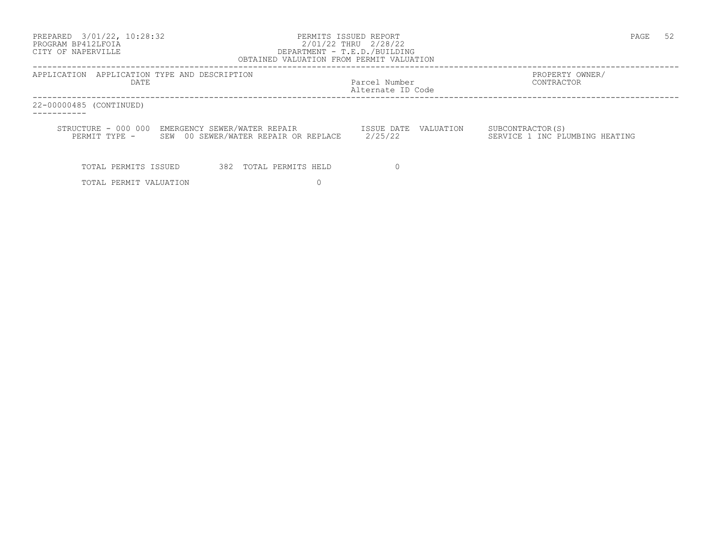| 3/01/22, 10:28:32<br>PREPARED<br>PROGRAM BP412LFOIA<br>CITY OF NAPERVILLE |                                                                                                                              | PERMITS ISSUED REPORT<br>2/01/22 THRU 2/28/22<br>DEPARTMENT - T.E.D./BUILDING<br>OBTAINED VALUATION FROM PERMIT VALUATION | PAGE<br>52                                          |
|---------------------------------------------------------------------------|------------------------------------------------------------------------------------------------------------------------------|---------------------------------------------------------------------------------------------------------------------------|-----------------------------------------------------|
| APPLICATION APPLICATION TYPE AND DESCRIPTION<br>DATE                      |                                                                                                                              | Parcel Number<br>Alternate ID Code                                                                                        | PROPERTY OWNER/<br>CONTRACTOR                       |
| 22-00000485 (CONTINUED)                                                   |                                                                                                                              |                                                                                                                           |                                                     |
|                                                                           | STRUCTURE - 000 000 EMERGENCY SEWER/WATER REPAIR TISSUE DATE VALUATION<br>PERMIT TYPE - SEW 00 SEWER/WATER REPAIR OR REPLACE | 2/25/22                                                                                                                   | SUBCONTRACTOR (S)<br>SERVICE 1 INC PLUMBING HEATING |
| TOTAL PERMITS ISSUED                                                      | 382 TOTAL PERMITS HELD                                                                                                       |                                                                                                                           |                                                     |
| TOTAL PERMIT VALUATION                                                    |                                                                                                                              |                                                                                                                           |                                                     |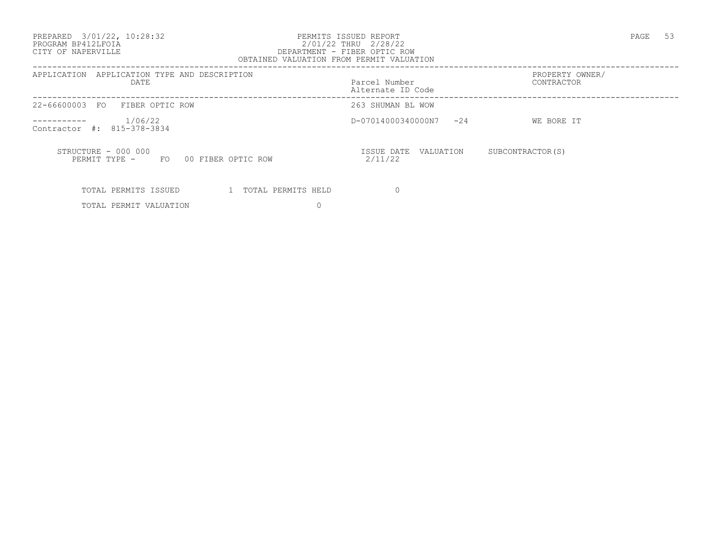PREPARED 3/01/22, 10:28:32 PERMITS ISSUED REPORT PAGE 53

#### PROGRAM BP412LFOIA 2/01/22 THRU 2/28/22 CITY OF NAPERVILLE DEPARTMENT - FIBER OPTIC ROW OBTAINED VALUATION FROM PERMIT VALUATION

| APPLICATION APPLICATION TYPE AND DESCRIPTION<br>DATE                    | Parcel Number<br>Alternate ID Code | PROPERTY OWNER/<br>CONTRACTOR |  |
|-------------------------------------------------------------------------|------------------------------------|-------------------------------|--|
| 22-66600003 FO<br>FIBER OPTIC ROW                                       | 263 SHUMAN BL WOW                  |                               |  |
| 1/06/22<br>-----------<br>Contractor #: 815-378-3834                    | D-07014000340000N7<br>$-24$        | WE BORE IT                    |  |
| STRUCTURE - 000 000<br>00 FIBER OPTIC ROW<br>PERMIT TYPE -<br><b>FO</b> | VALUATION<br>ISSUE DATE<br>2/11/22 | SUBCONTRACTOR (S)             |  |
| TOTAL PERMITS ISSUED<br>TOTAL PERMITS HELD                              |                                    |                               |  |

TOTAL PERMIT VALUATION 0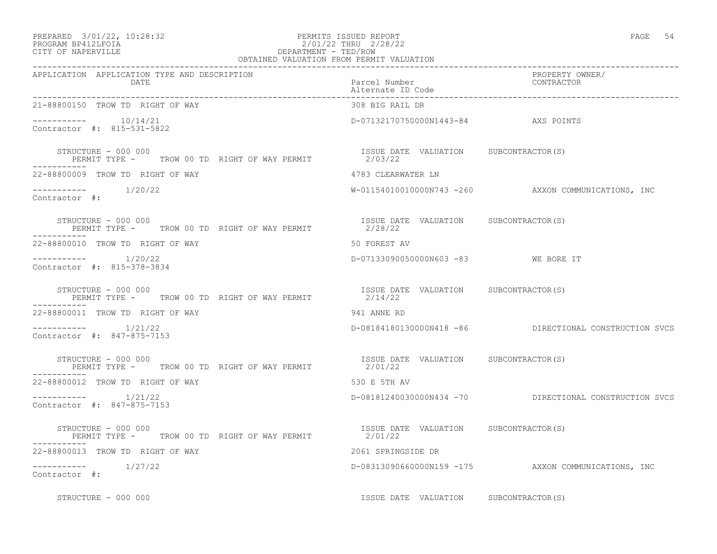#### PREPARED 3/01/22, 10:28:32 PERMITS ISSUED REPORT<br>PROGRAM BP412LFOIA PAGE 54 2/01/22 THRU 2/28/22 PROGRAM BP412LFOIA<br>
PROGRAM BP412LFOIA<br>
CITY OF NAPERVILLE<br>
CITY OF NAPERVILLE DEPARTMENT - TED/ROW

| OBTAINED VALUATION FROM PERMIT VALUATION                                    |                                                  |                                                        |
|-----------------------------------------------------------------------------|--------------------------------------------------|--------------------------------------------------------|
| APPLICATION APPLICATION TYPE AND DESCRIPTION<br>DATE                        | Parcel Number<br>Alternate ID Code               | PROPERTY OWNER/<br>CONTRACTOR                          |
| 21-88800150 TROW TD RIGHT OF WAY                                            | 308 BIG RAIL DR                                  |                                                        |
| Contractor #: 815-531-5822                                                  | D-07132170750000N1443-84 AXS POINTS              |                                                        |
| STRUCTURE - 000 000                                                         | ISSUE DATE VALUATION SUBCONTRACTOR(S)            |                                                        |
| 22-88800009 TROW TD RIGHT OF WAY                                            | 4783 CLEARWATER LN                               |                                                        |
| $--------- 1/20/22$<br>Contractor #:                                        |                                                  | W-01154010010000N743 -260 AXXON COMMUNICATIONS, INC    |
| STRUCTURE - 000 000<br>PERMIT TYPE - TROW 00 TD RIGHT OF WAY PERMIT 2/28/22 | ISSUE DATE VALUATION SUBCONTRACTOR(S)            |                                                        |
| 22-88800010 TROW TD RIGHT OF WAY                                            | 50 FOREST AV                                     |                                                        |
| ----------    1/20/22<br>Contractor #: 815-378-3834                         | D-07133090050000N603 -83 WE BORE IT              |                                                        |
| STRUCTURE - 000 000<br>PERMIT TYPE - TROW 00 TD RIGHT OF WAY PERMIT         | ISSUE DATE VALUATION SUBCONTRACTOR(S)<br>2/14/22 |                                                        |
| 22-88800011 TROW TD RIGHT OF WAY                                            | 941 ANNE RD                                      |                                                        |
| $--------$ 1/21/22<br>Contractor #: 847-875-7153                            |                                                  | D-08184180130000N418 -86 DIRECTIONAL CONSTRUCTION SVCS |
| STRUCTURE - 000 000<br>PERMIT TYPE - TROW 00 TD RIGHT OF WAY PERMIT 2/01/22 | ISSUE DATE VALUATION SUBCONTRACTOR(S)            |                                                        |
| 22-88800012 TROW TD RIGHT OF WAY                                            | 530 E 5TH AV                                     |                                                        |
| $--------- 1/21/22$<br>Contractor #: 847-875-7153                           |                                                  | D-08181240030000N434 -70 DIRECTIONAL CONSTRUCTION SVCS |
| STRUCTURE - 000 000<br>PERMIT TYPE - TROW 00 TD RIGHT OF WAY PERMIT 2/01/22 | ISSUE DATE VALUATION SUBCONTRACTOR (S)           |                                                        |
| 22-88800013 TROW TD RIGHT OF WAY                                            | 2061 SPRINGSIDE DR                               |                                                        |
| Contractor #:                                                               |                                                  | D-08313090660000N159 -175 AXXON COMMUNICATIONS, INC    |
| STRUCTURE - 000 000                                                         | ISSUE DATE VALUATION SUBCONTRACTOR(S)            |                                                        |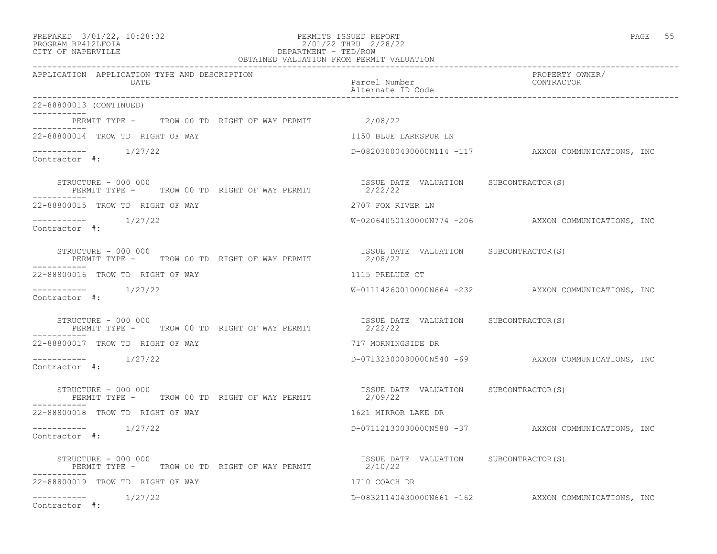| PREPARED |  | $3/01/22$ , $10:28:32$ |
|----------|--|------------------------|
|----------|--|------------------------|

### PREPARED 3/01/22, 10:28:32 PERMITS ISSUED REPORT<br>PROGRAM BP412LFOIA PAGE 55 2/01/22 THRU 2/28/22 PROGRAM BP412LFOIA 2/01/22 THRU 2/28/22<br>CITY OF NAPERVILLE DEPARTMENT - TED/ROW CITY OF NAPERVILLE **Example 20** and the contract of the DEPARTMENT - TED/ROW

| OBTAINED VALUATION FROM PERMIT VALUATION                                                                                                      |                                                  |                                                     |  |  |
|-----------------------------------------------------------------------------------------------------------------------------------------------|--------------------------------------------------|-----------------------------------------------------|--|--|
| APPLICATION APPLICATION TYPE AND DESCRIPTION<br>DATE                                                                                          | Parcel Number<br>Alternate ID Code               | PROPERTY OWNER/<br>CONTRACTOR                       |  |  |
| 22-88800013 (CONTINUED)                                                                                                                       |                                                  |                                                     |  |  |
| PERMIT TYPE - TROW 00 TD RIGHT OF WAY PERMIT 2/08/22                                                                                          |                                                  |                                                     |  |  |
| 22-88800014 TROW TD RIGHT OF WAY                                                                                                              | 1150 BLUE LARKSPUR LN                            |                                                     |  |  |
| $---------$ 1/27/22<br>Contractor #:                                                                                                          |                                                  | D-08203000430000N114 -117 AXXON COMMUNICATIONS, INC |  |  |
| STRUCTURE - 000 000<br>PERMIT TYPE - TROW 00 TD RIGHT OF WAY PERMIT 2/22/22                                                                   | ISSUE DATE VALUATION SUBCONTRACTOR(S)            |                                                     |  |  |
| 22-88800015 TROW TD RIGHT OF WAY                                                                                                              | 2707 FOX RIVER LN                                |                                                     |  |  |
| Contractor #:                                                                                                                                 |                                                  | W-02064050130000N774 -206 AXXON COMMUNICATIONS, INC |  |  |
| STRUCTURE - 000 000<br>PERMIT TYPE - TROW 00 TD RIGHT OF WAY PERMIT $2/08/22$<br>-----------                                                  |                                                  |                                                     |  |  |
| 22-88800016 TROW TD RIGHT OF WAY                                                                                                              | 1115 PRELUDE CT                                  |                                                     |  |  |
| $--------- 1/27/22$<br>Contractor #:                                                                                                          |                                                  | W-01114260010000N664 -232 AXXON COMMUNICATIONS, INC |  |  |
| STRUCTURE - 000 000<br>PERMIT TYPE - TROW 00 TD RIGHT OF WAY PERMIT                                                                           | ISSUE DATE VALUATION SUBCONTRACTOR(S)<br>2/22/22 |                                                     |  |  |
| 22-88800017 TROW TD RIGHT OF WAY                                                                                                              | 717 MORNINGSIDE DR                               |                                                     |  |  |
| Contractor $\#$ :                                                                                                                             |                                                  | D-07132300080000N540 -69 AXXON COMMUNICATIONS, INC  |  |  |
| STRUCTURE - 000 000<br>PERMIT TYPE - TROW 00 TD RIGHT OF WAY PERMIT                                                                           | ISSUE DATE VALUATION SUBCONTRACTOR(S)<br>2/09/22 |                                                     |  |  |
| 22-88800018 TROW TD RIGHT OF WAY                                                                                                              | 1621 MIRROR LAKE DR                              |                                                     |  |  |
| $--------- 1/27/22$<br>Contractor #:                                                                                                          |                                                  | D-07112130030000N580 -37 AXXON COMMUNICATIONS, INC  |  |  |
| Exercise on the conduction of the RIGHT OF WAY PERMIT TYPE - TROW OO TD RIGHT OF WAY PERMIT CONTRACTOR (S) AND TROW OF THE SERIE CALL 2/10/22 |                                                  |                                                     |  |  |
| 22-88800019 TROW TD RIGHT OF WAY                                                                                                              | 1710 COACH DR                                    |                                                     |  |  |
| Contractor #:                                                                                                                                 |                                                  | D-08321140430000N661 -162 AXXON COMMUNICATIONS, INC |  |  |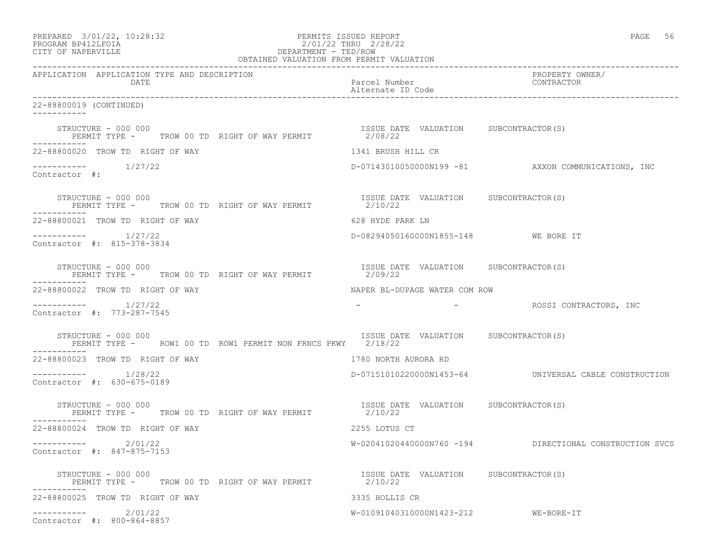| PREPARED 3/01/22, 10:28:32<br>PERMITS ISSUED REPORT<br>2/01/22 THRU 2/28/22<br>DEPARTMENT - TED/ROW<br>OBTAINED VALUATION FROM PERMIT VALUATION<br>PROGRAM BP412LFOIA<br>CITY OF NAPERVILLE<br>CITY OF NAPERVILLE |                                                  | PAGE 56                                               |
|-------------------------------------------------------------------------------------------------------------------------------------------------------------------------------------------------------------------|--------------------------------------------------|-------------------------------------------------------|
| APPLICATION APPLICATION TYPE AND DESCRIPTION<br>DATE                                                                                                                                                              | Parcel Number<br>Alternate ID Code               | PROPERTY OWNER/<br>CONTRACTOR                         |
| 22-88800019 (CONTINUED)                                                                                                                                                                                           |                                                  |                                                       |
| STRUCTURE - 000 000<br>PERMIT TYPE - TROW 00 TD RIGHT OF WAY PERMIT 2/08/22<br>-----------                                                                                                                        | ISSUE DATE VALUATION SUBCONTRACTOR(S)            |                                                       |
| 22-88800020 TROW TD RIGHT OF WAY                                                                                                                                                                                  | 1341 BRUSH HILL CR                               |                                                       |
| $--------- 1/27/22$<br>Contractor #:                                                                                                                                                                              |                                                  | D-07143010050000N199 -81 AXXON COMMUNICATIONS, INC    |
| STRUCTURE - 000 000<br>PERMIT TYPE - TROW 00 TD RIGHT OF WAY PERMIT 12/10/22<br>2/10/22                                                                                                                           |                                                  |                                                       |
| 22-88800021 TROW TD RIGHT OF WAY                                                                                                                                                                                  | 628 HYDE PARK LN                                 |                                                       |
| $--------- 1/27/22$<br>Contractor #: 815-378-3834                                                                                                                                                                 | D-08294050160000N1855-148 WE BORE IT             |                                                       |
| STRUCTURE - 000 000<br>PERMIT TYPE - TROW 00 TD RIGHT OF WAY PERMIT<br>------------                                                                                                                               | ISSUE DATE VALUATION SUBCONTRACTOR(S)<br>2/09/22 |                                                       |
| 22-88800022 TROW TD RIGHT OF WAY                                                                                                                                                                                  | NAPER BL-DUPAGE WATER COM ROW                    |                                                       |
| $--------- 1/27/22$<br>Contractor #: 773-287-7545                                                                                                                                                                 |                                                  | - ROSSI CONTRACTORS, INC                              |
| STRUCTURE - 000 000<br>PERMIT TYPE -     ROW1 00 TD ROW1 PERMIT NON FRNCS PKWY     2/18/22<br>-----------                                                                                                         | ISSUE DATE VALUATION SUBCONTRACTOR(S)            |                                                       |
| 22-88800023 TROW TD RIGHT OF WAY                                                                                                                                                                                  | 1780 NORTH AURORA RD                             |                                                       |
| -----------    1/28/22<br>Contractor #: 630-675-0189                                                                                                                                                              |                                                  | D-07151010220000N1453-64 UNIVERSAL CABLE CONSTRUCTION |
| STRUCTURE - 000 000<br>PERMIT TYPE - TROW 00 TD RIGHT OF WAY PERMIT                                                                                                                                               | ISSUE DATE VALUATION SUBCONTRACTOR(S)<br>2/10/22 |                                                       |
| 22-88800024 TROW TD RIGHT OF WAY                                                                                                                                                                                  | 2255 LOTUS CT                                    |                                                       |
| $--------- 2/01/22$<br>Contractor #: 847-875-7153                                                                                                                                                                 | W-02041020440000N760 -194                        | DIRECTIONAL CONSTRUCTION SVCS                         |
| STRUCTURE - 000 000<br>PERMIT TYPE - TROW 00 TD RIGHT OF WAY PERMIT<br>-----------                                                                                                                                | ISSUE DATE VALUATION SUBCONTRACTOR(S)<br>2/10/22 |                                                       |
| 22-88800025 TROW TD RIGHT OF WAY                                                                                                                                                                                  | 3335 HOLLIS CR                                   |                                                       |
| $---------2/01/22$<br>Contractor #: 800-864-8857                                                                                                                                                                  | W-01091040310000N1423-212 WE-BORE-IT             |                                                       |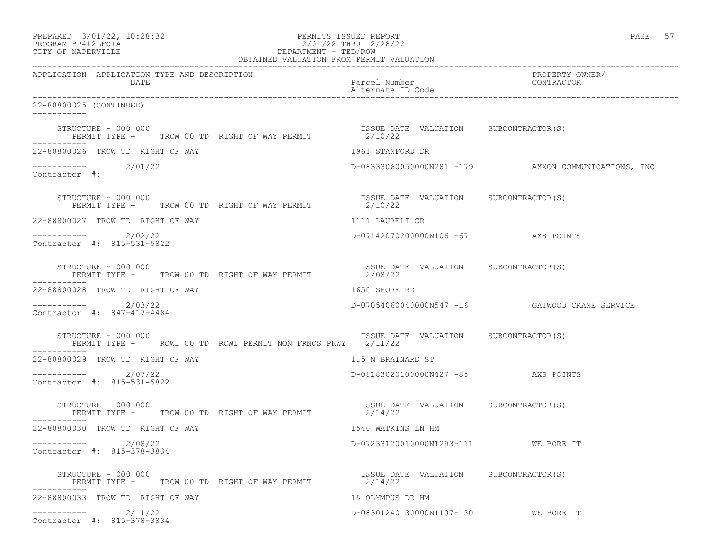| PREPARED 3/01/22, 10:28:32<br>PROGRAM BP412LFOIA<br>2/01/22 THRU 2/28/22<br>DEPARTMENT - TED/ROW<br>OBTAINED VALUATION FROM PERMIT VALUATION<br>CITY OF NAPERVILLE | PERMITS ISSUED REPORT<br>2/01/22 THRU 2/28/22    | PAGE 57                                             |
|--------------------------------------------------------------------------------------------------------------------------------------------------------------------|--------------------------------------------------|-----------------------------------------------------|
| APPLICATION APPLICATION TYPE AND DESCRIPTION<br>DATE                                                                                                               | Parcel Number<br>Alternate ID Code               | PROPERTY OWNER/<br>CONTRACTOR                       |
| 22-88800025 (CONTINUED)                                                                                                                                            |                                                  |                                                     |
| STRUCTURE - 000 000<br>PERMIT TYPE - TROW 00 TD RIGHT OF WAY PERMIT                                                                                                | ISSUE DATE VALUATION SUBCONTRACTOR(S)<br>2/10/22 |                                                     |
| 22-88800026 TROW TD RIGHT OF WAY                                                                                                                                   | 1961 STANFORD DR                                 |                                                     |
| $---------2/01/22$<br>Contractor #:                                                                                                                                |                                                  | D-08333060050000N281 -179 AXXON COMMUNICATIONS, INC |
| STRUCTURE - 000 000<br>PERMIT TYPE - TROW 00 TD RIGHT OF WAY PERMIT 2/10/22                                                                                        | ISSUE DATE VALUATION SUBCONTRACTOR(S)            |                                                     |
| 22-88800027 TROW TD RIGHT OF WAY                                                                                                                                   | 1111 LAURELI CR                                  |                                                     |
| $---------2/02/22$<br>Contractor #: 815-531-5822                                                                                                                   | D-07142070200000N106 -67 AXS POINTS              |                                                     |
| STRUCTURE - 000 000<br>PERMIT TYPE - TROW 00 TD RIGHT OF WAY PERMIT 2/08/22<br>-----------                                                                         | ISSUE DATE VALUATION SUBCONTRACTOR(S)            |                                                     |
| 22-88800028 TROW TD RIGHT OF WAY                                                                                                                                   | 1650 SHORE RD                                    |                                                     |
| $---------2/03/22$<br>Contractor #: 847-417-4484                                                                                                                   |                                                  | D-07054060040000N547 -16 GATWOOD CRANE SERVICE      |
| STRUCTURE - 000 000<br>PERMIT TYPE - ROW1 00 TD ROW1 PERMIT NON FRNCS PKWY 2/11/22                                                                                 | ISSUE DATE VALUATION SUBCONTRACTOR(S)            |                                                     |
| 22-88800029 TROW TD RIGHT OF WAY                                                                                                                                   | 115 N BRAINARD ST                                |                                                     |
| $--------- 2/07/22$<br>Contractor #: 815-531-5822                                                                                                                  | D-08183020100000N427 -85 AXS POINTS              |                                                     |
| STRUCTURE - 000 000<br>PERMIT TYPE - TROW 00 TD RIGHT OF WAY PERMIT<br>-----------                                                                                 | ISSUE DATE VALUATION SUBCONTRACTOR(S)<br>2/14/22 |                                                     |
| 22-88800030 TROW TD RIGHT OF WAY                                                                                                                                   | 1540 WATKINS LN HM                               |                                                     |
| 2/08/22<br>Contractor #: 815-378-3834                                                                                                                              | D-07233120010000N1293-111 WE BORE IT             |                                                     |
| STRUCTURE - 000 000<br>PERMIT TYPE - TROW 00 TD RIGHT OF WAY PERMIT                                                                                                | ISSUE DATE VALUATION SUBCONTRACTOR(S)<br>2/14/22 |                                                     |
| 22-88800033 TROW TD RIGHT OF WAY                                                                                                                                   | 15 OLYMPUS DR HM                                 |                                                     |
| $---------2/11/22$<br>Contractor #: 815-378-3834                                                                                                                   | D-08301240130000N1107-130 WE BORE IT             |                                                     |